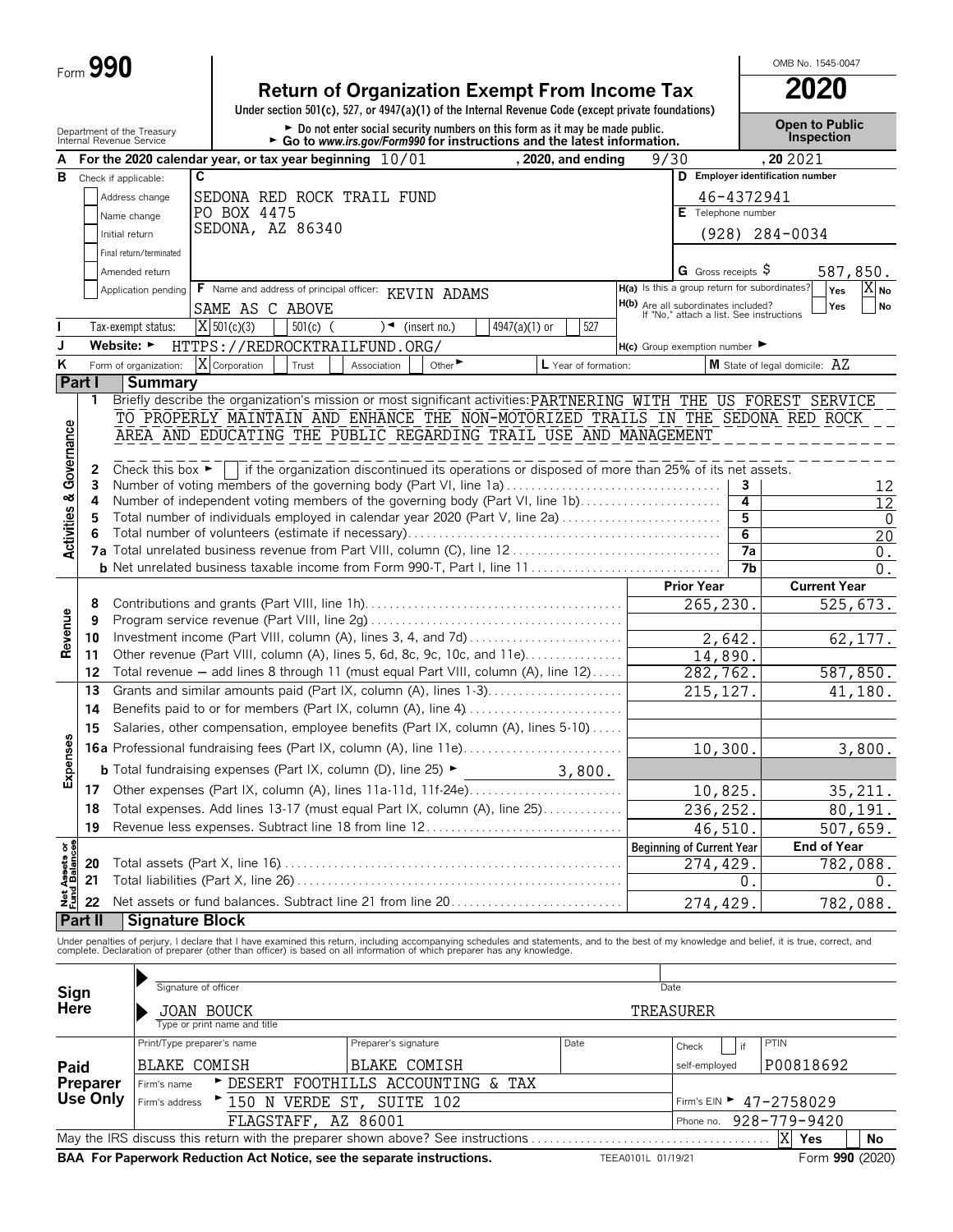|                                        | Form 990 |                                                                                                                    |                              |                  |                                                                                                                                                           |                             |               |                      |                                                                     |                       | OMB No. 1545-0047                                                                                                                                                                                                                 |
|----------------------------------------|----------|--------------------------------------------------------------------------------------------------------------------|------------------------------|------------------|-----------------------------------------------------------------------------------------------------------------------------------------------------------|-----------------------------|---------------|----------------------|---------------------------------------------------------------------|-----------------------|-----------------------------------------------------------------------------------------------------------------------------------------------------------------------------------------------------------------------------------|
|                                        |          |                                                                                                                    |                              |                  | <b>Return of Organization Exempt From Income Tax</b>                                                                                                      |                             |               |                      |                                                                     |                       | 2020                                                                                                                                                                                                                              |
|                                        |          |                                                                                                                    |                              |                  | Under section 501(c), 527, or 4947(a)(1) of the Internal Revenue Code (except private foundations)                                                        |                             |               |                      |                                                                     |                       |                                                                                                                                                                                                                                   |
|                                        |          | Department of the Treasury<br>Internal Revenue Service                                                             |                              |                  | ► Do not enter social security numbers on this form as it may be made public.<br>► Go to www.irs.gov/Form990 for instructions and the latest information. |                             |               |                      |                                                                     |                       | <b>Open to Public</b><br>Inspection                                                                                                                                                                                               |
|                                        |          | For the 2020 calendar year, or tax year beginning $10/01$                                                          |                              |                  |                                                                                                                                                           |                             |               | , 2020, and ending   | 9/30                                                                |                       | , 202021                                                                                                                                                                                                                          |
| в                                      |          | Check if applicable:                                                                                               | C                            |                  |                                                                                                                                                           |                             |               |                      |                                                                     |                       | D Employer identification number                                                                                                                                                                                                  |
|                                        |          | Address change                                                                                                     |                              |                  | SEDONA RED ROCK TRAIL FUND                                                                                                                                |                             |               |                      |                                                                     | 46-4372941            |                                                                                                                                                                                                                                   |
|                                        |          | Name change                                                                                                        | PO BOX 4475                  | SEDONA, AZ 86340 |                                                                                                                                                           |                             |               |                      | E Telephone number                                                  |                       |                                                                                                                                                                                                                                   |
|                                        |          | Initial return                                                                                                     |                              |                  |                                                                                                                                                           |                             |               |                      |                                                                     |                       | $(928)$ 284-0034                                                                                                                                                                                                                  |
|                                        |          | Final return/terminated                                                                                            |                              |                  |                                                                                                                                                           |                             |               |                      |                                                                     |                       |                                                                                                                                                                                                                                   |
|                                        |          | Amended return                                                                                                     |                              |                  |                                                                                                                                                           |                             |               |                      | G Gross receipts S<br>H(a) Is this a group return for subordinates? |                       | 587,850.<br>$X_{N0}$                                                                                                                                                                                                              |
|                                        |          | Application pending                                                                                                |                              | SAME AS C ABOVE  | F Name and address of principal officer: KEVIN ADAMS                                                                                                      |                             |               |                      | H(b) Are all subordinates included?                                 |                       | Yes<br>Yes<br>No                                                                                                                                                                                                                  |
|                                        |          | Tax-exempt status:                                                                                                 | $X$ 501(c)(3)                | $501(c)$ (       |                                                                                                                                                           | $)$ (insert no.)            | 4947(a)(1) or | 527                  | If "No," attach a list. See instructions                            |                       |                                                                                                                                                                                                                                   |
|                                        |          | Website: $\blacktriangleright$                                                                                     |                              |                  | HTTPS://REDROCKTRAILFUND.ORG/                                                                                                                             |                             |               |                      | $H(c)$ Group exemption number $\blacktriangleright$                 |                       |                                                                                                                                                                                                                                   |
| K                                      |          | Form of organization:                                                                                              | X Corporation                | Trust            | Association                                                                                                                                               | Other $\blacktriangleright$ |               | L Year of formation: |                                                                     |                       | M State of legal domicile: AZ                                                                                                                                                                                                     |
|                                        | Part I   | Summary                                                                                                            |                              |                  |                                                                                                                                                           |                             |               |                      |                                                                     |                       |                                                                                                                                                                                                                                   |
|                                        | 1        |                                                                                                                    |                              |                  |                                                                                                                                                           |                             |               |                      |                                                                     |                       | Briefly describe the organization's mission or most significant activities: PARTNERING WITH THE US FOREST SERVICE                                                                                                                 |
|                                        |          |                                                                                                                    |                              |                  |                                                                                                                                                           |                             |               |                      |                                                                     |                       | TO PROPERLY MAINTAIN AND ENHANCE THE NON-MOTORIZED TRAILS IN THE SEDONA RED ROCK                                                                                                                                                  |
| Governance                             |          | AREA AND EDUCATING THE PUBLIC REGARDING TRAIL USE AND MANAGEMENT                                                   |                              |                  |                                                                                                                                                           |                             |               |                      |                                                                     |                       |                                                                                                                                                                                                                                   |
|                                        |          |                                                                                                                    |                              |                  |                                                                                                                                                           |                             |               |                      |                                                                     |                       |                                                                                                                                                                                                                                   |
|                                        | 2<br>3   | Check this box $\blacktriangleright$ $\vdash$<br>Number of voting members of the governing body (Part VI, line 1a) |                              |                  | If the organization discontinued its operations or disposed of more than 25% of its net assets.                                                           |                             |               |                      |                                                                     | 3                     | 12                                                                                                                                                                                                                                |
|                                        | 4        | Number of independent voting members of the governing body (Part VI, line 1b)                                      |                              |                  |                                                                                                                                                           |                             |               |                      |                                                                     | 4                     | $\overline{12}$                                                                                                                                                                                                                   |
|                                        | 5        | Total number of individuals employed in calendar year 2020 (Part V, line 2a)                                       |                              |                  |                                                                                                                                                           |                             |               |                      |                                                                     | 5                     | 0                                                                                                                                                                                                                                 |
| <b>Activities &amp;</b>                |          |                                                                                                                    |                              |                  |                                                                                                                                                           |                             |               |                      |                                                                     | $\overline{6}$        | 20                                                                                                                                                                                                                                |
|                                        |          |                                                                                                                    |                              |                  |                                                                                                                                                           |                             |               |                      |                                                                     | $\overline{7a}$<br>7b | $0$ .<br>0.                                                                                                                                                                                                                       |
|                                        |          |                                                                                                                    |                              |                  |                                                                                                                                                           |                             |               |                      | <b>Prior Year</b>                                                   |                       | <b>Current Year</b>                                                                                                                                                                                                               |
|                                        | 8        |                                                                                                                    |                              |                  |                                                                                                                                                           |                             |               |                      | 265,230                                                             |                       | 525,673.                                                                                                                                                                                                                          |
|                                        | 9        |                                                                                                                    |                              |                  |                                                                                                                                                           |                             |               |                      |                                                                     |                       |                                                                                                                                                                                                                                   |
| Revenue                                | 10       | Investment income (Part VIII, column (A), lines 3, 4, and 7d)                                                      |                              |                  |                                                                                                                                                           |                             |               |                      |                                                                     | 2,642.                | 62,177.                                                                                                                                                                                                                           |
|                                        | 11       | Other revenue (Part VIII, column (A), lines 5, 6d, 8c, 9c, 10c, and 11e)                                           |                              |                  |                                                                                                                                                           |                             |               |                      |                                                                     | 14,890.               |                                                                                                                                                                                                                                   |
|                                        | 12<br>13 | Total revenue - add lines 8 through 11 (must equal Part VIII, column (A), line 12)                                 |                              |                  |                                                                                                                                                           |                             |               |                      | 282,762.                                                            |                       | 587,850.                                                                                                                                                                                                                          |
|                                        | 14       | Benefits paid to or for members (Part IX, column (A), line 4)                                                      |                              |                  |                                                                                                                                                           |                             |               |                      | 215, 127.                                                           |                       | 41,180.                                                                                                                                                                                                                           |
|                                        | 15       | Salaries, other compensation, employee benefits (Part IX, column (A), lines 5-10)                                  |                              |                  |                                                                                                                                                           |                             |               |                      |                                                                     |                       |                                                                                                                                                                                                                                   |
| ပ္မ                                    |          | 16a Professional fundraising fees (Part IX, column (A), line 11e)                                                  |                              |                  |                                                                                                                                                           |                             |               |                      |                                                                     | 10, 300.              | 3,800.                                                                                                                                                                                                                            |
| Expense                                |          | <b>b</b> Total fundraising expenses (Part IX, column (D), line 25) ►                                               |                              |                  |                                                                                                                                                           |                             |               | 3,800.               |                                                                     |                       |                                                                                                                                                                                                                                   |
|                                        | 17       | Other expenses (Part IX, column (A), lines 11a-11d, 11f-24e)                                                       |                              |                  |                                                                                                                                                           |                             |               |                      |                                                                     | 10,825.               | 35,211.                                                                                                                                                                                                                           |
|                                        | 18       | Total expenses. Add lines 13-17 (must equal Part IX, column (A), line 25)                                          |                              |                  |                                                                                                                                                           |                             |               |                      | 236,252.                                                            |                       | 80,191.                                                                                                                                                                                                                           |
|                                        | 19       | Revenue less expenses. Subtract line 18 from line 12                                                               |                              |                  |                                                                                                                                                           |                             |               |                      |                                                                     | 46,510.               | 507,659.                                                                                                                                                                                                                          |
|                                        |          |                                                                                                                    |                              |                  |                                                                                                                                                           |                             |               |                      | <b>Beginning of Current Year</b>                                    |                       | <b>End of Year</b>                                                                                                                                                                                                                |
|                                        | 20       |                                                                                                                    |                              |                  |                                                                                                                                                           |                             |               |                      | 274,429                                                             |                       | 782,088.                                                                                                                                                                                                                          |
| <b>Net Assets or<br/>Fund Balances</b> | 21       |                                                                                                                    |                              |                  |                                                                                                                                                           |                             |               |                      |                                                                     | 0.                    | 0.                                                                                                                                                                                                                                |
|                                        | 22       |                                                                                                                    |                              |                  |                                                                                                                                                           |                             |               |                      | 274,429                                                             |                       | 782,088.                                                                                                                                                                                                                          |
|                                        | Part II  | <b>Signature Block</b>                                                                                             |                              |                  |                                                                                                                                                           |                             |               |                      |                                                                     |                       |                                                                                                                                                                                                                                   |
|                                        |          |                                                                                                                    |                              |                  |                                                                                                                                                           |                             |               |                      |                                                                     |                       | Under penalties of perjury, I declare that I have examined this return, including accompanying schedules and statements, and to the best of my knowledge and belief, it is true, correct, and<br>complete. Declaration of prepare |
|                                        |          |                                                                                                                    |                              |                  |                                                                                                                                                           |                             |               |                      |                                                                     |                       |                                                                                                                                                                                                                                   |
| Sign                                   |          |                                                                                                                    | Signature of officer         |                  |                                                                                                                                                           |                             |               |                      | Date                                                                |                       |                                                                                                                                                                                                                                   |
| Here                                   |          |                                                                                                                    | JOAN BOUCK                   |                  |                                                                                                                                                           |                             |               |                      | TREASURER                                                           |                       |                                                                                                                                                                                                                                   |
|                                        |          |                                                                                                                    | Type or print name and title |                  |                                                                                                                                                           |                             |               |                      |                                                                     |                       |                                                                                                                                                                                                                                   |
|                                        |          | Print/Type preparer's name                                                                                         |                              |                  | Preparer's signature                                                                                                                                      |                             |               | Date                 | Check                                                               | if                    | PTIN                                                                                                                                                                                                                              |
| Paid                                   |          | <b>BLAKE COMISH</b>                                                                                                |                              |                  | <b>BLAKE COMISH</b>                                                                                                                                       |                             |               |                      | self-employed                                                       |                       | P00818692                                                                                                                                                                                                                         |
|                                        | Preparer | Firm's name                                                                                                        |                              |                  | DESERT FOOTHILLS ACCOUNTING & TAX                                                                                                                         |                             |               |                      |                                                                     |                       |                                                                                                                                                                                                                                   |
|                                        | Use Only | Firm's address                                                                                                     |                              |                  | "150 N VERDE ST, SUITE 102                                                                                                                                |                             |               |                      |                                                                     |                       | Firm's EIN > 47-2758029                                                                                                                                                                                                           |

May the IRS discuss this return with the preparer shown above? See instructions. . . . . . . . . . . . . . . . . . . . . . . . . . . . . . . . . . . . . . . . **Yes No BAA For Paperwork Reduction Act Notice, see the separate instructions.** TEEA0101L 01/19/21

FLAGSTAFF, AZ 86001 928-779-9420

Phone no.

X Yes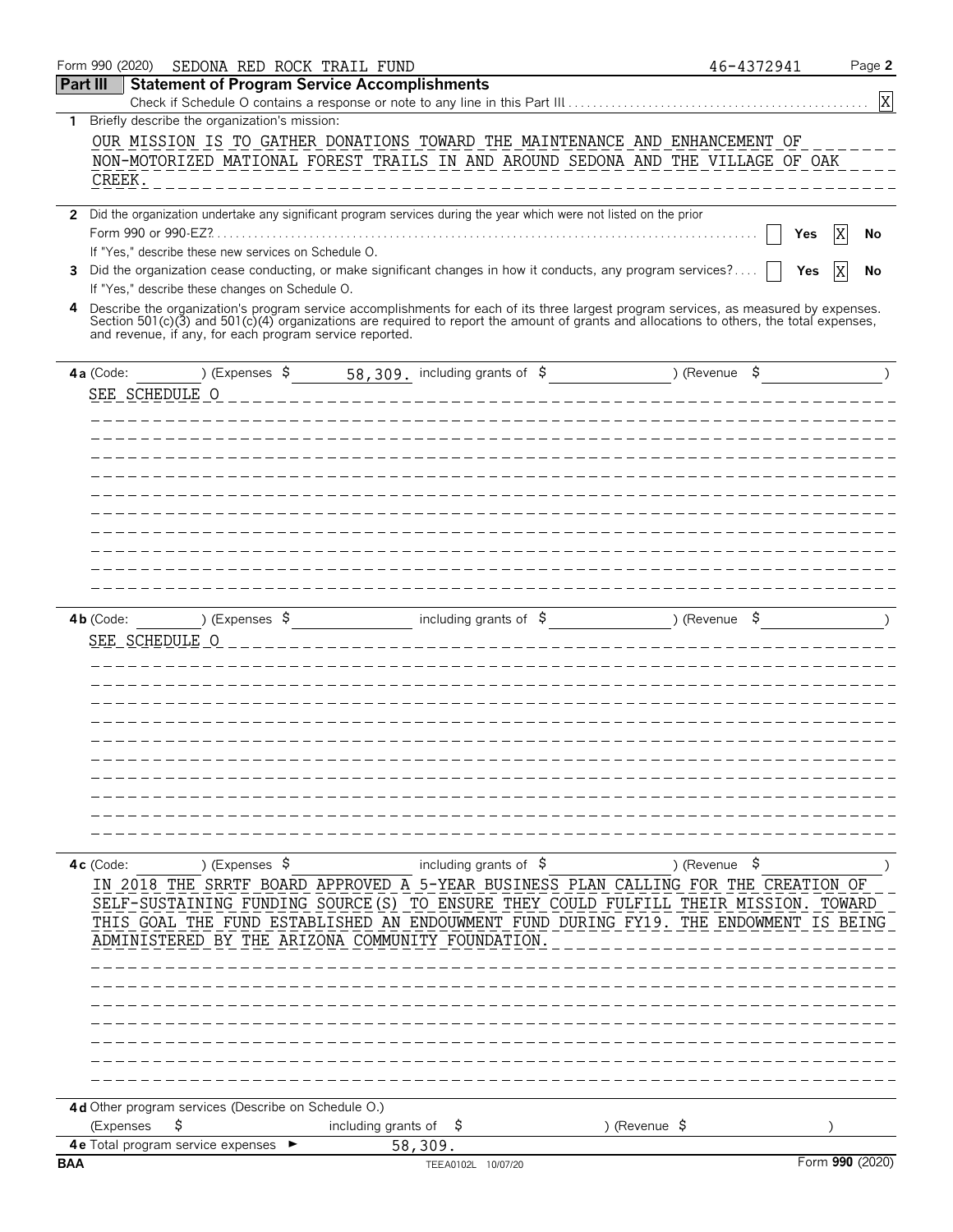|                 | Form 990 (2020)<br>SEDONA RED ROCK TRAIL FUND                                                                                                                                                       | 46-4372941               |     | Page 2          |
|-----------------|-----------------------------------------------------------------------------------------------------------------------------------------------------------------------------------------------------|--------------------------|-----|-----------------|
| <b>Part III</b> | <b>Statement of Program Service Accomplishments</b>                                                                                                                                                 |                          |     |                 |
|                 | Briefly describe the organization's mission:                                                                                                                                                        |                          |     | $\mathbf{X}$    |
|                 | OUR MISSION IS TO GATHER DONATIONS TOWARD THE MAINTENANCE AND ENHANCEMENT OF                                                                                                                        |                          |     |                 |
|                 | NON-MOTORIZED MATIONAL FOREST TRAILS IN AND AROUND SEDONA AND THE VILLAGE OF OAK                                                                                                                    |                          |     |                 |
|                 | CREEK.                                                                                                                                                                                              |                          |     |                 |
|                 |                                                                                                                                                                                                     |                          |     |                 |
| 2               | Did the organization undertake any significant program services during the year which were not listed on the prior                                                                                  |                          |     |                 |
|                 | Form 990 or 990-EZ?                                                                                                                                                                                 |                          | Yes | No              |
|                 | If "Yes," describe these new services on Schedule O.                                                                                                                                                |                          |     |                 |
| 3               | Did the organization cease conducting, or make significant changes in how it conducts, any program services?<br>If "Yes," describe these changes on Schedule O.                                     |                          | Yes | No              |
| 4               | Describe the organization's program service accomplishments for each of its three largest program services, as measured by expenses.                                                                |                          |     |                 |
|                 | Section 501(c)(3) and 501(c)(4) organizations are required to report the amount of grants and allocations to others, the total expenses,<br>and revenue, if any, for each program service reported. |                          |     |                 |
|                 |                                                                                                                                                                                                     |                          |     |                 |
|                 | 58, 309. including grants of \$ ) (Revenue \$<br>) (Expenses \$<br>4a (Code:                                                                                                                        |                          |     |                 |
|                 | SEE SCHEDULE O                                                                                                                                                                                      |                          |     |                 |
|                 |                                                                                                                                                                                                     |                          |     |                 |
|                 |                                                                                                                                                                                                     |                          |     |                 |
|                 |                                                                                                                                                                                                     |                          |     |                 |
|                 |                                                                                                                                                                                                     |                          |     |                 |
|                 |                                                                                                                                                                                                     |                          |     |                 |
|                 |                                                                                                                                                                                                     |                          |     |                 |
|                 |                                                                                                                                                                                                     |                          |     |                 |
|                 |                                                                                                                                                                                                     |                          |     |                 |
|                 |                                                                                                                                                                                                     |                          |     |                 |
|                 |                                                                                                                                                                                                     |                          |     |                 |
|                 | including grants of $\beta$<br>) (Expenses $\frac{1}{2}$<br>$4b$ (Code:                                                                                                                             | ) (Revenue \$            |     |                 |
|                 | SEE SCHEDULE O                                                                                                                                                                                      |                          |     |                 |
|                 |                                                                                                                                                                                                     |                          |     |                 |
|                 |                                                                                                                                                                                                     |                          |     |                 |
|                 |                                                                                                                                                                                                     |                          |     |                 |
|                 |                                                                                                                                                                                                     |                          |     |                 |
|                 |                                                                                                                                                                                                     |                          |     |                 |
|                 |                                                                                                                                                                                                     |                          |     |                 |
|                 |                                                                                                                                                                                                     |                          |     |                 |
|                 |                                                                                                                                                                                                     |                          |     |                 |
|                 |                                                                                                                                                                                                     |                          |     |                 |
|                 |                                                                                                                                                                                                     |                          |     |                 |
|                 | ) (Expenses \$<br>including grants of $\frac{1}{2}$<br>4c (Code:                                                                                                                                    | ) (Revenue $\frac{1}{2}$ |     |                 |
|                 | IN 2018 THE SRRTF BOARD APPROVED A 5-YEAR BUSINESS PLAN CALLING FOR THE CREATION OF                                                                                                                 |                          |     |                 |
|                 | SELF-SUSTAINING FUNDING SOURCE(S) TO ENSURE THEY COULD FULFILL THEIR MISSION. TOWARD                                                                                                                |                          |     |                 |
|                 | THIS GOAL THE FUND ESTABLISHED AN ENDOUWMENT FUND DURING FY19. THE ENDOWMENT IS BEING                                                                                                               |                          |     |                 |
|                 | ADMINISTERED BY THE ARIZONA COMMUNITY FOUNDATION                                                                                                                                                    |                          |     |                 |
|                 |                                                                                                                                                                                                     |                          |     |                 |
|                 |                                                                                                                                                                                                     |                          |     |                 |
|                 |                                                                                                                                                                                                     |                          |     |                 |
|                 |                                                                                                                                                                                                     |                          |     |                 |
|                 |                                                                                                                                                                                                     |                          |     |                 |
|                 |                                                                                                                                                                                                     |                          |     |                 |
|                 |                                                                                                                                                                                                     |                          |     |                 |
|                 | 4d Other program services (Describe on Schedule O.)                                                                                                                                                 |                          |     |                 |
|                 | \$<br>) (Revenue $\frac{1}{2}$<br>(Expenses<br>including grants of<br>-\$                                                                                                                           |                          |     |                 |
|                 | 4e Total program service expenses<br>58,309.                                                                                                                                                        |                          |     |                 |
| <b>BAA</b>      | TEEA0102L 10/07/20                                                                                                                                                                                  |                          |     | Form 990 (2020) |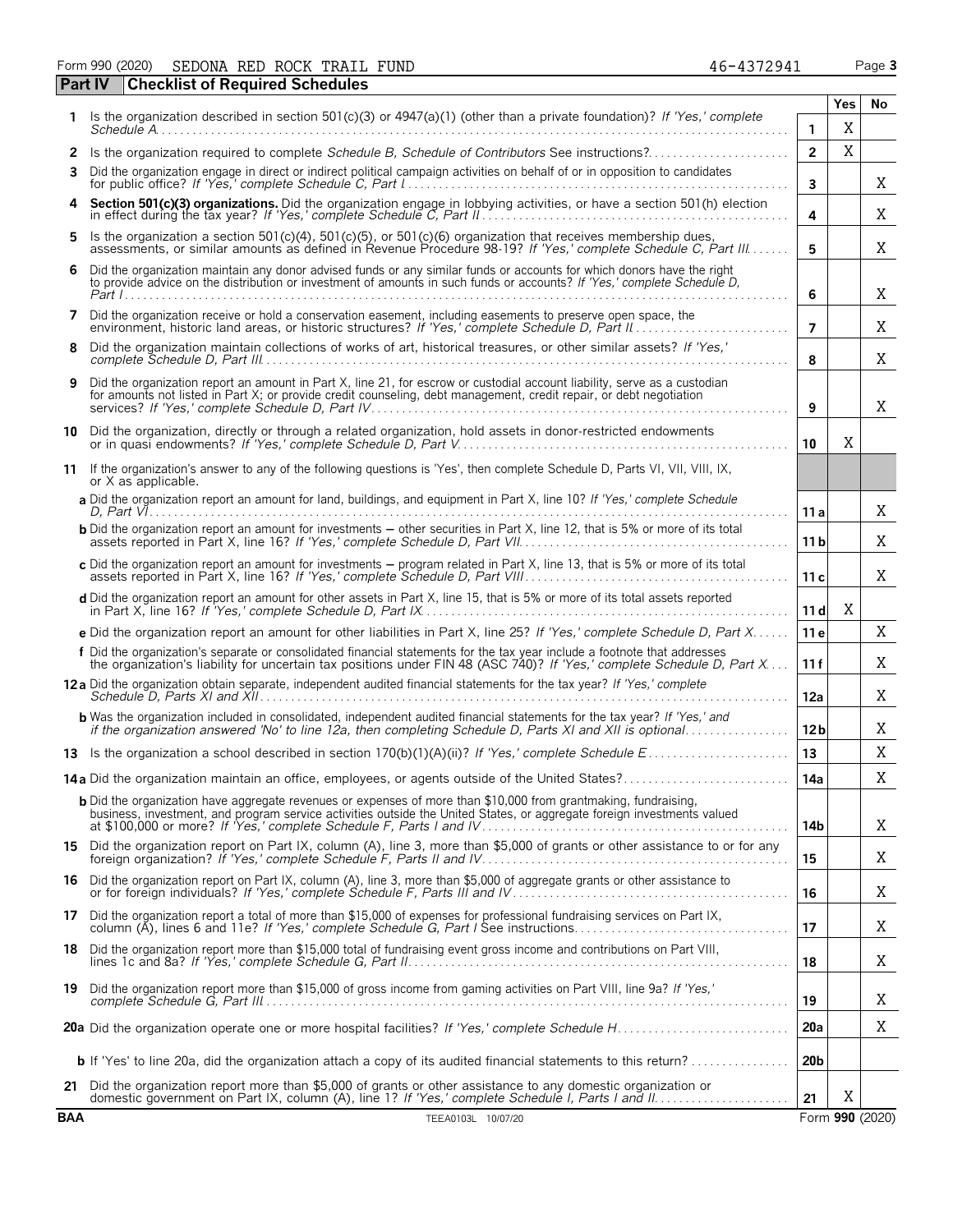Form 990 (2020) SEDONA RED ROCK TRAIL FUND 46-4372 9 41 Page **3** SEDONA RED ROCK TRAIL FUND 46-4372941

| <b>Part IV</b> | <b>Checklist of Required Schedules</b>                                                                                                                                                                                                              |                 |     |                 |
|----------------|-----------------------------------------------------------------------------------------------------------------------------------------------------------------------------------------------------------------------------------------------------|-----------------|-----|-----------------|
| 1.             | Is the organization described in section 501(c)(3) or $4947(a)(1)$ (other than a private foundation)? If 'Yes,' complete                                                                                                                            |                 | Yes | No              |
|                | Schedule A.                                                                                                                                                                                                                                         | 1               | X   |                 |
| 2              | Is the organization required to complete Schedule B, Schedule of Contributors See instructions?                                                                                                                                                     | $\overline{2}$  | X   |                 |
| 3              | Did the organization engage in direct or indirect political campaign activities on behalf of or in opposition to candidates                                                                                                                         | 3               |     | Χ               |
|                | Section 501(c)(3) organizations. Did the organization engage in lobbying activities, or have a section 501(h) election in effect during the tax year? If 'Yes,' complete Schedule C, Part II                                                        | 4               |     | Χ               |
| 5.             | Is the organization a section 501(c)(4), 501(c)(5), or 501(c)(6) organization that receives membership dues, assessments, or similar amounts as defined in Revenue Procedure 98-19? If 'Yes,' complete Schedule C, Part III                         | 5               |     | Χ               |
| 6              | Did the organization maintain any donor advised funds or any similar funds or accounts for which donors have the right<br>to provide advice on the distribution or investment of amounts in such funds or accounts? If 'Yes,' complete Schedule D,  | 6               |     | Χ               |
| 7              | Did the organization receive or hold a conservation easement, including easements to preserve open space, the                                                                                                                                       | $\overline{7}$  |     | Χ               |
| 8              | Did the organization maintain collections of works of art, historical treasures, or other similar assets? If 'Yes,'                                                                                                                                 | 8               |     | X               |
| 9              | Did the organization report an amount in Part X, line 21, for escrow or custodial account liability, serve as a custodian<br>for amounts not listed in Part X; or provide credit counseling, debt management, credit repair, or debt negotiation    | 9               |     | X               |
| 10             | Did the organization, directly or through a related organization, hold assets in donor-restricted endowments                                                                                                                                        | 10              | Χ   |                 |
|                | 11 If the organization's answer to any of the following questions is 'Yes', then complete Schedule D, Parts VI, VII, VIII, IX,<br>or X as applicable.                                                                                               |                 |     |                 |
|                | a Did the organization report an amount for land, buildings, and equipment in Part X, line 10? If 'Yes,' complete Schedule                                                                                                                          | 11 a            |     | Χ               |
|                | <b>b</b> Did the organization report an amount for investments – other securities in Part X, line 12, that is 5% or more of its total                                                                                                               | 11 <sub>b</sub> |     | Χ               |
|                | c Did the organization report an amount for investments - program related in Part X, line 13, that is 5% or more of its total                                                                                                                       | 11c             |     | X               |
|                | d Did the organization report an amount for other assets in Part X, line 15, that is 5% or more of its total assets reported                                                                                                                        | 11d             | Χ   |                 |
|                | e Did the organization report an amount for other liabilities in Part X, line 25? If 'Yes,' complete Schedule D, Part X                                                                                                                             | 11 e            |     | X               |
|                | f Did the organization's separate or consolidated financial statements for the tax year include a footnote that addresses<br>the organization's liability for uncertain tax positions under FIN 48 (ASC 740)? If 'Yes,' complete Schedule D, Part X | 11f             |     | Χ               |
|                | 12a Did the organization obtain separate, independent audited financial statements for the tax year? If 'Yes,' complete                                                                                                                             | 12a             |     | Χ               |
|                | <b>b</b> Was the organization included in consolidated, independent audited financial statements for the tax year? If 'Yes,' and<br>if the organization answered 'No' to line 12a, then completing Schedule D, Parts XI and XII is optional         | 12 b            |     | Χ               |
|                |                                                                                                                                                                                                                                                     | 13              |     | X               |
|                | 14a Did the organization maintain an office, employees, or agents outside of the United States?                                                                                                                                                     | 14a             |     | X               |
|                | <b>b</b> Did the organization have aggregate revenues or expenses of more than \$10,000 from grantmaking, fundraising,<br>business, investment, and program service activities outside the United States, or aggregate foreign investments valued   | 14b             |     | Χ               |
|                | 15 Did the organization report on Part IX, column (A), line 3, more than \$5,000 of grants or other assistance to or for any foreign organization? If 'Yes,' complete Schedule F, Parts II and IV                                                   | 15              |     | Χ               |
|                | 16 Did the organization report on Part IX, column (A), line 3, more than \$5,000 of aggregate grants or other assistance to<br>or for foreign individuals? If 'Yes,' complete Schedule F, Parts III and IV                                          | 16              |     | Χ               |
|                | 17 Did the organization report a total of more than \$15,000 of expenses for professional fundraising services on Part IX,<br>column (A), lines 6 and 11e? If 'Yes,' complete Schedule G, Part I See instructions                                   | 17              |     | Χ               |
|                | 18 Did the organization report more than \$15,000 total of fundraising event gross income and contributions on Part VIII,                                                                                                                           | 18              |     | Χ               |
|                | 19 Did the organization report more than \$15,000 of gross income from gaming activities on Part VIII, line 9a? If 'Yes,'                                                                                                                           | 19              |     | Χ               |
|                |                                                                                                                                                                                                                                                     | 20a             |     | Χ               |
|                | <b>b</b> If 'Yes' to line 20a, did the organization attach a copy of its audited financial statements to this return?                                                                                                                               | 20 <sub>b</sub> |     |                 |
|                | 21 Did the organization report more than \$5,000 of grants or other assistance to any domestic organization or                                                                                                                                      | 21              | Χ   |                 |
| <b>BAA</b>     | TEEA0103L 10/07/20                                                                                                                                                                                                                                  |                 |     | Form 990 (2020) |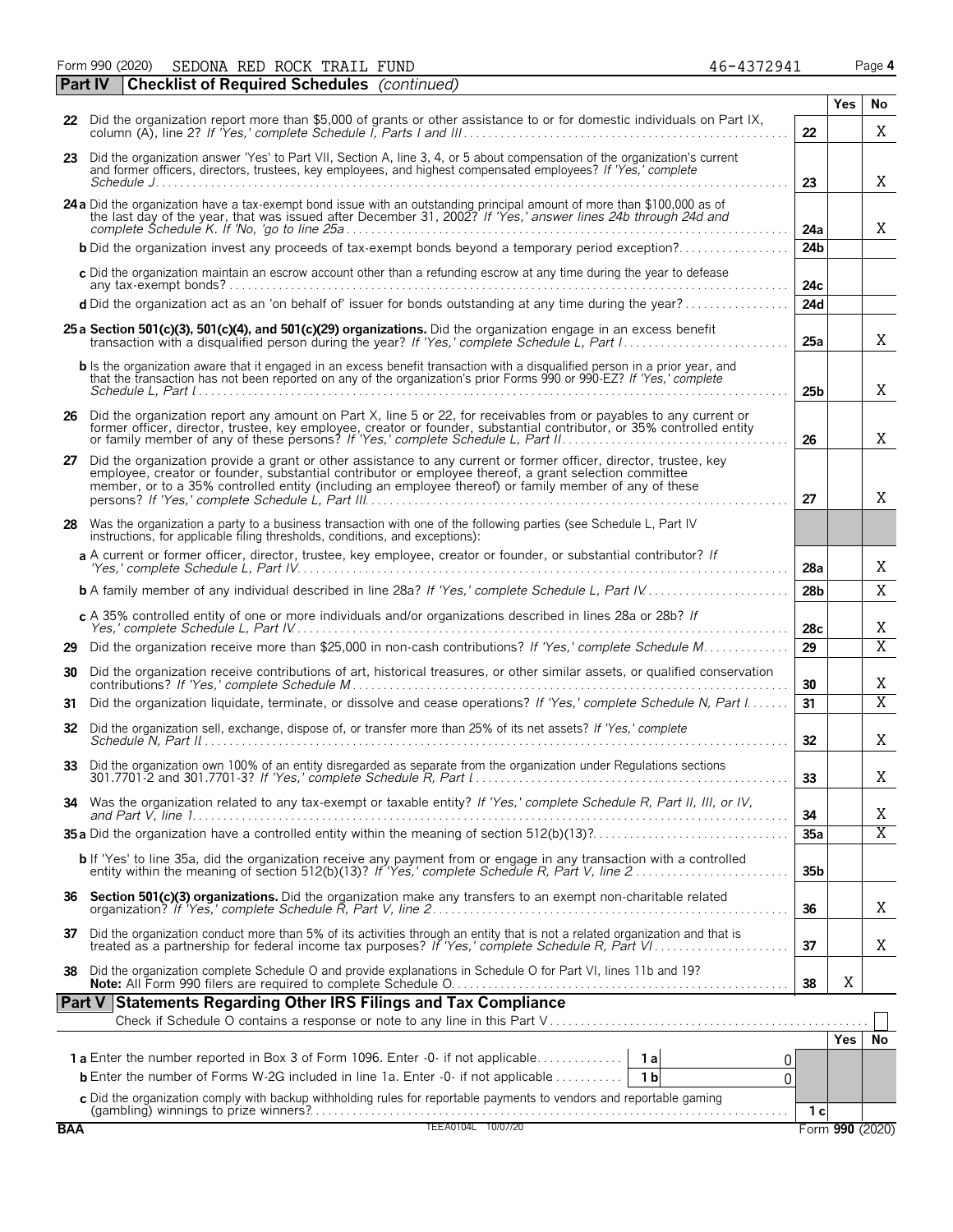Form 990 (2020) SEDONA RED ROCK TRAIL FUND 46-4372941 Page **4** SEDONA RED ROCK TRAIL FUND 46-4372941

|    | <b>Checklist of Required Schedules</b> (continued)<br><b>Part IV</b>                                                                                                                                                                                                                                                                        |                                    |                 |            |                 |
|----|---------------------------------------------------------------------------------------------------------------------------------------------------------------------------------------------------------------------------------------------------------------------------------------------------------------------------------------------|------------------------------------|-----------------|------------|-----------------|
|    |                                                                                                                                                                                                                                                                                                                                             |                                    |                 | <b>Yes</b> | No              |
|    | 22 Did the organization report more than \$5,000 of grants or other assistance to or for domestic individuals on Part IX,                                                                                                                                                                                                                   |                                    | 22              |            | X               |
|    | 23 Did the organization answer 'Yes' to Part VII, Section A, line 3, 4, or 5 about compensation of the organization's current<br>and former officers, directors, trustees, key employees, and highest compensated employees? If 'Yes,' complete                                                                                             |                                    | 23              |            | X               |
|    | 24 a Did the organization have a tax-exempt bond issue with an outstanding principal amount of more than \$100,000 as of the last day of the year, that was issued after December 31, 2002? If 'Yes,' answer lines 24b through                                                                                                              |                                    | 24a             |            | X               |
|    | <b>b</b> Did the organization invest any proceeds of tax-exempt bonds beyond a temporary period exception?                                                                                                                                                                                                                                  |                                    | 24 <sub>b</sub> |            |                 |
|    | c Did the organization maintain an escrow account other than a refunding escrow at any time during the year to defease                                                                                                                                                                                                                      |                                    | 24 <sub>c</sub> |            |                 |
|    | d Did the organization act as an 'on behalf of' issuer for bonds outstanding at any time during the year?                                                                                                                                                                                                                                   |                                    | 24d             |            |                 |
|    | 25 a Section 501(c)(3), 501(c)(4), and 501(c)(29) organizations. Did the organization engage in an excess benefit                                                                                                                                                                                                                           |                                    | 25a             |            | X               |
|    | <b>b</b> Is the organization aware that it engaged in an excess benefit transaction with a disqualified person in a prior year, and<br>that the transaction has not been reported on any of the organization's prior Forms 990 or 990-EZ? If 'Yes,' complete                                                                                |                                    | 25 <sub>b</sub> |            | X               |
|    | 26 Did the organization report any amount on Part X, line 5 or 22, for receivables from or payables to any current or<br>former officer, director, trustee, key employee, creator or founder, substantial contributor, or 35% controlled entity<br>or family member of any of these persons? If 'Yes,' complete Schedule L, Part II.        |                                    | 26              |            | Χ               |
|    | Did the organization provide a grant or other assistance to any current or former officer, director, trustee, key<br>27<br>employee, creator or founder, substantial contributor or employee thereof, a grant selection committee<br>member, or to a 35% controlled entity (including an employee thereof) or family member of any of these |                                    | 27              |            | Χ               |
|    | 28 Was the organization a party to a business transaction with one of the following parties (see Schedule L, Part IV<br>instructions, for applicable filing thresholds, conditions, and exceptions):                                                                                                                                        |                                    |                 |            |                 |
|    | a A current or former officer, director, trustee, key employee, creator or founder, or substantial contributor? If                                                                                                                                                                                                                          |                                    | 28a             |            | Χ               |
|    | <b>b</b> A family member of any individual described in line 28a? If 'Yes,' complete Schedule L, Part IV                                                                                                                                                                                                                                    |                                    | 28 <sub>b</sub> |            | X               |
|    | c A 35% controlled entity of one or more individuals and/or organizations described in lines 28a or 28b? If                                                                                                                                                                                                                                 |                                    | 28c             |            | Χ               |
|    | 29 Did the organization receive more than \$25,000 in non-cash contributions? If 'Yes,' complete Schedule M                                                                                                                                                                                                                                 |                                    | 29              |            | $\overline{X}$  |
| 30 | Did the organization receive contributions of art, historical treasures, or other similar assets, or qualified conservation                                                                                                                                                                                                                 |                                    | 30              |            | Χ               |
| 31 | Did the organization liquidate, terminate, or dissolve and cease operations? If 'Yes,' complete Schedule N, Part I                                                                                                                                                                                                                          |                                    | 31              |            | $\overline{X}$  |
|    | Did the organization sell, exchange, dispose of, or transfer more than 25% of its net assets? If 'Yes,' complete<br>32                                                                                                                                                                                                                      |                                    | 32              |            | Χ               |
|    | Did the organization own 100% of an entity disregarded as separate from the organization under Regulations sections<br>33                                                                                                                                                                                                                   |                                    | 33              |            | Χ               |
|    | 34 Was the organization related to any tax-exempt or taxable entity? If 'Yes,' complete Schedule R, Part II, III, or IV,                                                                                                                                                                                                                    |                                    | 34              |            | Χ               |
|    |                                                                                                                                                                                                                                                                                                                                             |                                    | 35a             |            | $\overline{X}$  |
|    | <b>b</b> If 'Yes' to line 35a, did the organization receive any payment from or engage in any transaction with a controlled entity within the meaning of section 512(b)(13)? If 'Yes,' complete Schedule R, Part V, line 2                                                                                                                  |                                    | 35 <sub>b</sub> |            |                 |
|    |                                                                                                                                                                                                                                                                                                                                             |                                    | 36              |            | Χ               |
|    | 37 Did the organization conduct more than 5% of its activities through an entity that is not a related organization and that is treated as a partnership for federal income tax purposes? If 'Yes,' complete Schedule R, Part                                                                                                               |                                    | 37              |            | Χ               |
|    | Did the organization complete Schedule O and provide explanations in Schedule O for Part VI, lines 11b and 19?<br>38                                                                                                                                                                                                                        |                                    | 38              | X          |                 |
|    | Part V Statements Regarding Other IRS Filings and Tax Compliance                                                                                                                                                                                                                                                                            |                                    |                 |            |                 |
|    |                                                                                                                                                                                                                                                                                                                                             |                                    |                 |            |                 |
|    |                                                                                                                                                                                                                                                                                                                                             |                                    |                 | Yes        | No              |
|    | <b>b</b> Enter the number of Forms W-2G included in line 1a. Enter -0- if not applicable                                                                                                                                                                                                                                                    | 0<br>1 <sub>b</sub><br>$\mathbf 0$ |                 |            |                 |
|    |                                                                                                                                                                                                                                                                                                                                             |                                    |                 |            |                 |
|    | C Did the organization comply with backup withholding rules for reportable payments to vendors and reportable gaming<br>(gambling) winnings to prize winners?<br>TEEA0104L 10/07/20                                                                                                                                                         |                                    | 1 с             |            |                 |
|    | <b>BAA</b>                                                                                                                                                                                                                                                                                                                                  |                                    |                 |            | Form 990 (2020) |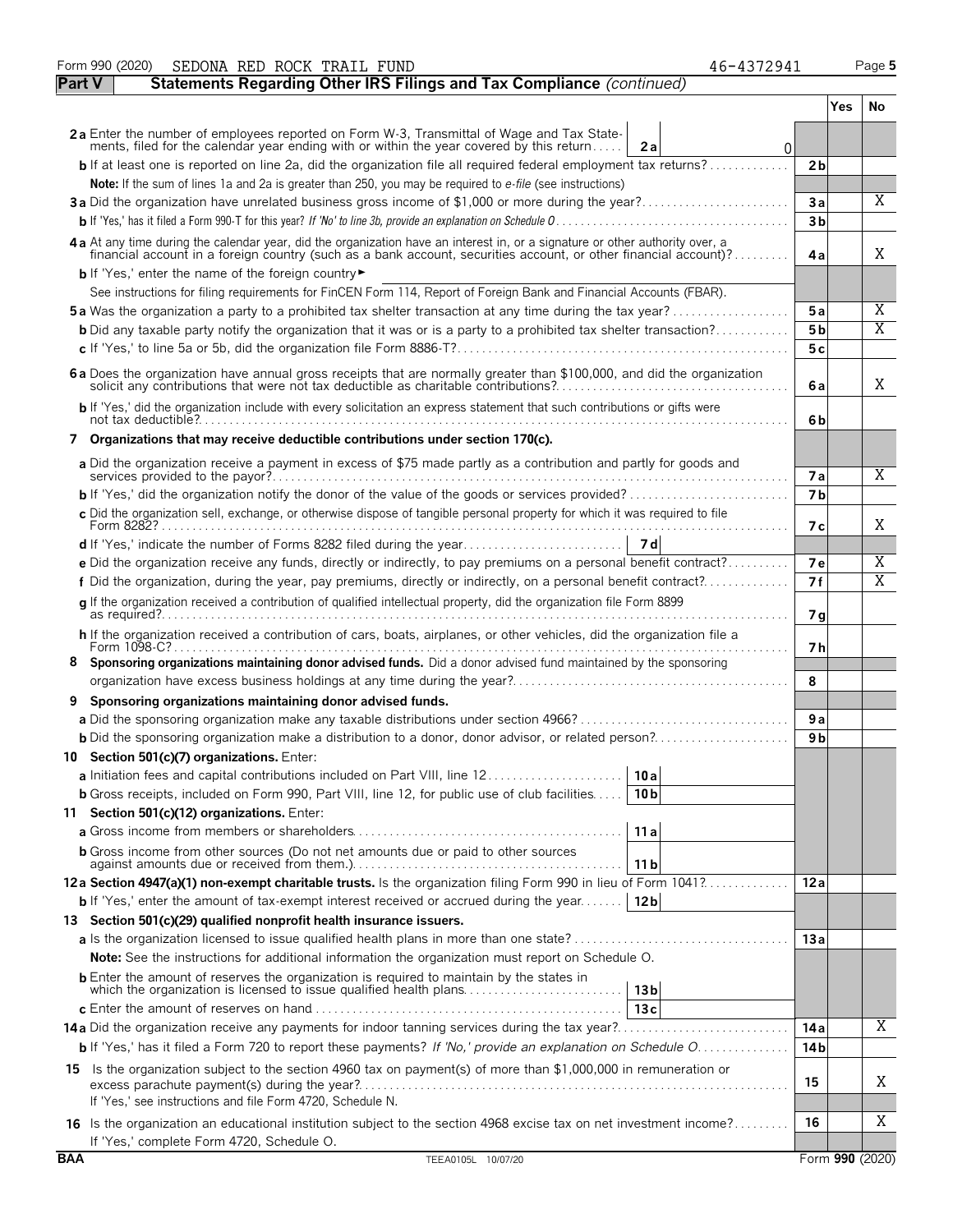|               | Form 990 (2020)<br>SEDONA RED ROCK TRAIL FUND<br>46-4372941                                                                                                                                                                    |                |     | Page 5          |
|---------------|--------------------------------------------------------------------------------------------------------------------------------------------------------------------------------------------------------------------------------|----------------|-----|-----------------|
| <b>Part V</b> | Statements Regarding Other IRS Filings and Tax Compliance (continued)                                                                                                                                                          |                |     |                 |
|               |                                                                                                                                                                                                                                |                | Yes | No.             |
|               | 2a Enter the number of employees reported on Form W-3, Transmittal of Wage and Tax State-                                                                                                                                      |                |     |                 |
|               | ments, filed for the calendar year ending with or within the year covered by this return<br>2a<br>0                                                                                                                            |                |     |                 |
|               | $\mathsf{b}$ If at least one is reported on line 2a, did the organization file all required federal employment tax returns?                                                                                                    | 2 <sub>b</sub> |     |                 |
|               | Note: If the sum of lines 1a and 2a is greater than 250, you may be required to e-file (see instructions)                                                                                                                      |                |     |                 |
|               | 3a Did the organization have unrelated business gross income of \$1,000 or more during the year?                                                                                                                               | 3a             |     | X               |
|               |                                                                                                                                                                                                                                | 3 <sub>b</sub> |     |                 |
|               |                                                                                                                                                                                                                                |                |     |                 |
|               | 4a At any time during the calendar year, did the organization have an interest in, or a signature or other authority over, a financial account in a foreign country (such as a bank account, securities account, or other fina | 4a             |     | X               |
|               | <b>b</b> If 'Yes,' enter the name of the foreign country                                                                                                                                                                       |                |     |                 |
|               | See instructions for filing requirements for FinCEN Form 114, Report of Foreign Bank and Financial Accounts (FBAR).                                                                                                            |                |     |                 |
|               | <b>5a</b> Was the organization a party to a prohibited tax shelter transaction at any time during the tax year?                                                                                                                | 5a             |     | Χ               |
|               | <b>b</b> Did any taxable party notify the organization that it was or is a party to a prohibited tax shelter transaction?                                                                                                      | 5 b            |     | X               |
|               |                                                                                                                                                                                                                                | 5c             |     |                 |
|               |                                                                                                                                                                                                                                |                |     |                 |
|               | 6 a Does the organization have annual gross receipts that are normally greater than \$100,000, and did the organization solicit any contributions that were not tax deductible as charitable contributions?                    | 6a             |     | X               |
|               | b If 'Yes,' did the organization include with every solicitation an express statement that such contributions or gifts were                                                                                                    |                |     |                 |
|               |                                                                                                                                                                                                                                | 6b             |     |                 |
|               | 7 Organizations that may receive deductible contributions under section 170(c).                                                                                                                                                |                |     |                 |
|               |                                                                                                                                                                                                                                |                |     |                 |
|               | a Did the organization receive a payment in excess of \$75 made partly as a contribution and partly for goods and                                                                                                              | <b>7a</b>      |     | X               |
|               |                                                                                                                                                                                                                                | 7 <sub>b</sub> |     |                 |
|               | c Did the organization sell, exchange, or otherwise dispose of tangible personal property for which it was required to file                                                                                                    |                |     |                 |
|               |                                                                                                                                                                                                                                | 7 с            |     | X               |
|               |                                                                                                                                                                                                                                |                |     |                 |
|               | e Did the organization receive any funds, directly or indirectly, to pay premiums on a personal benefit contract?                                                                                                              | 7e             |     | Χ               |
|               | f Did the organization, during the year, pay premiums, directly or indirectly, on a personal benefit contract?                                                                                                                 | 7f             |     | Χ               |
|               | g If the organization received a contribution of qualified intellectual property, did the organization file Form 8899                                                                                                          |                |     |                 |
|               |                                                                                                                                                                                                                                | 7g             |     |                 |
|               | h If the organization received a contribution of cars, boats, airplanes, or other vehicles, did the organization file a                                                                                                        |                |     |                 |
|               |                                                                                                                                                                                                                                | 7 h            |     |                 |
|               | Sponsoring organizations maintaining donor advised funds. Did a donor advised fund maintained by the sponsoring                                                                                                                |                |     |                 |
|               |                                                                                                                                                                                                                                | 8              |     |                 |
| 9             | Sponsoring organizations maintaining donor advised funds.                                                                                                                                                                      |                |     |                 |
|               |                                                                                                                                                                                                                                | 9a             |     |                 |
|               |                                                                                                                                                                                                                                | 9 b            |     |                 |
|               | 10 Section 501(c)(7) organizations. Enter:                                                                                                                                                                                     |                |     |                 |
|               | 10 a                                                                                                                                                                                                                           |                |     |                 |
|               | <b>b</b> Gross receipts, included on Form 990, Part VIII, line 12, for public use of club facilities<br>10 <sub>b</sub>                                                                                                        |                |     |                 |
|               | 11 Section 501(c)(12) organizations. Enter:                                                                                                                                                                                    |                |     |                 |
|               | 11a                                                                                                                                                                                                                            |                |     |                 |
|               | <b>b</b> Gross income from other sources (Do not net amounts due or paid to other sources                                                                                                                                      |                |     |                 |
|               | 11 b                                                                                                                                                                                                                           |                |     |                 |
|               | 12a Section 4947(a)(1) non-exempt charitable trusts. Is the organization filing Form 990 in lieu of Form 1041?                                                                                                                 | 12a            |     |                 |
|               | <b>b</b> If 'Yes,' enter the amount of tax-exempt interest received or accrued during the year <b>12b</b>                                                                                                                      |                |     |                 |
|               | 13 Section 501(c)(29) qualified nonprofit health insurance issuers.                                                                                                                                                            |                |     |                 |
|               |                                                                                                                                                                                                                                | 13a            |     |                 |
|               | <b>Note:</b> See the instructions for additional information the organization must report on Schedule O.                                                                                                                       |                |     |                 |
|               | <b>b</b> Enter the amount of reserves the organization is required to maintain by the states in                                                                                                                                |                |     |                 |
|               | which the organization is licensed to issue qualified health plans<br>13 <sub>b</sub>                                                                                                                                          |                |     |                 |
|               | 13c                                                                                                                                                                                                                            |                |     | Χ               |
|               |                                                                                                                                                                                                                                | 14 a           |     |                 |
|               | b If 'Yes,' has it filed a Form 720 to report these payments? If 'No,' provide an explanation on Schedule O                                                                                                                    | 14 b           |     |                 |
|               | 15 Is the organization subject to the section 4960 tax on payment(s) of more than \$1,000,000 in remuneration or                                                                                                               |                |     |                 |
|               |                                                                                                                                                                                                                                | 15             |     | Χ               |
|               | If 'Yes,' see instructions and file Form 4720, Schedule N.                                                                                                                                                                     |                |     |                 |
|               | 16 Is the organization an educational institution subject to the section 4968 excise tax on net investment income?                                                                                                             | 16             |     | Χ               |
|               | If 'Yes,' complete Form 4720, Schedule O.                                                                                                                                                                                      |                |     |                 |
| <b>BAA</b>    | TEEA0105L 10/07/20                                                                                                                                                                                                             |                |     | Form 990 (2020) |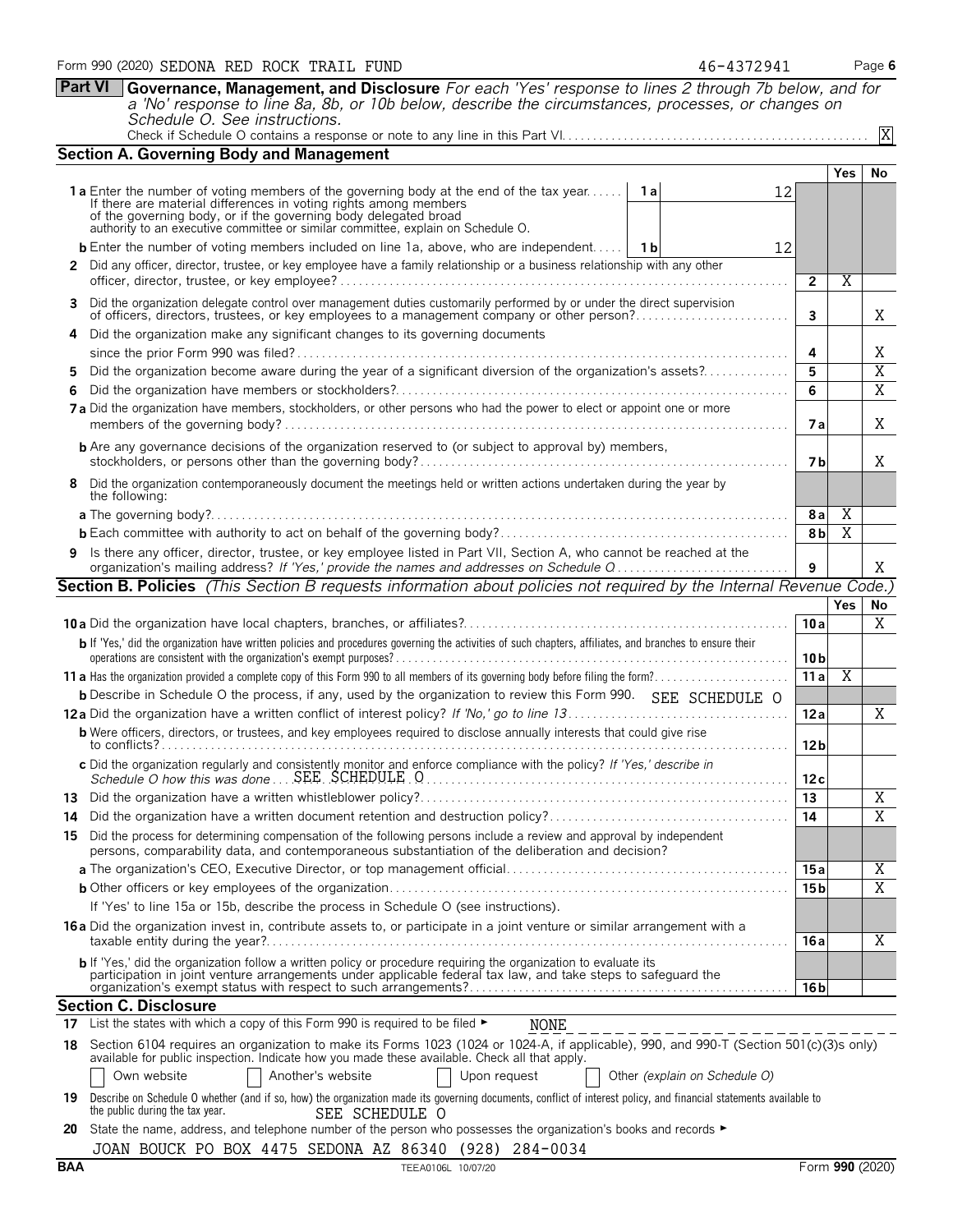l

| <b>Part VI</b> | Governance, Management, and Disclosure For each 'Yes' response to lines 2 through 7b below, and for                                                                                                                                        |                 |                         |                         |
|----------------|--------------------------------------------------------------------------------------------------------------------------------------------------------------------------------------------------------------------------------------------|-----------------|-------------------------|-------------------------|
|                | a 'No' response to line 8a, 8b, or 10b below, describe the circumstances, processes, or changes on<br>Schedule O. See instructions.                                                                                                        |                 |                         |                         |
|                |                                                                                                                                                                                                                                            |                 |                         | X                       |
|                | <b>Section A. Governing Body and Management</b>                                                                                                                                                                                            |                 |                         |                         |
|                |                                                                                                                                                                                                                                            |                 | Yes                     | No                      |
|                | <b>1a</b> Enter the number of voting members of the governing body at the end of the tax year<br>12                                                                                                                                        |                 |                         |                         |
|                | If there are material differences in voting rights among members                                                                                                                                                                           |                 |                         |                         |
|                | of the governing body, or if the governing body delegated broad<br>authority to an executive committee or similar committee, explain on Schedule O.                                                                                        |                 |                         |                         |
|                | <b>b</b> Enter the number of voting members included on line 1a, above, who are independent   1b<br>12                                                                                                                                     |                 |                         |                         |
|                | 2 Did any officer, director, trustee, or key employee have a family relationship or a business relationship with any other                                                                                                                 |                 |                         |                         |
|                |                                                                                                                                                                                                                                            | $\overline{2}$  | $\overline{\text{X}}$   |                         |
| 3              | Did the organization delegate control over management duties customarily performed by or under the direct supervision<br>of officers, directors, trustees, or key employees to a management company or other person?                       | 3               |                         | X                       |
|                | Did the organization make any significant changes to its governing documents                                                                                                                                                               |                 |                         |                         |
|                |                                                                                                                                                                                                                                            | 4               |                         | Χ                       |
|                | Did the organization become aware during the year of a significant diversion of the organization's assets?                                                                                                                                 | 5               |                         | $\overline{X}$          |
|                |                                                                                                                                                                                                                                            | 6               |                         | $\overline{X}$          |
|                | 7a Did the organization have members, stockholders, or other persons who had the power to elect or appoint one or more                                                                                                                     |                 |                         |                         |
|                |                                                                                                                                                                                                                                            | <b>7a</b>       |                         | X                       |
|                | <b>b</b> Are any governance decisions of the organization reserved to (or subject to approval by) members,                                                                                                                                 |                 |                         |                         |
|                |                                                                                                                                                                                                                                            | 7 <sub>b</sub>  |                         | X                       |
| 8              | Did the organization contemporaneously document the meetings held or written actions undertaken during the year by<br>the following:                                                                                                       |                 |                         |                         |
|                |                                                                                                                                                                                                                                            | 8a              | X                       |                         |
|                |                                                                                                                                                                                                                                            | 8b              | $\overline{\mathbf{X}}$ |                         |
|                | 9 Is there any officer, director, trustee, or key employee listed in Part VII, Section A, who cannot be reached at the<br>organization's mailing address? If 'Yes,' provide the names and addresses on Schedule Q                          | 9               |                         | X                       |
|                | <b>Section B. Policies</b> (This Section B requests information about policies not required by the Internal Revenue Code.)                                                                                                                 |                 |                         |                         |
|                |                                                                                                                                                                                                                                            |                 | Yes                     | No                      |
|                |                                                                                                                                                                                                                                            | 10a             |                         | X                       |
|                | b If 'Yes,' did the organization have written policies and procedures governing the activities of such chapters, affiliates, and branches to ensure their                                                                                  |                 |                         |                         |
|                |                                                                                                                                                                                                                                            | 10 <sub>b</sub> |                         |                         |
|                |                                                                                                                                                                                                                                            | 11a             | $\overline{X}$          |                         |
|                | <b>b</b> Describe in Schedule O the process, if any, used by the organization to review this Form 990. SEE SCHEDULE O                                                                                                                      |                 |                         |                         |
|                |                                                                                                                                                                                                                                            | 12a             |                         | Χ                       |
|                | <b>b</b> Were officers, directors, or trustees, and key employees required to disclose annually interests that could give rise                                                                                                             | 12 <sub>b</sub> |                         |                         |
|                | c Did the organization regularly and consistently monitor and enforce compliance with the policy? If 'Yes,' describe in                                                                                                                    | 12c             |                         |                         |
| 13             |                                                                                                                                                                                                                                            | 13              |                         | X                       |
| 14             |                                                                                                                                                                                                                                            | 14              |                         | $\overline{\mathrm{X}}$ |
|                | 15 Did the process for determining compensation of the following persons include a review and approval by independent                                                                                                                      |                 |                         |                         |
|                | persons, comparability data, and contemporaneous substantiation of the deliberation and decision?                                                                                                                                          |                 |                         |                         |
|                |                                                                                                                                                                                                                                            | 15a             |                         | Χ                       |
|                |                                                                                                                                                                                                                                            | 15 <sub>b</sub> |                         | $\overline{X}$          |
|                | If 'Yes' to line 15a or 15b, describe the process in Schedule O (see instructions).                                                                                                                                                        |                 |                         |                         |
|                | <b>16a</b> Did the organization invest in, contribute assets to, or participate in a joint venture or similar arrangement with a                                                                                                           |                 |                         | X                       |
|                |                                                                                                                                                                                                                                            | 16 a            |                         |                         |
|                | b If 'Yes,' did the organization follow a written policy or procedure requiring the organization to evaluate its<br>participation in joint venture arrangements under applicable federal tax law, and take steps to safeguard the          |                 |                         |                         |
|                |                                                                                                                                                                                                                                            | 16 bl           |                         |                         |
|                | <b>Section C. Disclosure</b><br>List the states with which a copy of this Form 990 is required to be filed ►                                                                                                                               |                 |                         |                         |
| 17             | NONE                                                                                                                                                                                                                                       |                 |                         |                         |
|                | 18 Section 6104 requires an organization to make its Forms 1023 (1024 or 1024-A, if applicable), 990, and 990-T (Section 501(c)(3)s only)<br>available for public inspection. Indicate how you made these available. Check all that apply. |                 |                         |                         |
|                | Another's website<br>Own website<br>Upon request<br>Other (explain on Schedule O)                                                                                                                                                          |                 |                         |                         |
| 19             | Describe on Schedule O whether (and if so, how) the organization made its governing documents, conflict of interest policy, and financial statements available to<br>the public during the tax year.<br>SEE SCHEDULE O                     |                 |                         |                         |
| 20             | State the name, address, and telephone number of the person who possesses the organization's books and records ►                                                                                                                           |                 |                         |                         |
|                | JOAN BOUCK PO BOX 4475 SEDONA AZ 86340 (928) 284-0034                                                                                                                                                                                      |                 |                         |                         |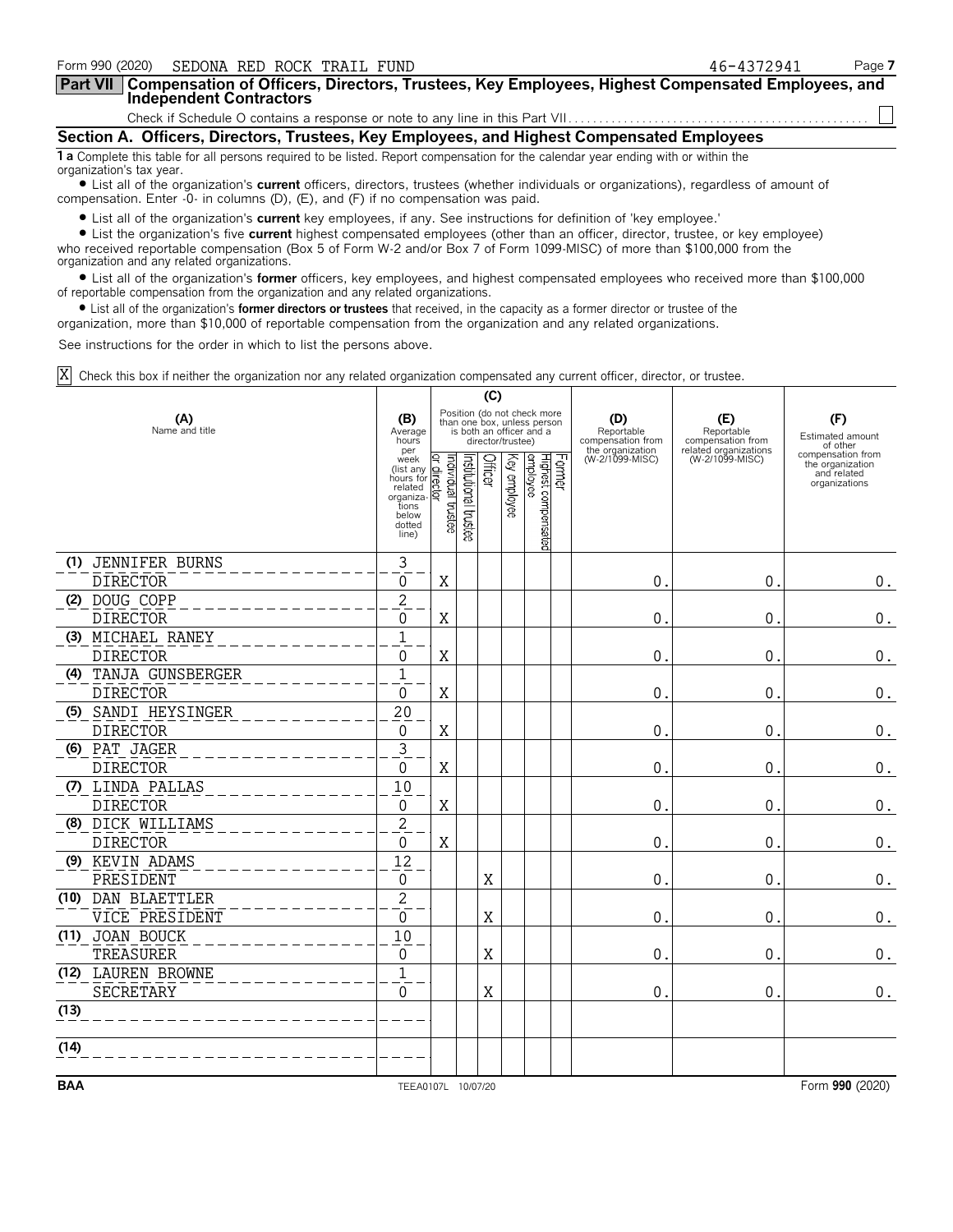| Form 990 (2020) SEDONA RED ROCK TRAIL FUND                                                                                                                                                                                                                                                                        | 46-4372941 | Page 7 |
|-------------------------------------------------------------------------------------------------------------------------------------------------------------------------------------------------------------------------------------------------------------------------------------------------------------------|------------|--------|
| Part VII   Compensation of Officers, Directors, Trustees, Key Employees, Highest Compensated Employees, and<br><b>Independent Contractors</b>                                                                                                                                                                     |            |        |
|                                                                                                                                                                                                                                                                                                                   |            |        |
| Section A. Officers, Directors, Trustees, Key Employees, and Highest Compensated Employees                                                                                                                                                                                                                        |            |        |
| <b>1 a</b> Complete this table for all persons required to be listed. Report compensation for the calendar year ending with or within the<br>organization's tax year.<br>▲ File Hold His consideration is concerned affirmed the class that the bound of the file of consideration is considered and concerned af |            |        |

? List all of the organization's **current** officers, directors, trustees (whether individuals or organizations), regardless of amount of compensation. Enter -0- in columns (D), (E), and (F) if no compensation was paid.

? List all of the organization's **current** key employees, if any. See instructions for definition of 'key employee.'

? List the organization's five **current** highest compensated employees (other than an officer, director, trustee, or key employee) who received reportable compensation (Box 5 of Form W-2 and/or Box 7 of Form 1099-MISC) of more than \$100,000 from the organization and any related organizations.

? List all of the organization's **former** officers, key employees, and highest compensated employees who received more than \$100,000 of reportable compensation from the organization and any related organizations.

? List all of the organization's **former directors or trustees** that received, in the capacity as a former director or trustee of the

organization, more than \$10,000 of reportable compensation from the organization and any related organizations.

See instructions for the order in which to list the persons above.

Check this box if neither the organization nor any related organization compensated any current officer, director, or trustee. X

|            |                       |                                                                                                    | (C)                               |                                                                                                             |         |              |                                           |  |                                                            |                                                                 |                                                                       |
|------------|-----------------------|----------------------------------------------------------------------------------------------------|-----------------------------------|-------------------------------------------------------------------------------------------------------------|---------|--------------|-------------------------------------------|--|------------------------------------------------------------|-----------------------------------------------------------------|-----------------------------------------------------------------------|
|            | (A)<br>Name and title |                                                                                                    |                                   | Position (do not check more<br>than one box, unless person<br>is both an officer and a<br>director/trustee) |         |              |                                           |  | (D)<br>Reportable<br>compensation from<br>the organization | (E)<br>Reportable<br>compensation from<br>related organizations | (F)<br>Estimated amount<br>of other                                   |
|            |                       | per<br>week<br>(list any<br>hours for<br>related<br>organiza-<br>tions<br>below<br>dotted<br>line) | ndividual trustee<br>direct<br>াই | Institutional trustee                                                                                       | Officer | Key employee | Former<br>Highest compensated<br>employee |  | (W-2/1099-MISC)                                            | (W-2/1099-MISC)                                                 | compensation from<br>the organization<br>and related<br>organizations |
|            | (1) JENNIFER BURNS    | $\ensuremath{\mathsf{3}}$                                                                          |                                   |                                                                                                             |         |              |                                           |  |                                                            |                                                                 |                                                                       |
|            | <b>DIRECTOR</b>       | $\Omega$                                                                                           | $\rm X$                           |                                                                                                             |         |              |                                           |  | $\mathbf 0$                                                | 0.                                                              | $0$ .                                                                 |
|            | (2) DOUG COPP         | $\overline{2}$                                                                                     |                                   |                                                                                                             |         |              |                                           |  |                                                            |                                                                 |                                                                       |
|            | <b>DIRECTOR</b>       | 0                                                                                                  | Χ                                 |                                                                                                             |         |              |                                           |  | $\mathbf 0$                                                | 0.                                                              | 0.                                                                    |
|            | (3) MICHAEL RANEY     | $\mathbf{1}$                                                                                       |                                   |                                                                                                             |         |              |                                           |  |                                                            |                                                                 |                                                                       |
|            | <b>DIRECTOR</b>       | $\Omega$                                                                                           | X                                 |                                                                                                             |         |              |                                           |  | $\mathsf 0$                                                | 0.                                                              | $0$ .                                                                 |
|            | (4) TANJA GUNSBERGER  | $\mathbf{1}$                                                                                       |                                   |                                                                                                             |         |              |                                           |  |                                                            |                                                                 |                                                                       |
|            | <b>DIRECTOR</b>       | $\Omega$                                                                                           | $\mathbf X$                       |                                                                                                             |         |              |                                           |  | $\mathbf 0$                                                | 0.                                                              | $0$ .                                                                 |
|            | (5) SANDI HEYSINGER   | 20                                                                                                 |                                   |                                                                                                             |         |              |                                           |  |                                                            |                                                                 |                                                                       |
|            | <b>DIRECTOR</b>       | $\mathbf 0$                                                                                        | X                                 |                                                                                                             |         |              |                                           |  | $\mathbf 0$                                                | 0.                                                              | 0.                                                                    |
|            | (6) PAT JAGER         | $\overline{3}$                                                                                     |                                   |                                                                                                             |         |              |                                           |  |                                                            |                                                                 |                                                                       |
|            | <b>DIRECTOR</b>       | $\Omega$                                                                                           | $\rm X$                           |                                                                                                             |         |              |                                           |  | $\mathbf 0$                                                | 0.                                                              | $0_{.}$                                                               |
|            | (7) LINDA PALLAS      | 10                                                                                                 |                                   |                                                                                                             |         |              |                                           |  |                                                            |                                                                 |                                                                       |
|            | <b>DIRECTOR</b>       | 0                                                                                                  | X                                 |                                                                                                             |         |              |                                           |  | $\pmb{0}$                                                  | 0.                                                              | 0.                                                                    |
|            | (8) DICK WILLIAMS     | $\overline{2}$                                                                                     |                                   |                                                                                                             |         |              |                                           |  |                                                            |                                                                 |                                                                       |
|            | <b>DIRECTOR</b>       | $\mathbf 0$                                                                                        | $\rm X$                           |                                                                                                             |         |              |                                           |  | $\mathbf 0$                                                | 0.                                                              | $0$ .                                                                 |
|            | (9) KEVIN ADAMS       | 12                                                                                                 |                                   |                                                                                                             |         |              |                                           |  |                                                            |                                                                 |                                                                       |
|            | PRESIDENT             | $\mathbf 0$                                                                                        |                                   |                                                                                                             | X       |              |                                           |  | $\mathbf 0$                                                | 0.                                                              | $\boldsymbol{0}$ .                                                    |
|            | (10) DAN BLAETTLER    | $\overline{c}$                                                                                     |                                   |                                                                                                             |         |              |                                           |  |                                                            |                                                                 |                                                                       |
|            | VICE PRESIDENT        | $\mathbf 0$                                                                                        |                                   |                                                                                                             | X       |              |                                           |  | $\mathbf 0$                                                | 0.                                                              | $0$ .                                                                 |
|            | (11) JOAN BOUCK       | 10                                                                                                 |                                   |                                                                                                             |         |              |                                           |  |                                                            |                                                                 |                                                                       |
|            | TREASURER             | $\overline{0}$                                                                                     |                                   |                                                                                                             | X       |              |                                           |  | $\mathbf{0}$                                               | 0.                                                              | $0$ .                                                                 |
| (12)       | <b>LAUREN BROWNE</b>  | $\mathbf{1}$                                                                                       |                                   |                                                                                                             |         |              |                                           |  |                                                            |                                                                 |                                                                       |
|            | SECRETARY             | 0                                                                                                  |                                   |                                                                                                             | X       |              |                                           |  | $\mathbf{0}$                                               | 0.                                                              | $0$ .                                                                 |
| (13)       |                       |                                                                                                    |                                   |                                                                                                             |         |              |                                           |  |                                                            |                                                                 |                                                                       |
| (14)       |                       |                                                                                                    |                                   |                                                                                                             |         |              |                                           |  |                                                            |                                                                 |                                                                       |
| <b>BAA</b> |                       | TEEA0107L 10/07/20                                                                                 |                                   |                                                                                                             |         |              |                                           |  |                                                            |                                                                 | Form 990 (2020)                                                       |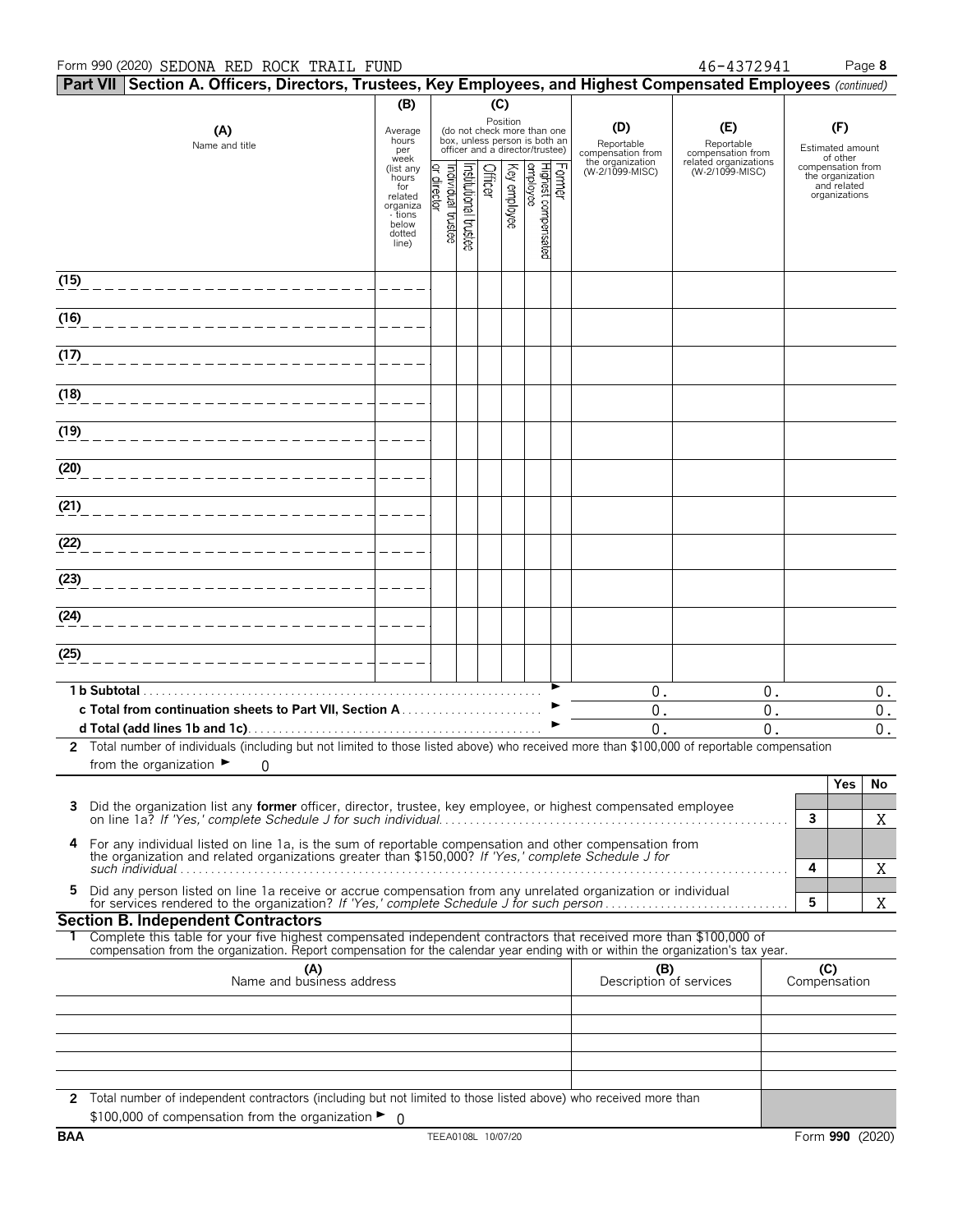#### Form 990 (2020) Page **8** SEDONA RED ROCK TRAIL FUND 46-4372941

|      | Part VII Section A. Officers, Directors, Trustees, Key Employees, and Highest Compensated Employees (continued)                                                                                                                                        |                                                                                                 |                                  |                      |         |              |                                                                                                             |        |                                        |                                          |                         |                                                                                   |                    |
|------|--------------------------------------------------------------------------------------------------------------------------------------------------------------------------------------------------------------------------------------------------------|-------------------------------------------------------------------------------------------------|----------------------------------|----------------------|---------|--------------|-------------------------------------------------------------------------------------------------------------|--------|----------------------------------------|------------------------------------------|-------------------------|-----------------------------------------------------------------------------------|--------------------|
|      |                                                                                                                                                                                                                                                        | (B)                                                                                             |                                  |                      | (C)     |              |                                                                                                             |        |                                        |                                          |                         |                                                                                   |                    |
|      | (A)<br>Name and title                                                                                                                                                                                                                                  | Average<br>hours<br>per                                                                         |                                  |                      |         |              | Position<br>(do not check more than one<br>box, unless person is both an<br>officer and a director/trustee) |        | (D)<br>Reportable<br>compensation from | (E)<br>Reportable<br>compensation from   |                         | (F)<br>Estimated amount                                                           |                    |
|      |                                                                                                                                                                                                                                                        | week<br>(list any<br>hours<br>for<br>related<br>organiza<br>- tions<br>below<br>dotted<br>line) | or director<br>ndividual trustee | nstitutional trustee | Officer | Key employee | Highest compensated<br>employee                                                                             | Former | the organization<br>(W-2/1099-MISC)    | related organizations<br>(W-2/1099-MISC) |                         | of other<br>compensation from<br>the organization<br>and related<br>organizations |                    |
| (15) |                                                                                                                                                                                                                                                        |                                                                                                 |                                  |                      |         |              |                                                                                                             |        |                                        |                                          |                         |                                                                                   |                    |
| (16) |                                                                                                                                                                                                                                                        |                                                                                                 |                                  |                      |         |              |                                                                                                             |        |                                        |                                          |                         |                                                                                   |                    |
| (17) |                                                                                                                                                                                                                                                        |                                                                                                 |                                  |                      |         |              |                                                                                                             |        |                                        |                                          |                         |                                                                                   |                    |
| (18) |                                                                                                                                                                                                                                                        |                                                                                                 |                                  |                      |         |              |                                                                                                             |        |                                        |                                          |                         |                                                                                   |                    |
| (19) |                                                                                                                                                                                                                                                        |                                                                                                 |                                  |                      |         |              |                                                                                                             |        |                                        |                                          |                         |                                                                                   |                    |
| (20) |                                                                                                                                                                                                                                                        |                                                                                                 |                                  |                      |         |              |                                                                                                             |        |                                        |                                          |                         |                                                                                   |                    |
| (21) |                                                                                                                                                                                                                                                        |                                                                                                 |                                  |                      |         |              |                                                                                                             |        |                                        |                                          |                         |                                                                                   |                    |
| (22) |                                                                                                                                                                                                                                                        |                                                                                                 |                                  |                      |         |              |                                                                                                             |        |                                        |                                          |                         |                                                                                   |                    |
| (23) |                                                                                                                                                                                                                                                        |                                                                                                 |                                  |                      |         |              |                                                                                                             |        |                                        |                                          |                         |                                                                                   |                    |
| (24) |                                                                                                                                                                                                                                                        |                                                                                                 |                                  |                      |         |              |                                                                                                             |        |                                        |                                          |                         |                                                                                   |                    |
| (25) |                                                                                                                                                                                                                                                        |                                                                                                 |                                  |                      |         |              |                                                                                                             |        |                                        |                                          |                         |                                                                                   |                    |
|      | 1 b Subtotal                                                                                                                                                                                                                                           |                                                                                                 |                                  |                      |         |              |                                                                                                             |        | 0.                                     | $0$ .                                    |                         |                                                                                   | 0.                 |
|      |                                                                                                                                                                                                                                                        |                                                                                                 |                                  |                      |         |              |                                                                                                             |        | 0.                                     | $0$ .                                    |                         |                                                                                   | $\boldsymbol{0}$ . |
|      | 2 Total number of individuals (including but not limited to those listed above) who received more than \$100,000 of reportable compensation                                                                                                            |                                                                                                 |                                  |                      |         |              |                                                                                                             |        | $\mathbf{0}$ .                         | 0.                                       |                         |                                                                                   | $\mathbf 0$ .      |
|      | from the organization $\blacktriangleright$<br>0                                                                                                                                                                                                       |                                                                                                 |                                  |                      |         |              |                                                                                                             |        |                                        |                                          |                         |                                                                                   |                    |
|      |                                                                                                                                                                                                                                                        |                                                                                                 |                                  |                      |         |              |                                                                                                             |        |                                        |                                          |                         | Yes                                                                               | No                 |
| 3    | Did the organization list any <b>former</b> officer, director, trustee, key employee, or highest compensated employee                                                                                                                                  |                                                                                                 |                                  |                      |         |              |                                                                                                             |        |                                        |                                          | $\overline{\mathbf{3}}$ |                                                                                   | X                  |
| 4    | For any individual listed on line 1a, is the sum of reportable compensation and other compensation from<br>the organization and related organizations greater than \$150,000? If 'Yes,' complete Schedule J for                                        |                                                                                                 |                                  |                      |         |              |                                                                                                             |        |                                        |                                          |                         |                                                                                   |                    |
| 5    | Did any person listed on line 1a receive or accrue compensation from any unrelated organization or individual                                                                                                                                          |                                                                                                 |                                  |                      |         |              |                                                                                                             |        |                                        |                                          | 4<br>5                  |                                                                                   | X<br>X             |
|      | <b>Section B. Independent Contractors</b>                                                                                                                                                                                                              |                                                                                                 |                                  |                      |         |              |                                                                                                             |        |                                        |                                          |                         |                                                                                   |                    |
|      | Complete this table for your five highest compensated independent contractors that received more than \$100,000 of<br>compensation from the organization. Report compensation for the calendar year ending with or within the organization's tax year. |                                                                                                 |                                  |                      |         |              |                                                                                                             |        |                                        |                                          |                         |                                                                                   |                    |
|      | (A)<br>Name and business address                                                                                                                                                                                                                       |                                                                                                 |                                  |                      |         |              |                                                                                                             |        | (B)<br>Description of services         |                                          | (C)<br>Compensation     |                                                                                   |                    |
|      |                                                                                                                                                                                                                                                        |                                                                                                 |                                  |                      |         |              |                                                                                                             |        |                                        |                                          |                         |                                                                                   |                    |
|      |                                                                                                                                                                                                                                                        |                                                                                                 |                                  |                      |         |              |                                                                                                             |        |                                        |                                          |                         |                                                                                   |                    |
|      |                                                                                                                                                                                                                                                        |                                                                                                 |                                  |                      |         |              |                                                                                                             |        |                                        |                                          |                         |                                                                                   |                    |
|      |                                                                                                                                                                                                                                                        |                                                                                                 |                                  |                      |         |              |                                                                                                             |        |                                        |                                          |                         |                                                                                   |                    |
|      | 2 Total number of independent contractors (including but not limited to those listed above) who received more than<br>\$100,000 of compensation from the organization $\blacktriangleright$ 0                                                          |                                                                                                 |                                  |                      |         |              |                                                                                                             |        |                                        |                                          |                         |                                                                                   |                    |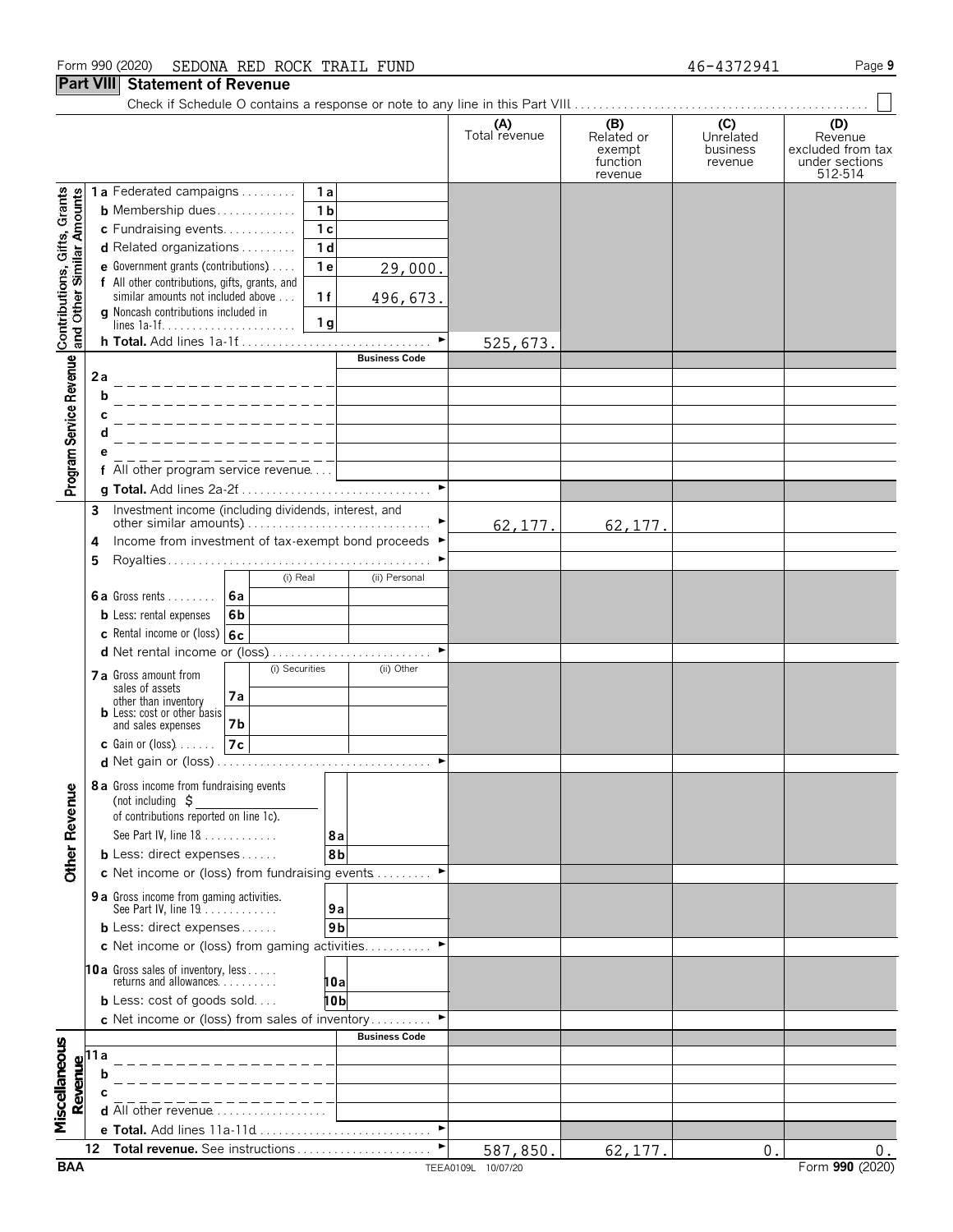#### Form 990 (2020) Page **9** SEDONA RED ROCK TRAIL FUND 46-4372941

### **Part VIII Statement of Revenue**

|                                                           |                                                                                                                    |                      | (A)<br>Total revenue | (B)<br>Related or<br>exempt<br>function<br>revenue | (C)<br>Unrelated<br>business<br>revenue | (D)<br>Revenue<br>excluded from tax<br>under sections<br>512-514 |
|-----------------------------------------------------------|--------------------------------------------------------------------------------------------------------------------|----------------------|----------------------|----------------------------------------------------|-----------------------------------------|------------------------------------------------------------------|
|                                                           | 1a Federated campaigns<br>1 a                                                                                      |                      |                      |                                                    |                                         |                                                                  |
| Contributions, Gifts, Grants<br>and Other Similar Amounts | 1 <sub>b</sub><br><b>b</b> Membership dues                                                                         |                      |                      |                                                    |                                         |                                                                  |
|                                                           | 1 <sub>c</sub><br>c Fundraising events                                                                             |                      |                      |                                                    |                                         |                                                                  |
|                                                           | 1 <sub>d</sub><br>d Related organizations<br>e Government grants (contributions)<br>1e                             |                      |                      |                                                    |                                         |                                                                  |
|                                                           | f All other contributions, gifts, grants, and                                                                      | 29,000.              |                      |                                                    |                                         |                                                                  |
|                                                           | similar amounts not included above<br>1f                                                                           | 496,673.             |                      |                                                    |                                         |                                                                  |
|                                                           | g Noncash contributions included in<br>1 <sub>g</sub>                                                              |                      |                      |                                                    |                                         |                                                                  |
|                                                           | h Total. Add lines 1a-1f                                                                                           |                      | 525,673.             |                                                    |                                         |                                                                  |
|                                                           |                                                                                                                    | <b>Business Code</b> |                      |                                                    |                                         |                                                                  |
| Program Service Revenue                                   | 2а                                                                                                                 |                      |                      |                                                    |                                         |                                                                  |
|                                                           | b                                                                                                                  |                      |                      |                                                    |                                         |                                                                  |
|                                                           |                                                                                                                    |                      |                      |                                                    |                                         |                                                                  |
|                                                           |                                                                                                                    |                      |                      |                                                    |                                         |                                                                  |
|                                                           | f All other program service revenue                                                                                |                      |                      |                                                    |                                         |                                                                  |
|                                                           |                                                                                                                    |                      |                      |                                                    |                                         |                                                                  |
|                                                           | Investment income (including dividends, interest, and<br>3                                                         |                      |                      |                                                    |                                         |                                                                  |
|                                                           |                                                                                                                    |                      | 62,177.              | 62,177.                                            |                                         |                                                                  |
|                                                           | Income from investment of tax-exempt bond proceeds ▶<br>4                                                          |                      |                      |                                                    |                                         |                                                                  |
|                                                           | 5<br>(i) Real                                                                                                      | (ii) Personal        |                      |                                                    |                                         |                                                                  |
|                                                           | 6a<br><b>6a</b> Gross rents                                                                                        |                      |                      |                                                    |                                         |                                                                  |
|                                                           | <b>b</b> Less: rental expenses<br>6b                                                                               |                      |                      |                                                    |                                         |                                                                  |
|                                                           | c Rental income or (loss) 6c                                                                                       |                      |                      |                                                    |                                         |                                                                  |
|                                                           |                                                                                                                    |                      |                      |                                                    |                                         |                                                                  |
|                                                           | (i) Securities<br>7 a Gross amount from                                                                            | (ii) Other           |                      |                                                    |                                         |                                                                  |
|                                                           | sales of assets<br>7a<br>other than inventory                                                                      |                      |                      |                                                    |                                         |                                                                  |
|                                                           | <b>b</b> Less: cost or other basis                                                                                 |                      |                      |                                                    |                                         |                                                                  |
|                                                           | 7b<br>and sales expenses<br>7c<br><b>c</b> Gain or (loss) $\ldots$                                                 |                      |                      |                                                    |                                         |                                                                  |
|                                                           |                                                                                                                    |                      |                      |                                                    |                                         |                                                                  |
|                                                           | 8 a Gross income from fundraising events                                                                           |                      |                      |                                                    |                                         |                                                                  |
| <b>Other Revenue</b>                                      | (not including $\zeta$                                                                                             |                      |                      |                                                    |                                         |                                                                  |
|                                                           | of contributions reported on line 1c).                                                                             |                      |                      |                                                    |                                         |                                                                  |
|                                                           | See Part IV, line 18<br>8а                                                                                         |                      |                      |                                                    |                                         |                                                                  |
|                                                           | <b>b</b> Less: direct expenses<br>8b                                                                               |                      |                      |                                                    |                                         |                                                                  |
|                                                           | c Net income or (loss) from fundraising events                                                                     |                      |                      |                                                    |                                         |                                                                  |
|                                                           | 9 a Gross income from gaming activities.<br>See Part IV, line 19.<br>9а                                            |                      |                      |                                                    |                                         |                                                                  |
|                                                           | 9 <sub>b</sub><br><b>b</b> Less: direct expenses $\ldots$                                                          |                      |                      |                                                    |                                         |                                                                  |
|                                                           | c Net income or (loss) from gaming activities                                                                      |                      |                      |                                                    |                                         |                                                                  |
|                                                           | <b>10a</b> Gross sales of inventory, less                                                                          |                      |                      |                                                    |                                         |                                                                  |
|                                                           | returns and allowances<br>10a                                                                                      |                      |                      |                                                    |                                         |                                                                  |
|                                                           | <b>b</b> Less: $cost$ of goods sold<br>10b                                                                         |                      |                      |                                                    |                                         |                                                                  |
|                                                           | c Net income or (loss) from sales of inventory                                                                     | <b>Business Code</b> |                      |                                                    |                                         |                                                                  |
|                                                           |                                                                                                                    |                      |                      |                                                    |                                         |                                                                  |
| Miscellaneous                                             | $\begin{array}{c}\n\textbf{Re} \\ \textbf{H} \\ \textbf{H} \\ \textbf{H} \\ \textbf{H} \\ \textbf{H}\n\end{array}$ |                      |                      |                                                    |                                         |                                                                  |
|                                                           |                                                                                                                    |                      |                      |                                                    |                                         |                                                                  |
|                                                           | d All other revenue                                                                                                |                      |                      |                                                    |                                         |                                                                  |
|                                                           | e Total. Add lines 11a-11d                                                                                         |                      |                      |                                                    |                                         |                                                                  |
|                                                           | 12<br>Total revenue. See instructions                                                                              |                      | 587,850.             | 62,177.                                            | $0$ .                                   | $0$ .                                                            |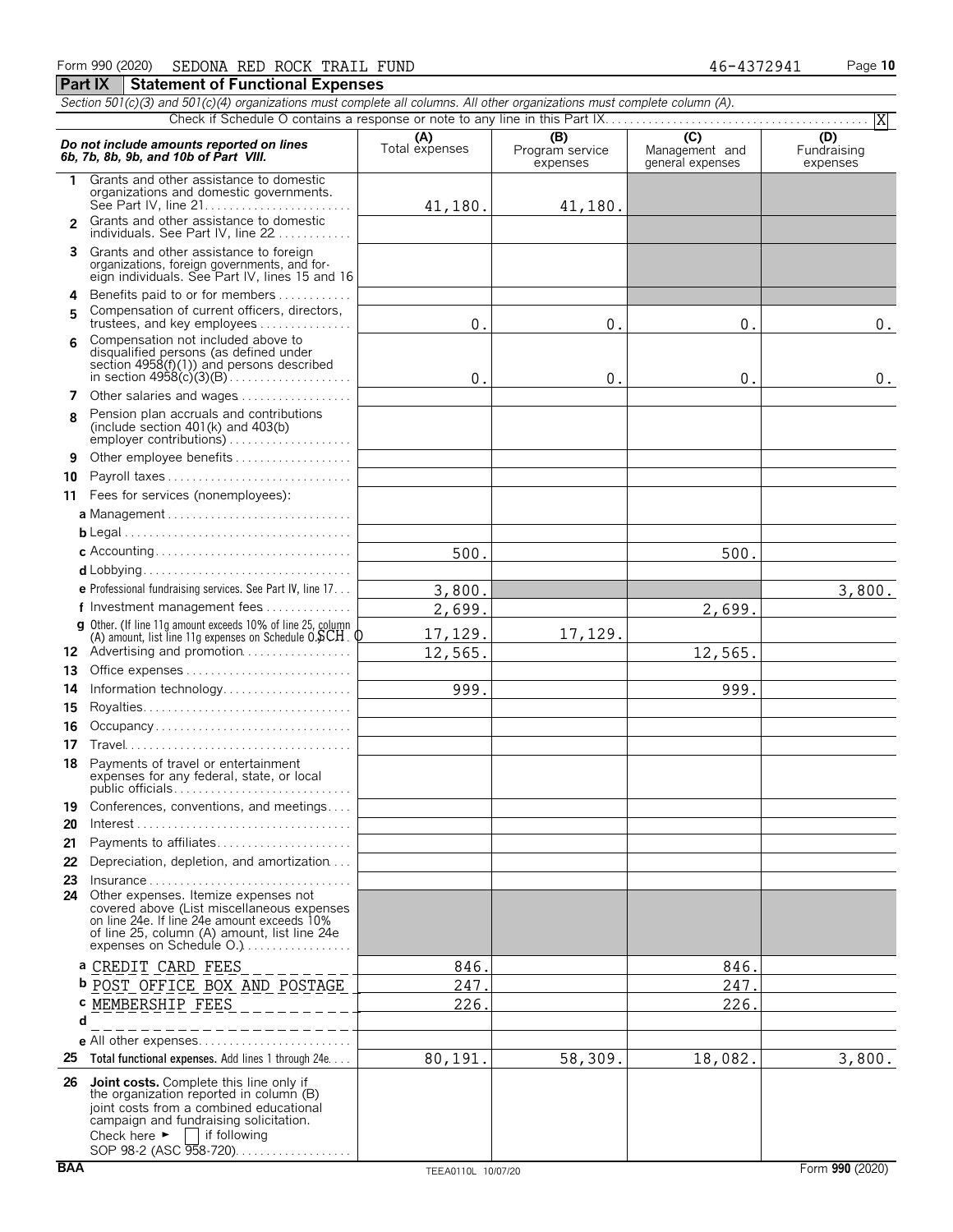|                                                                                                                                                                                                                                            | Section 501(c)(3) and 501(c)(4) organizations must complete all columns. All other organizations must complete column (A).                                                                                                                                      |         |         |         |        |  |  |  |  |
|--------------------------------------------------------------------------------------------------------------------------------------------------------------------------------------------------------------------------------------------|-----------------------------------------------------------------------------------------------------------------------------------------------------------------------------------------------------------------------------------------------------------------|---------|---------|---------|--------|--|--|--|--|
|                                                                                                                                                                                                                                            |                                                                                                                                                                                                                                                                 |         |         |         | X      |  |  |  |  |
| $\overline{C}$<br>(B)<br>(D)<br>(A)<br>Total expenses<br>Do not include amounts reported on lines<br>Management and<br>Program service<br>Fundraising<br>6b, 7b, 8b, 9b, and 10b of Part VIII.<br>general expenses<br>expenses<br>expenses |                                                                                                                                                                                                                                                                 |         |         |         |        |  |  |  |  |
| 1<br>$\mathcal{P}$                                                                                                                                                                                                                         | Grants and other assistance to domestic<br>organizations and domestic governments.<br>See Part IV, line 21<br>Grants and other assistance to domestic<br>individuals. See Part IV, line 22                                                                      | 41,180. | 41,180. |         |        |  |  |  |  |
| 3                                                                                                                                                                                                                                          | Grants and other assistance to foreign<br>organizations, foreign governments, and for-<br>eign individuals. See Part IV, lines 15 and 16                                                                                                                        |         |         |         |        |  |  |  |  |
| 4                                                                                                                                                                                                                                          | Benefits paid to or for members                                                                                                                                                                                                                                 |         |         |         |        |  |  |  |  |
| 5                                                                                                                                                                                                                                          | Compensation of current officers, directors,<br>trustees, and key employees                                                                                                                                                                                     | 0.      | 0.      | 0.      | $0$ .  |  |  |  |  |
| 6                                                                                                                                                                                                                                          | Compensation not included above to<br>disqualified persons (as defined under<br>section 4958(f)(1)) and persons described                                                                                                                                       | 0.      | 0.      | $0$ .   | $0$ .  |  |  |  |  |
| 7                                                                                                                                                                                                                                          | Other salaries and wages                                                                                                                                                                                                                                        |         |         |         |        |  |  |  |  |
| 8                                                                                                                                                                                                                                          | Pension plan accruals and contributions<br>(include section $401(k)$ and $403(b)$ )                                                                                                                                                                             |         |         |         |        |  |  |  |  |
| 9                                                                                                                                                                                                                                          | Other employee benefits                                                                                                                                                                                                                                         |         |         |         |        |  |  |  |  |
| 10                                                                                                                                                                                                                                         |                                                                                                                                                                                                                                                                 |         |         |         |        |  |  |  |  |
| 11                                                                                                                                                                                                                                         | Fees for services (nonemployees):                                                                                                                                                                                                                               |         |         |         |        |  |  |  |  |
|                                                                                                                                                                                                                                            |                                                                                                                                                                                                                                                                 |         |         |         |        |  |  |  |  |
|                                                                                                                                                                                                                                            |                                                                                                                                                                                                                                                                 |         |         |         |        |  |  |  |  |
|                                                                                                                                                                                                                                            |                                                                                                                                                                                                                                                                 | 500.    |         | 500.    |        |  |  |  |  |
|                                                                                                                                                                                                                                            |                                                                                                                                                                                                                                                                 |         |         |         |        |  |  |  |  |
|                                                                                                                                                                                                                                            | e Professional fundraising services. See Part IV, line 17                                                                                                                                                                                                       | 3,800.  |         |         | 3,800. |  |  |  |  |
|                                                                                                                                                                                                                                            | f Investment management fees                                                                                                                                                                                                                                    | 2,699.  |         | 2,699.  |        |  |  |  |  |
|                                                                                                                                                                                                                                            | g Other. (If line 11q amount exceeds 10% of line 25, column<br>(A) amount, list line 11g expenses on Schedule $0.5CH$ . $Q$                                                                                                                                     | 17,129. | 17,129. |         |        |  |  |  |  |
|                                                                                                                                                                                                                                            | 12 Advertising and promotion                                                                                                                                                                                                                                    | 12,565. |         | 12,565. |        |  |  |  |  |
| 13                                                                                                                                                                                                                                         |                                                                                                                                                                                                                                                                 |         |         |         |        |  |  |  |  |
| 14                                                                                                                                                                                                                                         | Information technology                                                                                                                                                                                                                                          | 999.    |         | 999.    |        |  |  |  |  |
| 15                                                                                                                                                                                                                                         |                                                                                                                                                                                                                                                                 |         |         |         |        |  |  |  |  |
| 16                                                                                                                                                                                                                                         | Occupancy                                                                                                                                                                                                                                                       |         |         |         |        |  |  |  |  |
| 17<br>18                                                                                                                                                                                                                                   | Payments of travel or entertainment<br>expenses for any federal, state, or local<br>public officials. $\ldots$ , $\ldots$ , $\ldots$ , $\ldots$                                                                                                                 |         |         |         |        |  |  |  |  |
| 19                                                                                                                                                                                                                                         | Conferences, conventions, and meetings                                                                                                                                                                                                                          |         |         |         |        |  |  |  |  |
| 20                                                                                                                                                                                                                                         | $Interest \dots \dots \dots \dots \dots \dots \dots \dots \dots \dots \dots \dots \dots \dots$                                                                                                                                                                  |         |         |         |        |  |  |  |  |
| 21                                                                                                                                                                                                                                         | Payments to affiliates                                                                                                                                                                                                                                          |         |         |         |        |  |  |  |  |
| 22                                                                                                                                                                                                                                         | Depreciation, depletion, and amortization                                                                                                                                                                                                                       |         |         |         |        |  |  |  |  |
| 23<br>24                                                                                                                                                                                                                                   | $Insurance \ldots \ldots \ldots \ldots \ldots \ldots \ldots \ldots \ldots$<br>Other expenses. Itemize expenses not<br>covered above (List miscellaneous expenses<br>on line 24e. If line 24e amount exceeds 10%<br>of line 25, column (A) amount, list line 24e |         |         |         |        |  |  |  |  |
|                                                                                                                                                                                                                                            | expenses on Schedule O.)                                                                                                                                                                                                                                        |         |         |         |        |  |  |  |  |
|                                                                                                                                                                                                                                            | a CREDIT CARD FEES                                                                                                                                                                                                                                              | 846     |         | 846.    |        |  |  |  |  |
|                                                                                                                                                                                                                                            | <b>b</b> POST OFFICE BOX AND POSTAGE                                                                                                                                                                                                                            | 247     |         | 247.    |        |  |  |  |  |
|                                                                                                                                                                                                                                            | MEMBERSHIP FEES<br>C                                                                                                                                                                                                                                            | 226     |         | 226.    |        |  |  |  |  |
| d                                                                                                                                                                                                                                          | __________                                                                                                                                                                                                                                                      |         |         |         |        |  |  |  |  |
|                                                                                                                                                                                                                                            | e All other expenses                                                                                                                                                                                                                                            |         |         |         |        |  |  |  |  |
| 25                                                                                                                                                                                                                                         | Total functional expenses. Add lines 1 through 24e                                                                                                                                                                                                              | 80,191. | 58,309. | 18,082. | 3,800. |  |  |  |  |
|                                                                                                                                                                                                                                            | 26 Joint costs. Complete this line only if<br>the organization reported in column (B)<br>joint costs from a combined educational<br>campaign and fundraising solicitation.<br>Check here $\blacktriangleright$ $\Box$ if following                              |         |         |         |        |  |  |  |  |

SOP 98-2 (ASC 958-720). . . . . . . . . . . . . . . . .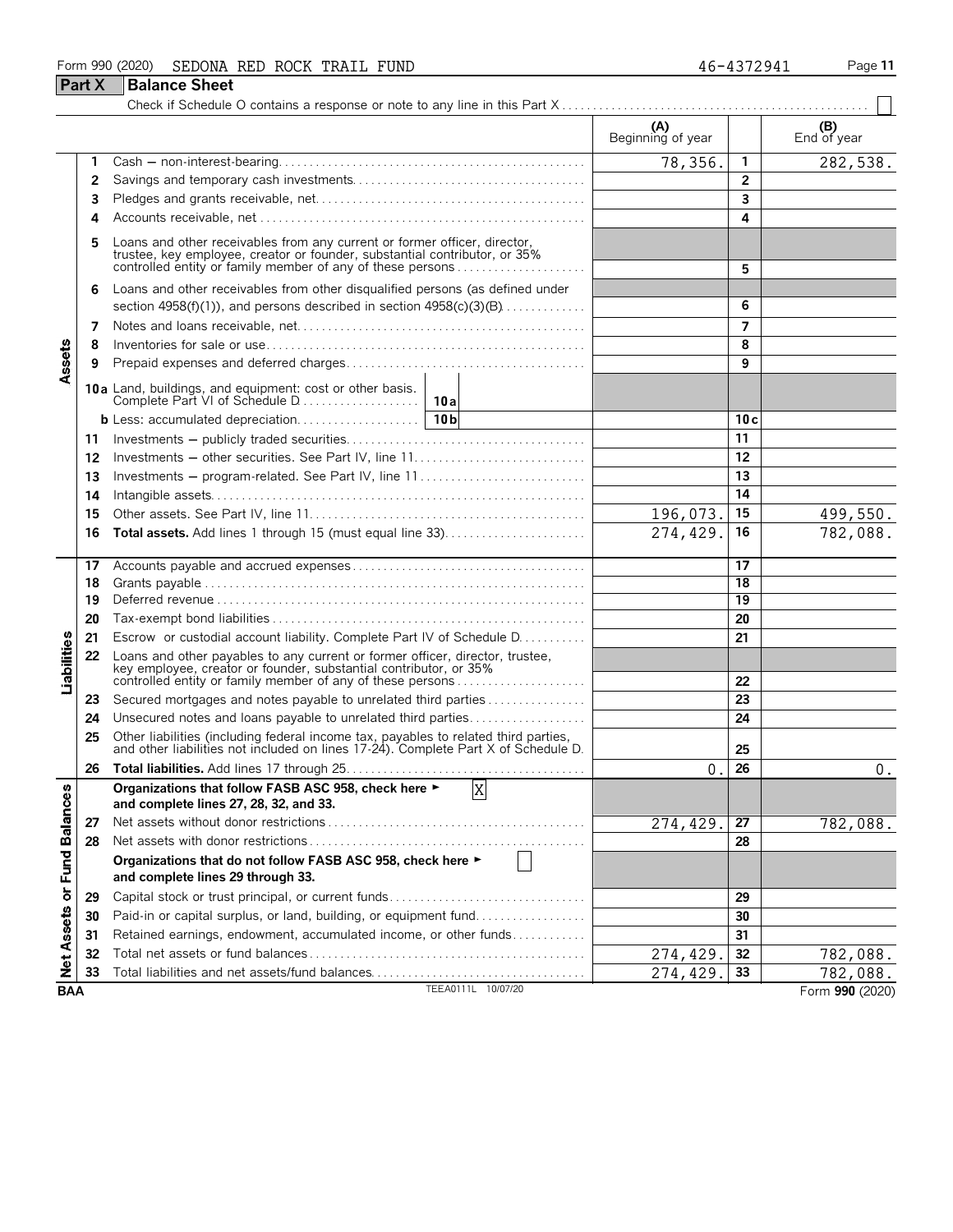#### Form 990 (2020) Page **11** SEDONA RED ROCK TRAIL FUND 46-4372941

|                             | <b>Part X</b> | <b>Balance Sheet</b>                                                                                                                                                                                             |                          |                 |                    |
|-----------------------------|---------------|------------------------------------------------------------------------------------------------------------------------------------------------------------------------------------------------------------------|--------------------------|-----------------|--------------------|
|                             |               |                                                                                                                                                                                                                  |                          |                 |                    |
|                             |               |                                                                                                                                                                                                                  | (A)<br>Beginning of year |                 | (B)<br>End of year |
|                             | 1             |                                                                                                                                                                                                                  | 78,356.                  | 1               | 282,538.           |
|                             | 2             |                                                                                                                                                                                                                  |                          | $\overline{2}$  |                    |
|                             | 3             |                                                                                                                                                                                                                  |                          | 3               |                    |
|                             | 4             |                                                                                                                                                                                                                  |                          | 4               |                    |
|                             | 5             | Loans and other receivables from any current or former officer, director, trustee, key employee, creator or founder, substantial contributor, or 35% controlled entity or family member of any of these persons  |                          | 5               |                    |
|                             | 6             | Loans and other receivables from other disqualified persons (as defined under<br>section $4958(f)(1)$ , and persons described in section $4958(c)(3)(B)$                                                         |                          | 6               |                    |
|                             | 7             |                                                                                                                                                                                                                  |                          | 7               |                    |
|                             | 8             |                                                                                                                                                                                                                  |                          | 8               |                    |
| Assets                      | 9             |                                                                                                                                                                                                                  |                          | 9               |                    |
|                             |               |                                                                                                                                                                                                                  |                          |                 |                    |
|                             |               |                                                                                                                                                                                                                  |                          | 10c             |                    |
|                             | 11            |                                                                                                                                                                                                                  |                          | 11              |                    |
|                             | 12            | Investments - other securities. See Part IV, line 11                                                                                                                                                             |                          | 12              |                    |
|                             | 13            | Investments – program-related. See Part IV, line 11                                                                                                                                                              |                          | 13              |                    |
|                             | 14            |                                                                                                                                                                                                                  |                          | 14              |                    |
|                             | 15            |                                                                                                                                                                                                                  | 196,073.                 | 15              | 499,550.           |
|                             | 16            |                                                                                                                                                                                                                  | 274,429.                 | 16              | 782,088.           |
|                             | 17            |                                                                                                                                                                                                                  |                          | 17              |                    |
|                             | 18            |                                                                                                                                                                                                                  |                          | 18              |                    |
|                             | 19            |                                                                                                                                                                                                                  |                          | $\overline{19}$ |                    |
|                             | 20            |                                                                                                                                                                                                                  |                          | 20              |                    |
|                             | 21            | Escrow or custodial account liability. Complete Part IV of Schedule D.                                                                                                                                           |                          | 21              |                    |
| Liabilities                 | 22            | Loans and other payables to any current or former officer, director, trustee,<br>key employee, creator or founder, substantial contributor, or 35%<br>controlled entity or family member of any of these persons |                          | 22              |                    |
|                             | 23            | Secured mortgages and notes payable to unrelated third parties                                                                                                                                                   |                          | 23              |                    |
|                             | 24            | Unsecured notes and loans payable to unrelated third parties                                                                                                                                                     |                          | 24              |                    |
|                             | 25            | Other liabilities (including federal income tax, payables to related third parties, and other liabilities not included on lines 17-24). Complete Part X of Schedule D.                                           |                          | 25              |                    |
|                             | 26            |                                                                                                                                                                                                                  | 0                        | 26              | 0.                 |
|                             |               | Organizations that follow FASB ASC 958, check here ►<br>X<br>and complete lines 27, 28, 32, and 33.                                                                                                              |                          |                 |                    |
|                             | 27            |                                                                                                                                                                                                                  | 274,429.                 | 27              | 782,088.           |
|                             | 28            |                                                                                                                                                                                                                  |                          | 28              |                    |
| Net Assets or Fund Balances |               | Organizations that do not follow FASB ASC 958, check here ►<br>and complete lines 29 through 33.                                                                                                                 |                          |                 |                    |
|                             | 29            | Capital stock or trust principal, or current funds                                                                                                                                                               |                          | 29              |                    |
|                             | 30            | Paid-in or capital surplus, or land, building, or equipment fund                                                                                                                                                 |                          | 30              |                    |
|                             | 31            | Retained earnings, endowment, accumulated income, or other funds                                                                                                                                                 |                          | 31              |                    |
|                             | 32            |                                                                                                                                                                                                                  | 274,429.                 | 32              | 782,088.           |
|                             | 33            |                                                                                                                                                                                                                  | 274,429.                 | 33              | 782,088.           |
| <b>BAA</b>                  |               | TEEA0111L 10/07/20                                                                                                                                                                                               |                          |                 | Form 990 (2020)    |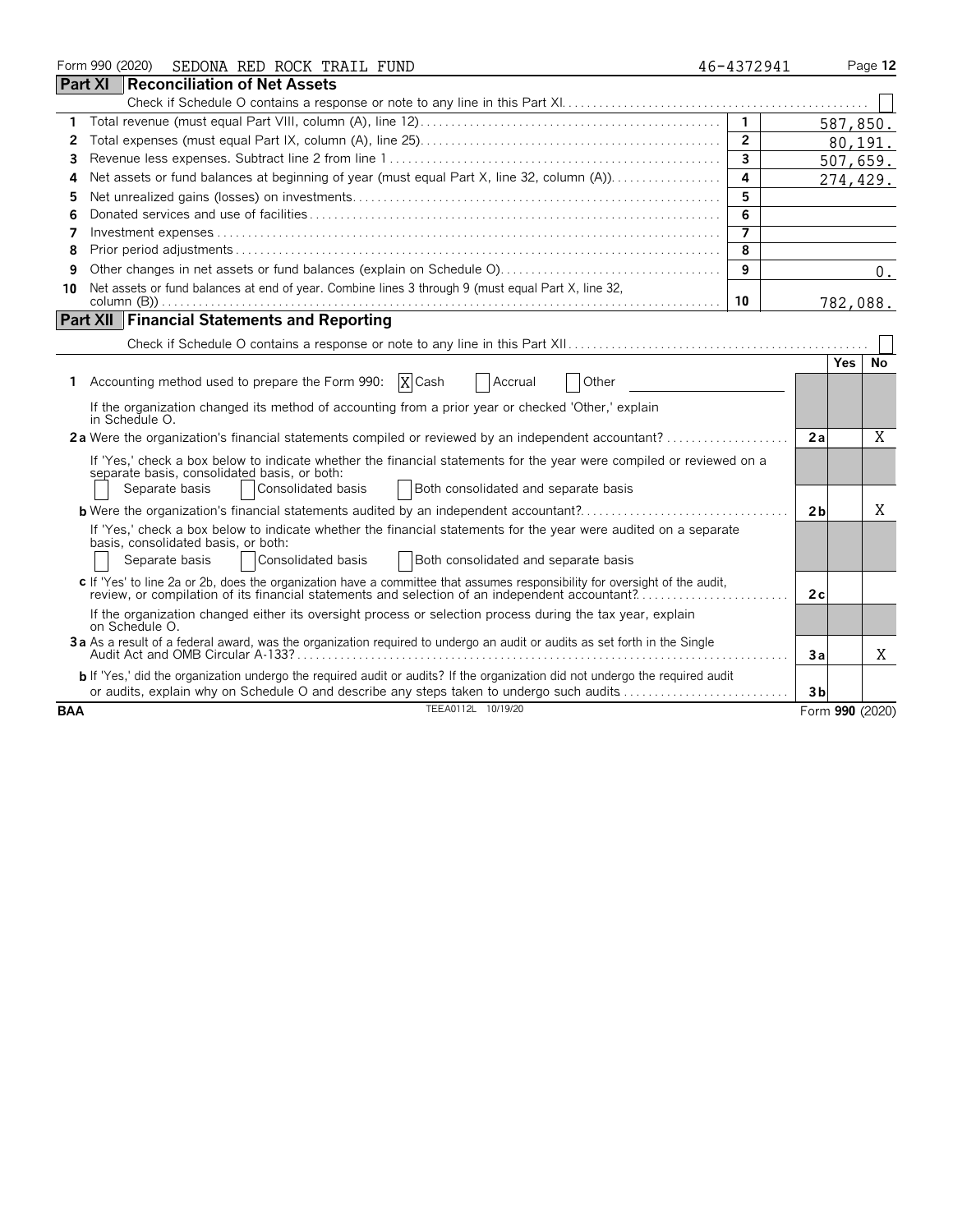|            | Form 990 (2020)<br>SEDONA RED ROCK TRAIL FUND                                                                                                                        | 46-4372941     |                | Page 12          |
|------------|----------------------------------------------------------------------------------------------------------------------------------------------------------------------|----------------|----------------|------------------|
|            | <b>Part XI</b><br><b>Reconciliation of Net Assets</b>                                                                                                                |                |                |                  |
|            |                                                                                                                                                                      |                |                |                  |
| 1.         |                                                                                                                                                                      | $\mathbf{1}$   |                | 587,850.         |
| 2          |                                                                                                                                                                      | $\overline{2}$ |                | 80, 191.         |
| 3          |                                                                                                                                                                      | $\overline{3}$ |                | 507,659.         |
| 4          | Net assets or fund balances at beginning of year (must equal Part X, line 32, column (A))                                                                            | 4              |                | 274,429.         |
| 5          |                                                                                                                                                                      | 5              |                |                  |
| 6          |                                                                                                                                                                      | 6              |                |                  |
| 7          |                                                                                                                                                                      | $\overline{ }$ |                |                  |
| 8          |                                                                                                                                                                      | 8              |                |                  |
| 9          |                                                                                                                                                                      | 9              |                | 0.               |
| 10         | Net assets or fund balances at end of year. Combine lines 3 through 9 (must equal Part X, line 32,                                                                   |                |                |                  |
|            | column (B) $\ldots$ $\ldots$ $\ldots$ $\ldots$ $\ldots$ $\ldots$ $\ldots$ $\ldots$ $\ldots$ $\ldots$ $\ldots$ $\ldots$ $\ldots$ $\ldots$ $\ldots$                    | 10             |                | 782,088.         |
|            | <b>Part XII Financial Statements and Reporting</b>                                                                                                                   |                |                |                  |
|            |                                                                                                                                                                      |                |                |                  |
|            |                                                                                                                                                                      |                |                | <b>Yes</b><br>No |
| 1.         | X Cash<br>Accounting method used to prepare the Form 990:<br>Other<br>Accrual                                                                                        |                |                |                  |
|            | If the organization changed its method of accounting from a prior year or checked 'Other,' explain                                                                   |                |                |                  |
|            | in Schedule O.                                                                                                                                                       |                |                | X                |
|            | 2a Were the organization's financial statements compiled or reviewed by an independent accountant?                                                                   |                | 2a             |                  |
|            | If 'Yes,' check a box below to indicate whether the financial statements for the year were compiled or reviewed on a<br>separate basis, consolidated basis, or both: |                |                |                  |
|            | Consolidated basis<br>Both consolidated and separate basis<br>Separate basis                                                                                         |                |                |                  |
|            | <b>b</b> Were the organization's financial statements audited by an independent accountant?                                                                          |                | 2 <sub>b</sub> | X                |
|            | If 'Yes,' check a box below to indicate whether the financial statements for the year were audited on a separate                                                     |                |                |                  |
|            | basis, consolidated basis, or both:                                                                                                                                  |                |                |                  |
|            | Consolidated basis<br>Both consolidated and separate basis<br>Separate basis                                                                                         |                |                |                  |
|            | c If 'Yes' to line 2a or 2b, does the organization have a committee that assumes responsibility for oversight of the audit,                                          |                |                |                  |
|            | review, or compilation of its financial statements and selection of an independent accountant?                                                                       |                | 2c             |                  |
|            | If the organization changed either its oversight process or selection process during the tax year, explain<br>on Schedule O.                                         |                |                |                  |
|            | 3a As a result of a federal award, was the organization required to undergo an audit or audits as set forth in the Single                                            |                |                |                  |
|            |                                                                                                                                                                      |                | 3a             | X                |
|            | <b>b</b> If 'Yes,' did the organization undergo the required audit or audits? If the organization did not undergo the required audit                                 |                |                |                  |
|            | or audits, explain why on Schedule O and describe any steps taken to undergo such audits                                                                             |                | 3 <sub>b</sub> |                  |
| <b>BAA</b> | TEEA0112L 10/19/20                                                                                                                                                   |                |                | Form 990 (2020)  |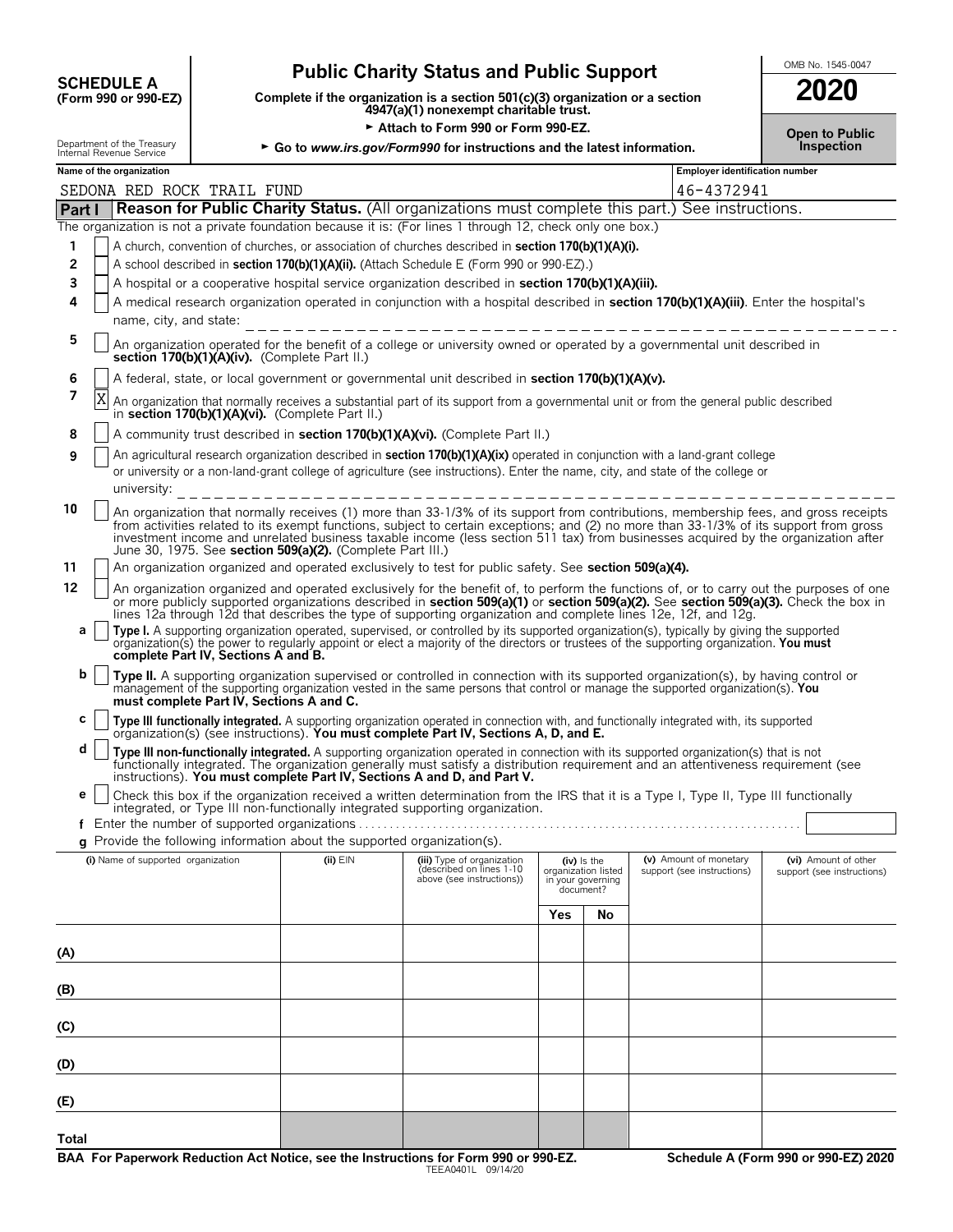| <b>SCHEDULE A</b>    |  |  |
|----------------------|--|--|
| (Form 990 or 990-FZ) |  |  |

# Public Charity Status and Public Support<br>
Complete if the organization is a section 501(c)(3) organization or a section

**COMPOSCHEDULE A**<br>(Form 990 or 990-EZ) Complete if the organization is a section 501(c)(3) organization or a section<br>4947(a)(1) nonexempt charitable trust.

► Attach to Form 990 or Form 990-EZ.<br>Department of the Treasury and the Treasury and the Treasury and the Treasury and the Treasury

| 2020                                |  |
|-------------------------------------|--|
| <b>Open to Public</b><br>Inspection |  |

| Go to www.irs.gov/Form990 for instructions and the latest information.<br><b>IIISPECUOII</b><br>Internal Revenue Service |                                                                                                                                                                            |                                    |                                          |                                                                          |                                                                                                                                                                                                                                                                                                                                                                                                    |                   |                                                   |                                                      |                                                    |
|--------------------------------------------------------------------------------------------------------------------------|----------------------------------------------------------------------------------------------------------------------------------------------------------------------------|------------------------------------|------------------------------------------|--------------------------------------------------------------------------|----------------------------------------------------------------------------------------------------------------------------------------------------------------------------------------------------------------------------------------------------------------------------------------------------------------------------------------------------------------------------------------------------|-------------------|---------------------------------------------------|------------------------------------------------------|----------------------------------------------------|
|                                                                                                                          |                                                                                                                                                                            | Name of the organization           |                                          |                                                                          |                                                                                                                                                                                                                                                                                                                                                                                                    |                   |                                                   | <b>Employer identification number</b>                |                                                    |
|                                                                                                                          |                                                                                                                                                                            |                                    | SEDONA RED ROCK TRAIL FUND               |                                                                          |                                                                                                                                                                                                                                                                                                                                                                                                    |                   |                                                   | 46-4372941                                           |                                                    |
|                                                                                                                          |                                                                                                                                                                            |                                    |                                          |                                                                          | <b>Part I</b> Reason for Public Charity Status. (All organizations must complete this part.) See instructions.                                                                                                                                                                                                                                                                                     |                   |                                                   |                                                      |                                                    |
|                                                                                                                          |                                                                                                                                                                            |                                    |                                          |                                                                          | The organization is not a private foundation because it is: (For lines 1 through 12, check only one box.)                                                                                                                                                                                                                                                                                          |                   |                                                   |                                                      |                                                    |
| 1                                                                                                                        |                                                                                                                                                                            |                                    |                                          |                                                                          | A church, convention of churches, or association of churches described in section 170(b)(1)(A)(i).                                                                                                                                                                                                                                                                                                 |                   |                                                   |                                                      |                                                    |
| 2                                                                                                                        |                                                                                                                                                                            |                                    |                                          |                                                                          | A school described in section 170(b)(1)(A)(ii). (Attach Schedule E (Form 990 or 990-EZ).)                                                                                                                                                                                                                                                                                                          |                   |                                                   |                                                      |                                                    |
| 3                                                                                                                        |                                                                                                                                                                            |                                    |                                          |                                                                          | A hospital or a cooperative hospital service organization described in section 170(b)(1)(A)(iii).                                                                                                                                                                                                                                                                                                  |                   |                                                   |                                                      |                                                    |
| 4                                                                                                                        | A medical research organization operated in conjunction with a hospital described in section 170(b)(1)(A)(iii). Enter the hospital's<br>name, city, and state:             |                                    |                                          |                                                                          |                                                                                                                                                                                                                                                                                                                                                                                                    |                   |                                                   |                                                      |                                                    |
| 5                                                                                                                        | An organization operated for the benefit of a college or university owned or operated by a governmental unit described in<br>section 170(b)(1)(A)(iv). (Complete Part II.) |                                    |                                          |                                                                          |                                                                                                                                                                                                                                                                                                                                                                                                    |                   |                                                   |                                                      |                                                    |
| 6                                                                                                                        |                                                                                                                                                                            |                                    |                                          |                                                                          | A federal, state, or local government or governmental unit described in section 170(b)(1)(A)(v).                                                                                                                                                                                                                                                                                                   |                   |                                                   |                                                      |                                                    |
| 7                                                                                                                        | Χ                                                                                                                                                                          |                                    |                                          | in section 170(b)(1)(A)(vi). (Complete Part II.)                         | An organization that normally receives a substantial part of its support from a governmental unit or from the general public described                                                                                                                                                                                                                                                             |                   |                                                   |                                                      |                                                    |
| 8                                                                                                                        |                                                                                                                                                                            |                                    |                                          |                                                                          | A community trust described in section 170(b)(1)(A)(vi). (Complete Part II.)                                                                                                                                                                                                                                                                                                                       |                   |                                                   |                                                      |                                                    |
| 9                                                                                                                        |                                                                                                                                                                            | university:                        |                                          |                                                                          | An agricultural research organization described in section 170(b)(1)(A)(ix) operated in conjunction with a land-grant college<br>or university or a non-land-grant college of agriculture (see instructions). Enter the name, city, and state of the college or                                                                                                                                    |                   |                                                   |                                                      |                                                    |
| 10                                                                                                                       |                                                                                                                                                                            |                                    |                                          | June 30, 1975. See section 509(a)(2). (Complete Part III.)               | An organization that normally receives (1) more than 33-1/3% of its support from contributions, membership fees, and gross receipts from activities related to its exempt functions, subject to certain exceptions; and (2) no<br>investment income and unrelated business taxable income (less section 511 tax) from businesses acquired by the organization after                                |                   |                                                   |                                                      |                                                    |
| 11                                                                                                                       |                                                                                                                                                                            |                                    |                                          |                                                                          | An organization organized and operated exclusively to test for public safety. See section 509(a)(4).                                                                                                                                                                                                                                                                                               |                   |                                                   |                                                      |                                                    |
| 12                                                                                                                       |                                                                                                                                                                            |                                    |                                          |                                                                          | An organization organized and operated exclusively for the benefit of, to perform the functions of, or to carry out the purposes of one<br>or more publicly supported organizations described in section 509(a)(1) or section 509(a)(2). See section 509(a)(3). Check the box in<br>lines 12a through 12d that describes the type of supporting organization and complete lines 12e, 12f, and 12g. |                   |                                                   |                                                      |                                                    |
| а                                                                                                                        |                                                                                                                                                                            |                                    | complete Part IV, Sections A and B.      |                                                                          | Type I. A supporting organization operated, supervised, or controlled by its supported organization(s), typically by giving the supported<br>organization(s) the power to regularly appoint or elect a majority of the directors or trustees of the supporting organization. You must                                                                                                              |                   |                                                   |                                                      |                                                    |
| b                                                                                                                        |                                                                                                                                                                            |                                    | must complete Part IV, Sections A and C. |                                                                          | Type II. A supporting organization supervised or controlled in connection with its supported organization(s), by having control or<br>management of the supporting organization vested in the same persons that control or manage the supported organization(s). You                                                                                                                               |                   |                                                   |                                                      |                                                    |
| С                                                                                                                        |                                                                                                                                                                            |                                    |                                          |                                                                          | Type III functionally integrated. A supporting organization operated in connection with, and functionally integrated with, its supported organization(s) (see instructions). You must complete Part IV, Sections A, D, and E.                                                                                                                                                                      |                   |                                                   |                                                      |                                                    |
| d                                                                                                                        |                                                                                                                                                                            |                                    |                                          |                                                                          | Type III non-functionally integrated. A supporting organization operated in connection with its supported organization(s) that is not<br>functionally integrated. The organization generally must satisfy a distribution requirement and an attentiveness requirement (see<br>instructions). You must complete Part IV, Sections A and D, and Part V.                                              |                   |                                                   |                                                      |                                                    |
| е                                                                                                                        |                                                                                                                                                                            |                                    |                                          |                                                                          | Check this box if the organization received a written determination from the IRS that it is a Type I, Type II, Type III functionally<br>integrated, or Type III non-functionally integrated supporting organization.                                                                                                                                                                               |                   |                                                   |                                                      |                                                    |
|                                                                                                                          |                                                                                                                                                                            |                                    |                                          |                                                                          |                                                                                                                                                                                                                                                                                                                                                                                                    |                   |                                                   |                                                      |                                                    |
|                                                                                                                          |                                                                                                                                                                            |                                    |                                          | g Provide the following information about the supported organization(s). |                                                                                                                                                                                                                                                                                                                                                                                                    |                   |                                                   |                                                      |                                                    |
|                                                                                                                          |                                                                                                                                                                            | (i) Name of supported organization |                                          | (ii) EIN                                                                 | (iii) Type of organization<br>(described on lines 1-10<br>above (see instructions))                                                                                                                                                                                                                                                                                                                | in your governing | $(iv)$ is the<br>organization listed<br>document? | (v) Amount of monetary<br>support (see instructions) | (vi) Amount of other<br>support (see instructions) |
|                                                                                                                          |                                                                                                                                                                            |                                    |                                          |                                                                          |                                                                                                                                                                                                                                                                                                                                                                                                    | Yes               | No                                                |                                                      |                                                    |
| (A)                                                                                                                      |                                                                                                                                                                            |                                    |                                          |                                                                          |                                                                                                                                                                                                                                                                                                                                                                                                    |                   |                                                   |                                                      |                                                    |
|                                                                                                                          |                                                                                                                                                                            |                                    |                                          |                                                                          |                                                                                                                                                                                                                                                                                                                                                                                                    |                   |                                                   |                                                      |                                                    |
| (B)                                                                                                                      |                                                                                                                                                                            |                                    |                                          |                                                                          |                                                                                                                                                                                                                                                                                                                                                                                                    |                   |                                                   |                                                      |                                                    |
| (C)                                                                                                                      |                                                                                                                                                                            |                                    |                                          |                                                                          |                                                                                                                                                                                                                                                                                                                                                                                                    |                   |                                                   |                                                      |                                                    |
| (D)                                                                                                                      |                                                                                                                                                                            |                                    |                                          |                                                                          |                                                                                                                                                                                                                                                                                                                                                                                                    |                   |                                                   |                                                      |                                                    |
| (E)                                                                                                                      |                                                                                                                                                                            |                                    |                                          |                                                                          |                                                                                                                                                                                                                                                                                                                                                                                                    |                   |                                                   |                                                      |                                                    |
| Total                                                                                                                    |                                                                                                                                                                            |                                    |                                          |                                                                          |                                                                                                                                                                                                                                                                                                                                                                                                    |                   |                                                   |                                                      |                                                    |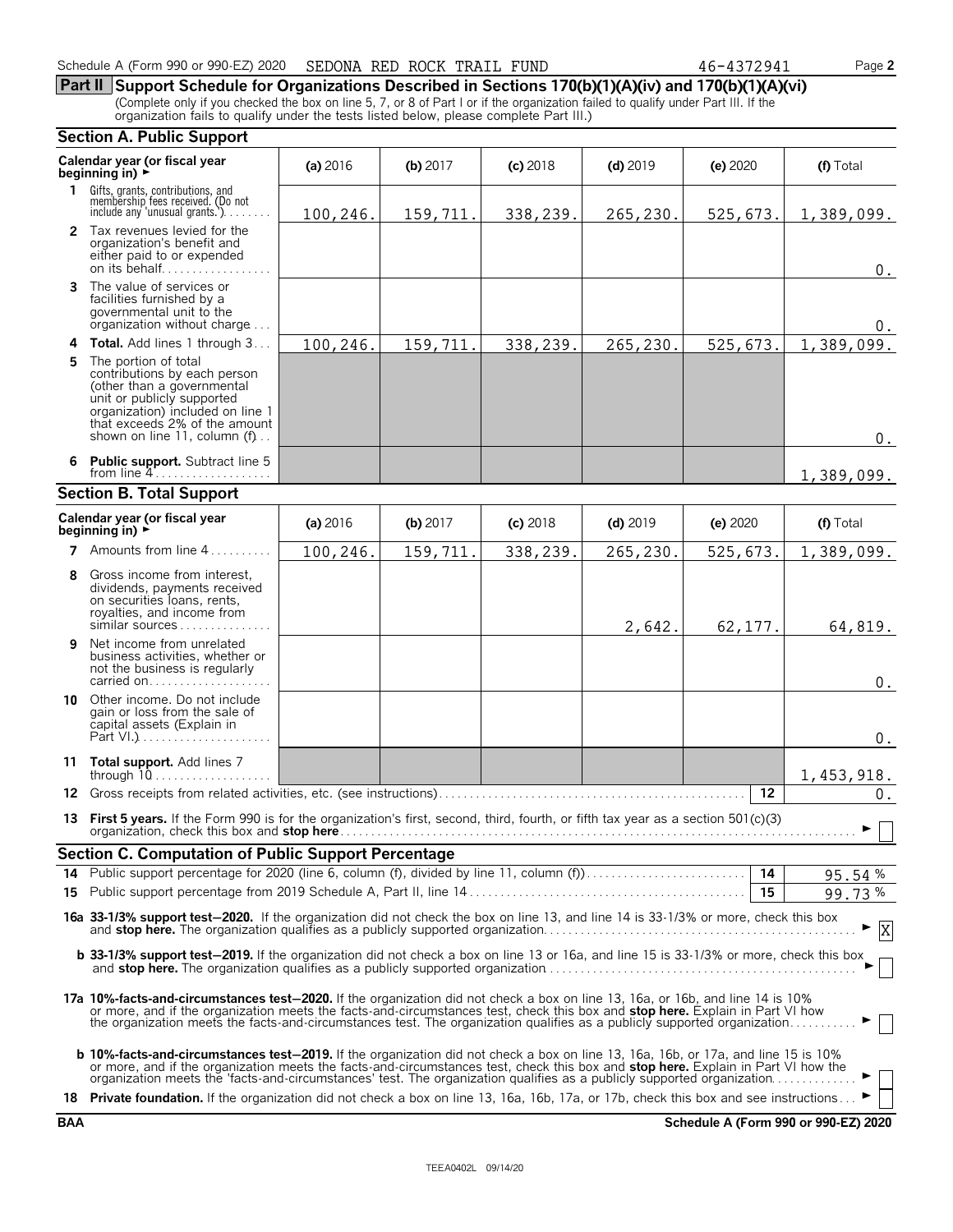**Part II Support Schedule for Organizations Described in Sections 170(b)(1)(A)(iv) and 170(b)(1)(A)(vi)** (Complete only if you checked the box on line 5, 7, or 8 of Part I or if the organization failed to qualify under Part III. If the organization fails to qualify under the tests listed below, please complete Part III.)

|    | <b>Section A. Public Support</b>                                                                                                                                                                                                                                                                                                                                               |          |            |            |            |                   |                    |  |  |  |
|----|--------------------------------------------------------------------------------------------------------------------------------------------------------------------------------------------------------------------------------------------------------------------------------------------------------------------------------------------------------------------------------|----------|------------|------------|------------|-------------------|--------------------|--|--|--|
|    | Calendar year (or fiscal year<br>beginning in) $\rightarrow$                                                                                                                                                                                                                                                                                                                   | (a) 2016 | $(b)$ 2017 | $(c)$ 2018 | $(d)$ 2019 | (e) 2020          | (f) Total          |  |  |  |
|    | 1 Gifts, grants, contributions, and<br>membership fees received. (Do not<br>include any 'unusual grants.').                                                                                                                                                                                                                                                                    | 100,246. | 159,711.   | 338,239.   | 265,230.   | 525,673.          | 1,389,099.         |  |  |  |
|    | 2 Tax revenues levied for the<br>organization's benefit and<br>either paid to or expended<br>on its behalf                                                                                                                                                                                                                                                                     |          |            |            |            |                   | 0.                 |  |  |  |
|    | 3 The value of services or<br>facilities furnished by a<br>governmental unit to the<br>organization without charge                                                                                                                                                                                                                                                             |          |            |            |            |                   | 0.                 |  |  |  |
| 5  | Total. Add lines 1 through 3<br>The portion of total<br>contributions by each person<br>(other than a governmental<br>unit or publicly supported<br>organization) included on line 1<br>that exceeds 2% of the amount<br>shown on line 11, column (f)                                                                                                                          | 100,246. | 159,711.   | 338,239.   | 265,230.   | 525,673.          | 1,389,099.<br>0.   |  |  |  |
|    | 6 Public support. Subtract line 5<br>from line $4$                                                                                                                                                                                                                                                                                                                             |          |            |            |            |                   | 1,389,099.         |  |  |  |
|    | <b>Section B. Total Support</b>                                                                                                                                                                                                                                                                                                                                                |          |            |            |            |                   |                    |  |  |  |
|    | Calendar year (or fiscal year<br>beginning in) $\rightarrow$                                                                                                                                                                                                                                                                                                                   | (a) 2016 | (b) $2017$ | $(c)$ 2018 | $(d)$ 2019 | (e) 2020          | (f) Total          |  |  |  |
|    | <b>7</b> Amounts from line $4 \dots 1$                                                                                                                                                                                                                                                                                                                                         | 100,246. | 159,711.   | 338,239.   | 265,230.   | 525,673.          | 1,389,099.         |  |  |  |
| 8  | Gross income from interest,<br>dividends, payments received<br>on securities loans, rents,<br>royalties, and income from<br>similar sources                                                                                                                                                                                                                                    |          |            |            | 2,642.     | 62,177.           | 64,819.            |  |  |  |
| 9  | Net income from unrelated<br>business activities, whether or<br>not the business is regularly<br>carried on                                                                                                                                                                                                                                                                    |          |            |            |            |                   | $0$ .              |  |  |  |
| 10 | Other income. Do not include<br>gain or loss from the sale of<br>capital assets (Explain in                                                                                                                                                                                                                                                                                    |          |            |            |            |                   | $0$ .              |  |  |  |
|    | 11 Total support. Add lines 7<br>through $10$                                                                                                                                                                                                                                                                                                                                  |          |            |            |            |                   | 1,453,918.         |  |  |  |
|    | 12 Gross receipts from related activities, etc. (see instructions)                                                                                                                                                                                                                                                                                                             |          |            |            |            | $12 \overline{ }$ | $\boldsymbol{0}$ . |  |  |  |
|    | 13 First 5 years. If the Form 990 is for the organization's first, second, third, fourth, or fifth tax year as a section 501(c)(3)                                                                                                                                                                                                                                             |          |            |            |            |                   |                    |  |  |  |
|    | <b>Section C. Computation of Public Support Percentage</b>                                                                                                                                                                                                                                                                                                                     |          |            |            |            |                   |                    |  |  |  |
|    |                                                                                                                                                                                                                                                                                                                                                                                |          |            |            |            |                   | 95.54 %            |  |  |  |
|    | - 15<br>99.73%                                                                                                                                                                                                                                                                                                                                                                 |          |            |            |            |                   |                    |  |  |  |
|    | 16a 33-1/3% support test-2020. If the organization did not check the box on line 13, and line 14 is 33-1/3% or more, check this box<br>and stop here. The organization qualifies as a publicly supported organization.                                                                                                                                                         |          |            |            |            |                   |                    |  |  |  |
|    | <b>b</b> 33-1/3% support test-2019. If the organization did not check a box on line 13 or 16a, and line 15 is 33-1/3% or more, check this box                                                                                                                                                                                                                                  |          |            |            |            |                   |                    |  |  |  |
|    | 17a 10%-facts-and-circumstances test-2020. If the organization did not check a box on line 13, 16a, or 16b, and line 14 is 10%<br>or more, and if the organization meets the facts-and-circumstances test, check this box and stop here. Explain in Part VI how<br>the organization meets the facts-and-circumstances test. The organization qualifies as a publicl            |          |            |            |            |                   |                    |  |  |  |
|    | <b>b 10%-facts-and-circumstances test-2019.</b> If the organization did not check a box on line 13, 16a, 16b, or 17a, and line 15 is 10%<br>or more, and if the organization meets the facts-and-circumstances test, check this box and <b>stop here.</b> Explain in Part VI how the organization meets the 'facts-and-circumstances' test. The organization qualifies as a pu |          |            |            |            |                   |                    |  |  |  |
|    | 18 Private foundation. If the organization did not check a box on line 13, 16a, 16b, 17a, or 17b, check this box and see instructions                                                                                                                                                                                                                                          |          |            |            |            |                   |                    |  |  |  |

**BAA Schedule A (Form 990 or 990-EZ) 2020**

|  |  |  |  |  |  |  |  | $\mathbf{r} = \mathbf{r}$ , and $\mathbf{r} = \mathbf{r}$ , and $\mathbf{r} = \mathbf{r}$ , and $\mathbf{r} = \mathbf{r}$ , and $\mathbf{r} = \mathbf{r}$ |            |  |
|--|--|--|--|--|--|--|--|-----------------------------------------------------------------------------------------------------------------------------------------------------------|------------|--|
|  |  |  |  |  |  |  |  |                                                                                                                                                           | 46-4372941 |  |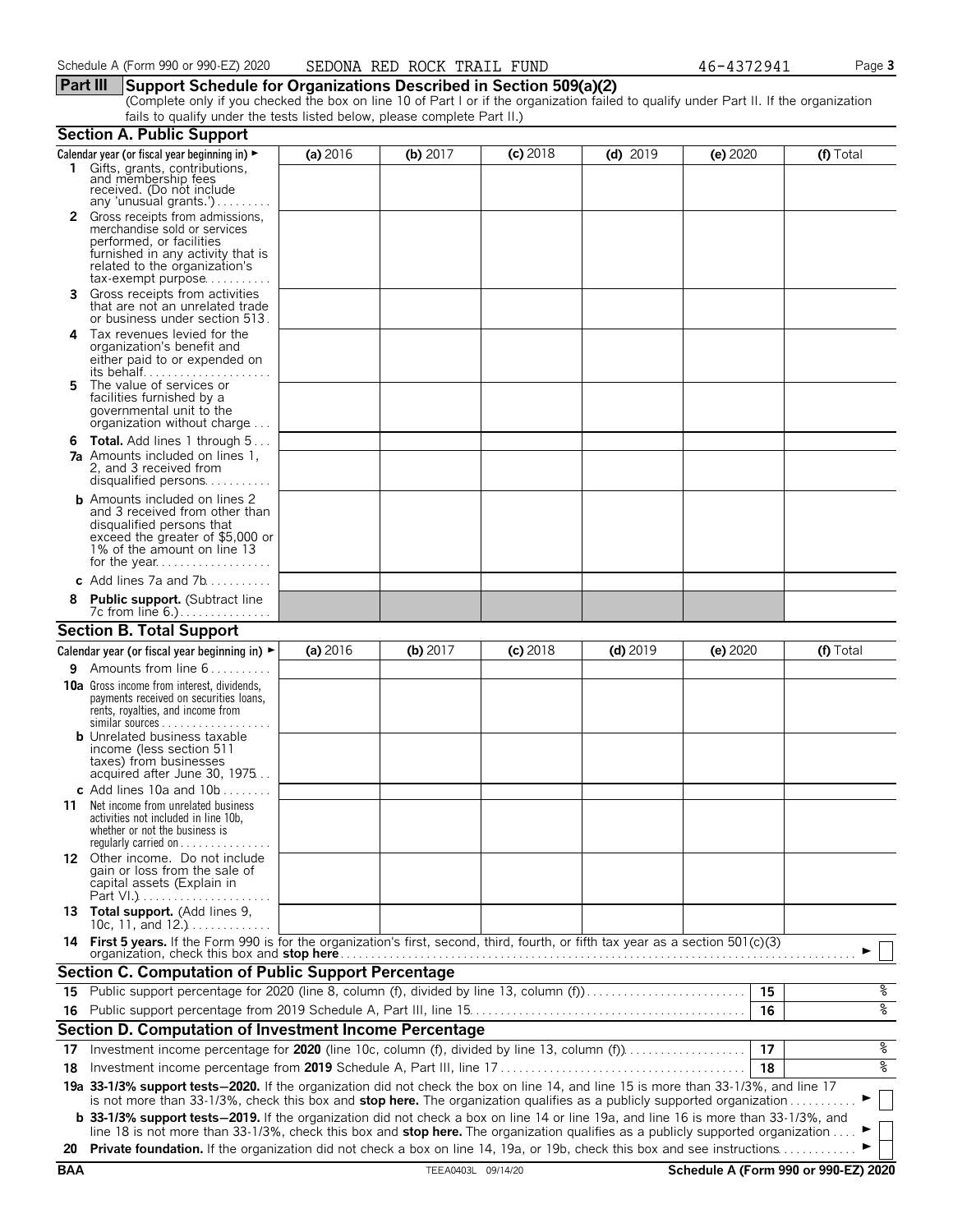#### **Part III Support Schedule for Organizations Described in Section 509(a)(2)**

(Complete only if you checked the box on line 10 of Part I or if the organization failed to qualify under Part II. If the organization fails to qualify under the tests listed below, please complete Part II.)

|            | <b>Section A. Public Support</b>                                                                                                                                                                                                                                              |          |                    |            |            |          |                                      |
|------------|-------------------------------------------------------------------------------------------------------------------------------------------------------------------------------------------------------------------------------------------------------------------------------|----------|--------------------|------------|------------|----------|--------------------------------------|
|            | Calendar year (or fiscal year beginning in) ►                                                                                                                                                                                                                                 | (a) 2016 | (b) $2017$         | $(c)$ 2018 | $(d)$ 2019 | (e) 2020 | (f) Total                            |
|            | 1 Gifts, grants, contributions,<br>and membership fees<br>received. (Do not include<br>any 'unusual grants.')                                                                                                                                                                 |          |                    |            |            |          |                                      |
|            | 2 Gross receipts from admissions,<br>merchandise sold or services<br>performed, or facilities<br>furnished in any activity that is<br>related to the organization's<br>$tax\text{-}exempt$ purpose                                                                            |          |                    |            |            |          |                                      |
| 3.         | Gross receipts from activities<br>that are not an unrelated trade<br>or business under section 513.                                                                                                                                                                           |          |                    |            |            |          |                                      |
| 4          | Tax revenues levied for the<br>organization's benefit and<br>either paid to or expended on                                                                                                                                                                                    |          |                    |            |            |          |                                      |
| 5.         | The value of services or<br>facilities furnished by a<br>governmental unit to the<br>organization without charge                                                                                                                                                              |          |                    |            |            |          |                                      |
| 6          | <b>Total.</b> Add lines 1 through 5<br><b>7a</b> Amounts included on lines 1,<br>2, and 3 received from<br>disqualified persons                                                                                                                                               |          |                    |            |            |          |                                      |
|            | <b>b</b> Amounts included on lines 2<br>and 3 received from other than<br>disqualified persons that<br>exceed the greater of \$5,000 or<br>1% of the amount on line 13                                                                                                        |          |                    |            |            |          |                                      |
|            | c Add lines $7a$ and $7b$                                                                                                                                                                                                                                                     |          |                    |            |            |          |                                      |
|            | <b>Public support.</b> (Subtract line                                                                                                                                                                                                                                         |          |                    |            |            |          |                                      |
|            | <b>Section B. Total Support</b>                                                                                                                                                                                                                                               |          |                    |            |            |          |                                      |
|            | Calendar year (or fiscal year beginning in) $\blacktriangleright$                                                                                                                                                                                                             | (a) 2016 | (b) 2017           | $(c)$ 2018 | $(d)$ 2019 | (e) 2020 | (f) Total                            |
| 9.         | Amounts from line 6                                                                                                                                                                                                                                                           |          |                    |            |            |          |                                      |
|            | <b>10a</b> Gross income from interest, dividends,<br>payments received on securities loans,<br>rents, royalties, and income from<br><b>b</b> Unrelated business taxable<br>income (less section 511<br>taxes) from businesses                                                 |          |                    |            |            |          |                                      |
|            | acquired after June 30, 1975                                                                                                                                                                                                                                                  |          |                    |            |            |          |                                      |
| 11         | c Add lines 10a and $10b$<br>Net income from unrelated business<br>activities not included in line 10b,<br>whether or not the business is<br>regularly carried on $\dots\dots\dots\dots$                                                                                      |          |                    |            |            |          |                                      |
|            | 12 Other income. Do not include<br>gain or loss from the sale of<br>capital assets (Explain in                                                                                                                                                                                |          |                    |            |            |          |                                      |
|            | 13 Total support. (Add lines 9,<br>10c, 11, and $12$                                                                                                                                                                                                                          |          |                    |            |            |          |                                      |
|            | 14 First 5 years. If the Form 990 is for the organization's first, second, third, fourth, or fifth tax year as a section 501(c)(3)<br>organization, check this box and stop here                                                                                              |          |                    |            |            |          |                                      |
|            | <b>Section C. Computation of Public Support Percentage</b>                                                                                                                                                                                                                    |          |                    |            |            |          |                                      |
|            | 15 Public support percentage for 2020 (line 8, column (f), divided by line 13, column (f)                                                                                                                                                                                     |          |                    |            |            | 15       | န့                                   |
|            |                                                                                                                                                                                                                                                                               |          |                    |            |            | 16       | ०१०                                  |
|            | Section D. Computation of Investment Income Percentage                                                                                                                                                                                                                        |          |                    |            |            |          |                                      |
| 17         |                                                                                                                                                                                                                                                                               |          |                    |            |            | 17       | %                                    |
| 18         |                                                                                                                                                                                                                                                                               |          |                    |            |            | 18       | ०७                                   |
|            | 19a 33-1/3% support tests-2020. If the organization did not check the box on line 14, and line 15 is more than 33-1/3%, and line 17<br>is not more than 33-1/3%, check this box and stop here. The organization qualifies as a publicly supported organization                |          |                    |            |            |          |                                      |
|            | <b>b</b> 33-1/3% support tests-2019. If the organization did not check a box on line 14 or line 19a, and line 16 is more than 33-1/3%, and<br>line 18 is not more than 33-1/3%, check this box and stop here. The organization qualifies as a publicly supported organization |          |                    |            |            |          |                                      |
| 20         | Private foundation. If the organization did not check a box on line 14, 19a, or 19b, check this box and see instructions.                                                                                                                                                     |          |                    |            |            |          |                                      |
| <b>BAA</b> |                                                                                                                                                                                                                                                                               |          | TEEA0403L 09/14/20 |            |            |          | Schedule A (Form 990 or 990-EZ) 2020 |
|            |                                                                                                                                                                                                                                                                               |          |                    |            |            |          |                                      |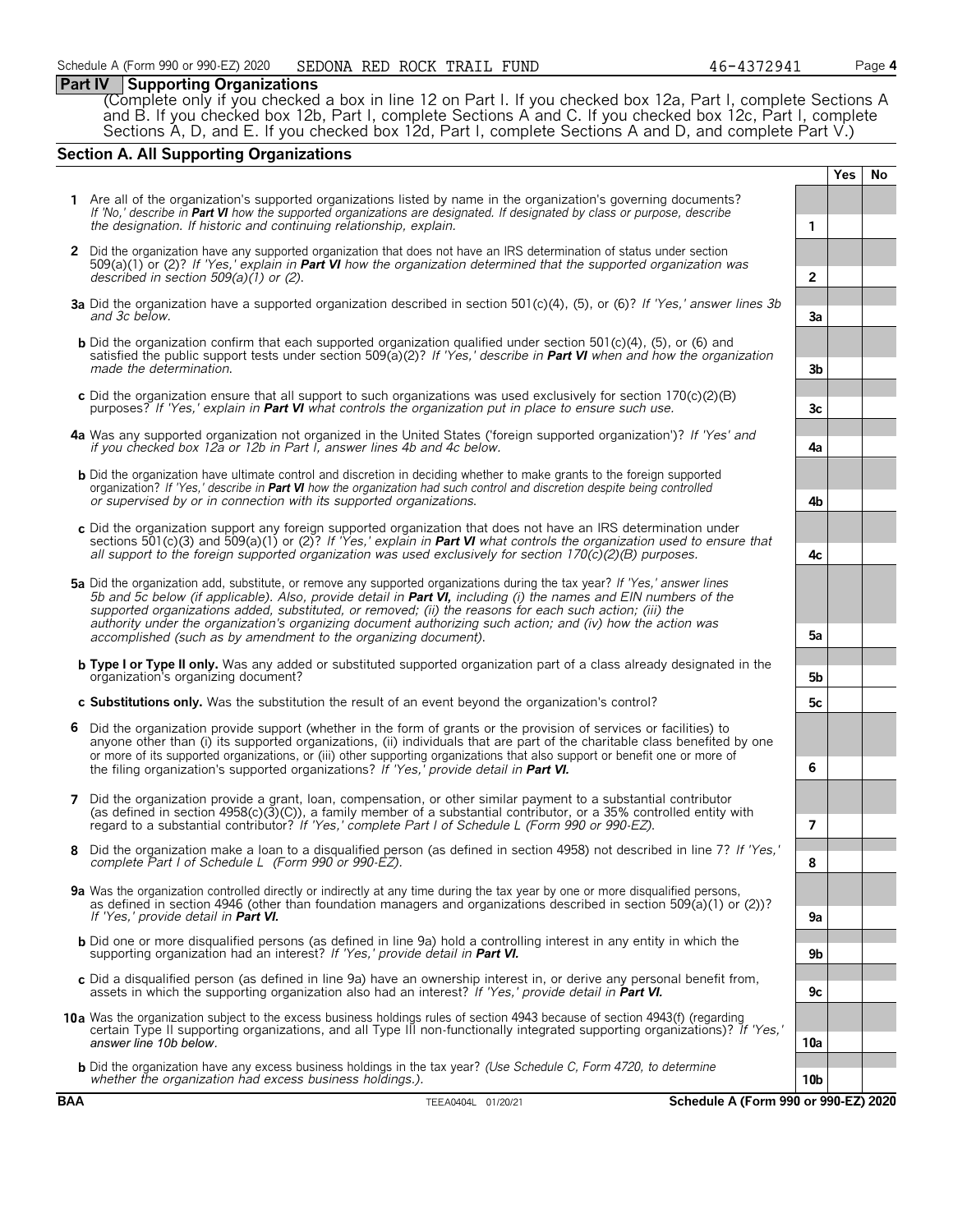#### **Part IV Supporting Organizations**

(Complete only if you checked a box in line 12 on Part I. If you checked box 12a, Part I, complete Sections A and B. If you checked box 12b, Part I, complete Sections A and C. If you checked box 12c, Part I, complete Sections A, D, and E. If you checked box 12d, Part I, complete Sections A and D, and complete Part V.)

#### **Section A. All Supporting Organizations**

|   |                                                                                                                                                                                                                                                                                                                                                                                                                                                                                                                                              |                 | <b>Yes</b> | No |
|---|----------------------------------------------------------------------------------------------------------------------------------------------------------------------------------------------------------------------------------------------------------------------------------------------------------------------------------------------------------------------------------------------------------------------------------------------------------------------------------------------------------------------------------------------|-----------------|------------|----|
|   | 1 Are all of the organization's supported organizations listed by name in the organization's governing documents?<br>If 'No,' describe in Part VI how the supported organizations are designated. If designated by class or purpose, describe<br>the designation. If historic and continuing relationship, explain.                                                                                                                                                                                                                          | 1               |            |    |
|   | 2 Did the organization have any supported organization that does not have an IRS determination of status under section<br>509(a)(1) or (2)? If 'Yes,' explain in Part VI how the organization determined that the supported organization was<br>described in section $509(a)(1)$ or (2).                                                                                                                                                                                                                                                     | $\overline{2}$  |            |    |
|   | 3a Did the organization have a supported organization described in section 501(c)(4), (5), or (6)? If 'Yes,' answer lines 3b<br>and 3c below.                                                                                                                                                                                                                                                                                                                                                                                                | За              |            |    |
|   | <b>b</b> Did the organization confirm that each supported organization qualified under section 501(c)(4), (5), or (6) and<br>satisfied the public support tests under section 509(a)(2)? If 'Yes,' describe in Part VI when and how the organization<br>made the determination.                                                                                                                                                                                                                                                              | 3 <sub>b</sub>  |            |    |
|   | c Did the organization ensure that all support to such organizations was used exclusively for section $170(c)(2)(B)$<br>purposes? If 'Yes,' explain in <b>Part VI</b> what controls the organization put in place to ensure such use.                                                                                                                                                                                                                                                                                                        | 3c              |            |    |
|   | 4a Was any supported organization not organized in the United States ('foreign supported organization')? If 'Yes' and<br>if you checked box 12a or 12b in Part I, answer lines 4b and 4c below.                                                                                                                                                                                                                                                                                                                                              | 4a              |            |    |
|   | <b>b</b> Did the organization have ultimate control and discretion in deciding whether to make grants to the foreign supported<br>organization? If 'Yes,' describe in Part VI how the organization had such control and discretion despite being controlled<br>or supervised by or in connection with its supported organizations.                                                                                                                                                                                                           | 4b              |            |    |
|   | c Did the organization support any foreign supported organization that does not have an IRS determination under<br>sections 501(c)(3) and 509(a)(1) or (2)? If 'Yes,' explain in <b>Part VI</b> what controls the organization used to ensure that<br>all support to the foreign supported organization was used exclusively for section $170(c)(2)(B)$ purposes.                                                                                                                                                                            | 4с              |            |    |
|   | 5a Did the organization add, substitute, or remove any supported organizations during the tax year? If 'Yes,' answer lines<br>5b and 5c below (if applicable). Also, provide detail in Part VI, including (i) the names and EIN numbers of the<br>supported organizations added, substituted, or removed; (ii) the reasons for each such action; (iii) the<br>authority under the organization's organizing document authorizing such action; and (iv) how the action was<br>accomplished (such as by amendment to the organizing document). | 5a              |            |    |
|   | <b>b Type I or Type II only.</b> Was any added or substituted supported organization part of a class already designated in the<br>organization's organizing document?                                                                                                                                                                                                                                                                                                                                                                        | 5 <sub>b</sub>  |            |    |
|   | c Substitutions only. Was the substitution the result of an event beyond the organization's control?                                                                                                                                                                                                                                                                                                                                                                                                                                         | 5с              |            |    |
|   | 6 Did the organization provide support (whether in the form of grants or the provision of services or facilities) to<br>anyone other than (i) its supported organizations, (ii) individuals that are part of the charitable class benefited by one<br>or more of its supported organizations, or (iii) other supporting organizations that also support or benefit one or more of<br>the filing organization's supported organizations? If 'Yes,' provide detail in Part VI.                                                                 | 6               |            |    |
|   | 7 Did the organization provide a grant, loan, compensation, or other similar payment to a substantial contributor<br>(as defined in section $4958(c)(3)(C)$ ), a family member of a substantial contributor, or a 35% controlled entity with<br>regard to a substantial contributor? If 'Yes,' complete Part I of Schedule L (Form 990 or 990-EZ).                                                                                                                                                                                           | 7               |            |    |
| 8 | Did the organization make a loan to a disqualified person (as defined in section 4958) not described in line 7? If 'Yes,'<br>complete Part I of Schedule L (Form 990 or 990-EZ).                                                                                                                                                                                                                                                                                                                                                             | R               |            |    |
|   | 9a Was the organization controlled directly or indirectly at any time during the tax year by one or more disqualified persons,<br>as defined in section 4946 (other than foundation managers and organizations described in section 509(a)(1) or (2))?<br>If 'Yes,' provide detail in Part VI.                                                                                                                                                                                                                                               | 9а              |            |    |
|   | <b>b</b> Did one or more disqualified persons (as defined in line 9a) hold a controlling interest in any entity in which the<br>supporting organization had an interest? If 'Yes,' provide detail in Part VI.                                                                                                                                                                                                                                                                                                                                | 9b              |            |    |
|   | c Did a disqualified person (as defined in line 9a) have an ownership interest in, or derive any personal benefit from,<br>assets in which the supporting organization also had an interest? If 'Yes,' provide detail in Part VI.                                                                                                                                                                                                                                                                                                            | 9c              |            |    |
|   | 10a Was the organization subject to the excess business holdings rules of section 4943 because of section 4943(f) (regarding<br>certain Type II supporting organizations, and all Type III non-functionally integrated supporting organizations)? If 'Yes,'<br>answer line 10b below.                                                                                                                                                                                                                                                        | 10a             |            |    |
|   | <b>b</b> Did the organization have any excess business holdings in the tax year? (Use Schedule C, Form 4720, to determine<br>whether the organization had excess business holdings.).                                                                                                                                                                                                                                                                                                                                                        | 10 <sub>b</sub> |            |    |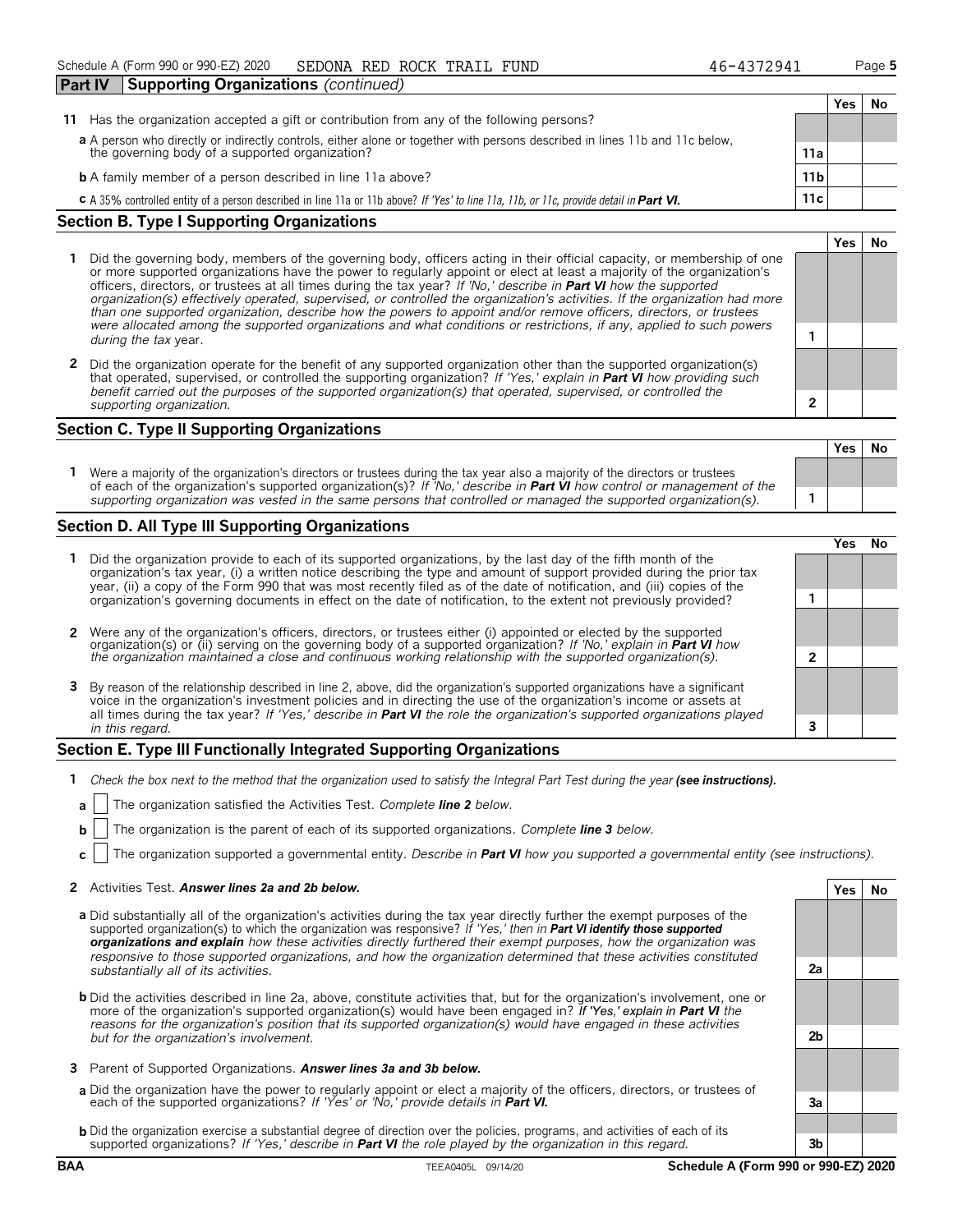| Part IV | $\blacksquare$ supporting Organizations (continued)                                                                                            |      |  |
|---------|------------------------------------------------------------------------------------------------------------------------------------------------|------|--|
|         |                                                                                                                                                | res/ |  |
| 11      | Has the organization accepted a gift or contribution from any of the following persons?                                                        |      |  |
|         | a A person who directly or indirectly controls, either alone or together with persons described in lines 11b and 11c below,                    |      |  |
|         | the governing body of a supported organization?<br>11a                                                                                         |      |  |
|         | <b>b</b> A family member of a person described in line 11a above?<br>11 <sub>b</sub>                                                           |      |  |
|         | 11c<br>C A 35% controlled entity of a person described in line 11a or 11b above? If 'Yes' to line 11a, 11b, or 11c, provide detail in Part VI. |      |  |
| -       | . .<br>.                                                                                                                                       |      |  |

#### **Section B. Type I Supporting Organizations**

 $\mathbf{P}$  **P**  $\mathbf{P}$  **Supporting Organizations** 

- **1** Did the governing body, members of the governing body, officers acting in their official capacity, or membership of one or more supported organizations have the power to regularly appoint or elect at least a majority of the organization's officers, directors, or trustees at all times during the tax year? *If 'No,' describe in Part VI how the supported organization(s) effectively operated, supervised, or controlled the organization's activities. If the organization had more than one supported organization, describe how the powers to appoint and/or remove officers, directors, or trustees were allocated among the supported organizations and what conditions or restrictions, if any, applied to such powers* **<sup>1</sup>** *during the tax* year.
- **2** Did the organization operate for the benefit of any supported organization other than the supported organization(s) that operated, supervised, or controlled the supporting organization? *If 'Yes,' explain in Part VI how providing such benefit carried out the purposes of the supported organization(s) that operated, supervised, or controlled the supporting organization.* **2**

#### **Section C. Type II Supporting Organizations**

**Yes No 1** Were a majority of the organization's directors or trustees during the tax year also a majority of the directors or trustees of each of the organization's supported organization(s)? *If 'No,' describe in Part VI how control or management of the supporting organization was vested in the same persons that controlled or managed the supported organization(s).* **1**

#### **Section D. All Type III Supporting Organizations**

|                                                                                                                                                                                                                                                                                                                                                                                       |  | ∕e< |  |  |
|---------------------------------------------------------------------------------------------------------------------------------------------------------------------------------------------------------------------------------------------------------------------------------------------------------------------------------------------------------------------------------------|--|-----|--|--|
| 1 Did the organization provide to each of its supported organizations, by the last day of the fifth month of the<br>organization's tax year, (i) a written notice describing the type and amount of support provided during the prior tax<br>year, (ii) a copy of the Form 990 that was most recently filed as of the date of notification, and (iii) copies of the                   |  |     |  |  |
| organization's governing documents in effect on the date of notification, to the extent not previously provided?                                                                                                                                                                                                                                                                      |  |     |  |  |
| 2 Were any of the organization's officers, directors, or trustees either (i) appointed or elected by the supported organization(s) or (ii) serving on the governing body of a supported organization? If 'No,' explain in Part                                                                                                                                                        |  |     |  |  |
|                                                                                                                                                                                                                                                                                                                                                                                       |  |     |  |  |
| 3 By reason of the relationship described in line 2, above, did the organization's supported organizations have a significant<br>voice in the organization's investment policies and in directing the use of the organization's income or assets at<br>all times during the tax year? If 'Yes,' describe in <b>Part VI</b> the role the organization's supported organizations played |  |     |  |  |
| in this regard.                                                                                                                                                                                                                                                                                                                                                                       |  |     |  |  |

#### **Section E. Type III Functionally Integrated Supporting Organizations**

- **1** *Check the box next to the method that the organization used to satisfy the Integral Part Test during the year (see instructions).*
- **a** The organization satisfied the Activities Test. *Complete line 2 below.*
- **b** The organization is the parent of each of its supported organizations. *Complete line 3 below.*
- **c** The organization supported a governmental entity. *Describe in Part VI how you supported a governmental entity (see instructions).*

#### **2** Activities Test. *Answer lines 2a and 2b below.* **Yes No**

- **a** Did substantially all of the organization's activities during the tax year directly further the exempt purposes of the supported organization(s) to which the organization was responsive? *If 'Yes,' then in Part VI identify those supported organizations and explain how these activities directly furthered their exempt purposes, how the organization was responsive to those supported organizations, and how the organization determined that these activities constituted substantially all of its activities.* **2a**
- **b** Did the activities described in line 2a, above, constitute activities that, but for the organization's involvement, one or more of the organization's supported organization(s) would have been engaged in? *If 'Yes,' explain in Part VI the reasons for the organization's position that its supported organization(s) would have engaged in these activities but for the organization's involvement.* **2b**
- **3** Parent of Supported Organizations. *Answer lines 3a and 3b below.*
- **a** Did the organization have the power to regularly appoint or elect a majority of the officers, directors, or trustees of each of the supported organizations? *If 'Yes' or 'No,' provide details in Part VI.* **3a**
- **b** Did the organization exercise a substantial degree of direction over the policies, programs, and activities of each of its supported organizations? *If 'Yes,' describe in Part VI the role played by the organization in this regard.* **3b**

**Yes No**

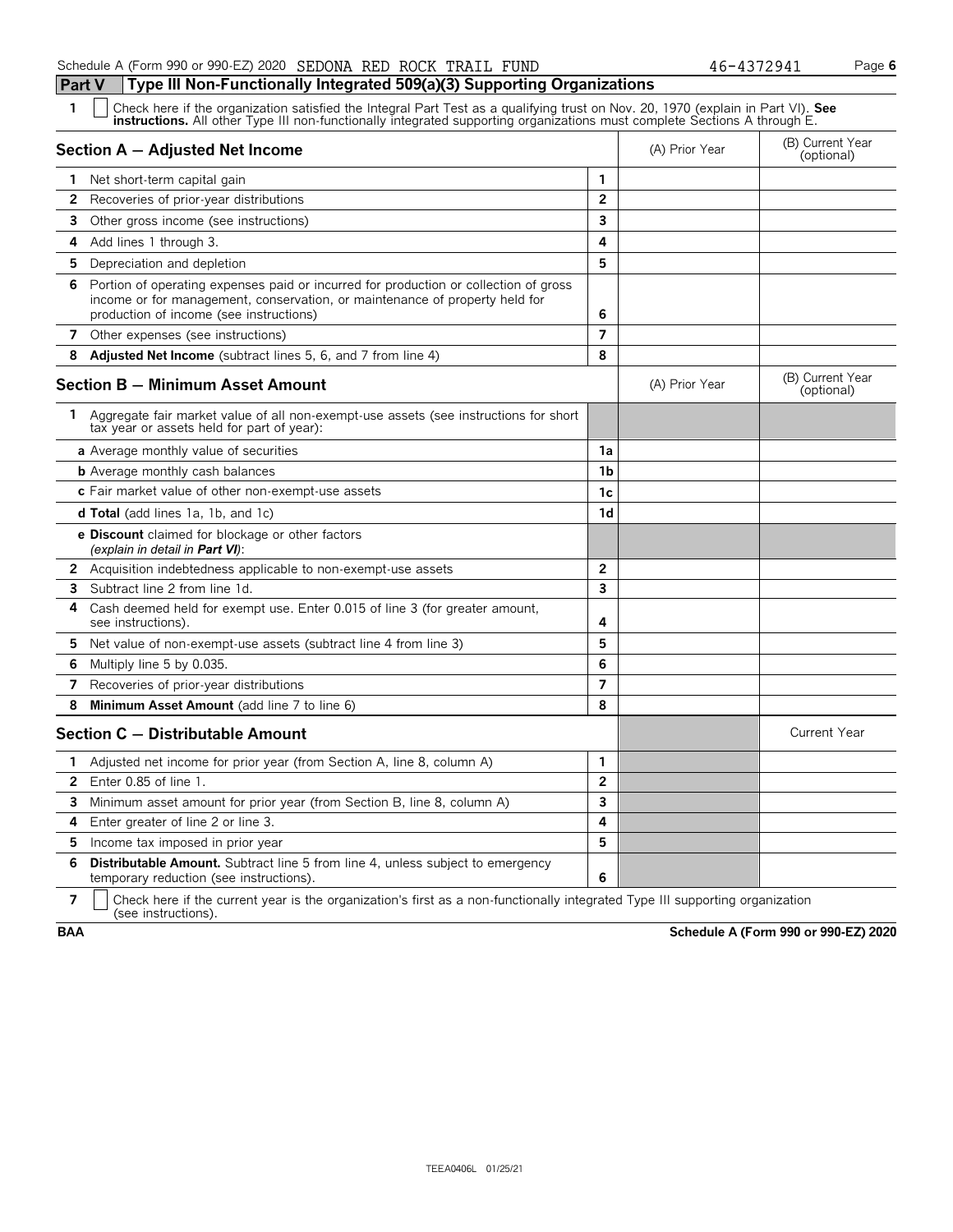#### Schedule A (Form 990 or 990-EZ) 2020 SEDONA RED ROCK TRAIL FUND 46-4372941 Page 6 **Part V Type III Non-Functionally Integrated 509(a)(3) Supporting Organizations**

| 1            | Check here if the organization satisfied the Integral Part Test as a qualifying trust on Nov. 20, 1970 (explain in Part VI). See<br><b>instructions.</b> All other Type III non-functionally integrated supporting organizations must complete Sections A through E. |                         |                |                                |
|--------------|----------------------------------------------------------------------------------------------------------------------------------------------------------------------------------------------------------------------------------------------------------------------|-------------------------|----------------|--------------------------------|
|              | Section A - Adjusted Net Income                                                                                                                                                                                                                                      |                         | (A) Prior Year | (B) Current Year<br>(optional) |
| 1.           | Net short-term capital gain                                                                                                                                                                                                                                          | 1                       |                |                                |
| 2            | Recoveries of prior-year distributions                                                                                                                                                                                                                               | $\overline{2}$          |                |                                |
| 3            | Other gross income (see instructions)                                                                                                                                                                                                                                | 3                       |                |                                |
| 4            | Add lines 1 through 3.                                                                                                                                                                                                                                               | 4                       |                |                                |
| 5            | Depreciation and depletion                                                                                                                                                                                                                                           | 5                       |                |                                |
| 6            | Portion of operating expenses paid or incurred for production or collection of gross<br>income or for management, conservation, or maintenance of property held for<br>production of income (see instructions)                                                       | 6                       |                |                                |
| 7            | Other expenses (see instructions)                                                                                                                                                                                                                                    | $\overline{7}$          |                |                                |
| 8            | <b>Adjusted Net Income</b> (subtract lines 5, 6, and 7 from line 4)                                                                                                                                                                                                  | 8                       |                |                                |
|              | <b>Section B - Minimum Asset Amount</b>                                                                                                                                                                                                                              |                         | (A) Prior Year | (B) Current Year<br>(optional) |
|              | 1 Aggregate fair market value of all non-exempt-use assets (see instructions for short<br>tax year or assets held for part of year):                                                                                                                                 |                         |                |                                |
|              | a Average monthly value of securities                                                                                                                                                                                                                                | 1a                      |                |                                |
|              | <b>b</b> Average monthly cash balances                                                                                                                                                                                                                               | 1 <sub>b</sub>          |                |                                |
|              | c Fair market value of other non-exempt-use assets                                                                                                                                                                                                                   | 1c                      |                |                                |
|              | <b>d Total</b> (add lines 1a, 1b, and 1c)                                                                                                                                                                                                                            | 1d                      |                |                                |
|              | <b>e Discount</b> claimed for blockage or other factors<br>(explain in detail in <b>Part VI</b> ):                                                                                                                                                                   |                         |                |                                |
| $\mathbf{2}$ | Acquisition indebtedness applicable to non-exempt-use assets                                                                                                                                                                                                         | $\overline{2}$          |                |                                |
| 3            | Subtract line 2 from line 1d.                                                                                                                                                                                                                                        | $\overline{\mathbf{3}}$ |                |                                |
| 4            | Cash deemed held for exempt use. Enter 0.015 of line 3 (for greater amount,<br>see instructions).                                                                                                                                                                    | 4                       |                |                                |
| 5.           | Net value of non-exempt-use assets (subtract line 4 from line 3)                                                                                                                                                                                                     | 5                       |                |                                |
| 6            | Multiply line 5 by 0.035.                                                                                                                                                                                                                                            | 6                       |                |                                |
| 7            | Recoveries of prior-year distributions                                                                                                                                                                                                                               | $\overline{7}$          |                |                                |
| 8            | Minimum Asset Amount (add line 7 to line 6)                                                                                                                                                                                                                          | 8                       |                |                                |
|              | Section C - Distributable Amount                                                                                                                                                                                                                                     |                         |                | <b>Current Year</b>            |
| 1.           | Adjusted net income for prior year (from Section A, line 8, column A)                                                                                                                                                                                                | $\mathbf{1}$            |                |                                |
| $\mathbf{2}$ | Enter 0.85 of line 1.                                                                                                                                                                                                                                                | $\overline{2}$          |                |                                |
| 3            | Minimum asset amount for prior year (from Section B, line 8, column A)                                                                                                                                                                                               | $\overline{3}$          |                |                                |
| 4            | Enter greater of line 2 or line 3.                                                                                                                                                                                                                                   | 4                       |                |                                |
| 5            | Income tax imposed in prior year                                                                                                                                                                                                                                     | 5                       |                |                                |
| 6            | <b>Distributable Amount.</b> Subtract line 5 from line 4, unless subject to emergency<br>temporary reduction (see instructions).                                                                                                                                     | 6                       |                |                                |

**7**  $\mid$  Check here if the current year is the organization's first as a non-functionally integrated Type III supporting organization (see instructions).

**BAA Schedule A (Form 990 or 990-EZ) 2020**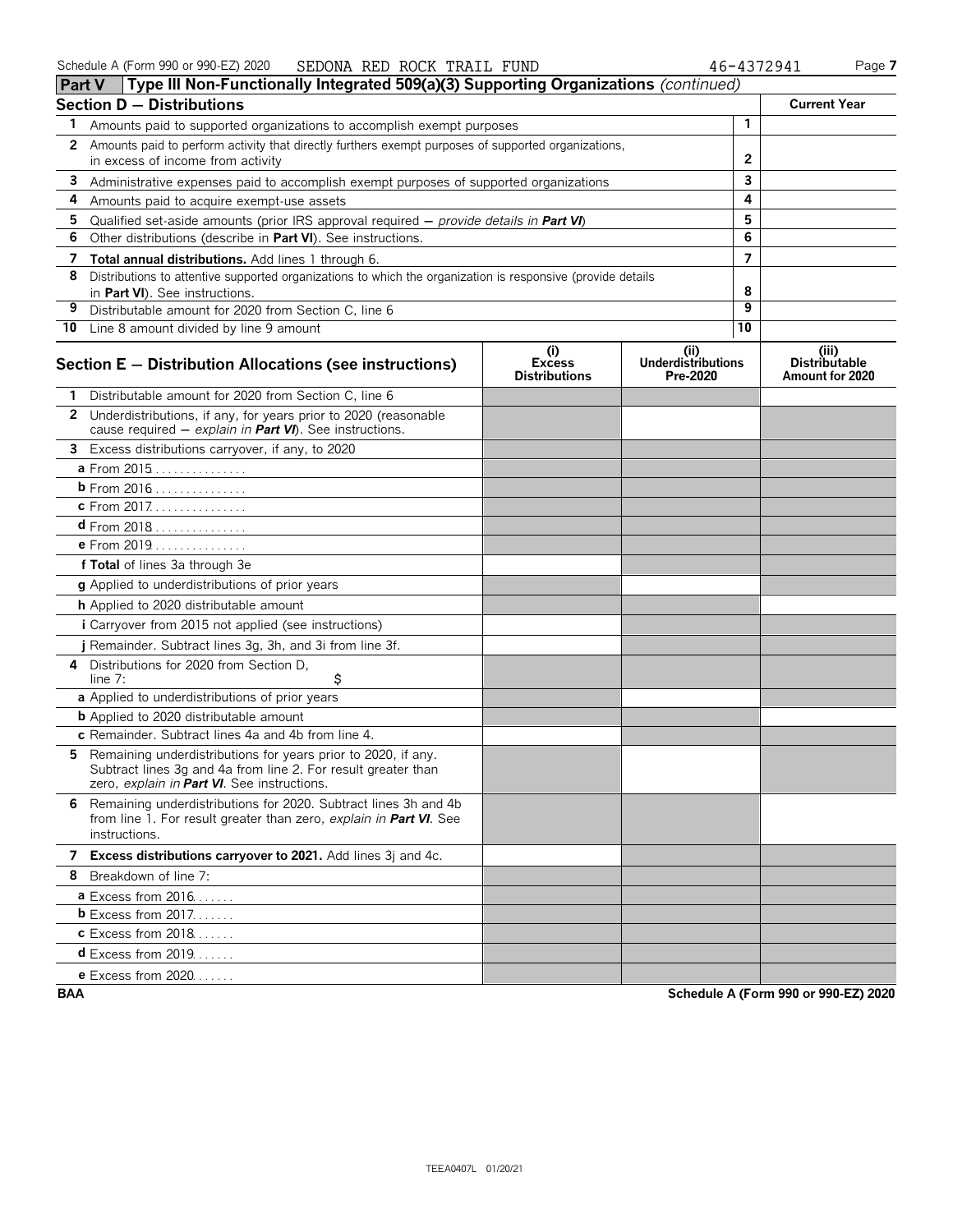|    | Type III Non-Functionally Integrated 509(a)(3) Supporting Organizations (continued)<br><b>Part V</b>                                                                          |                                              |                                              |    |                                                  |
|----|-------------------------------------------------------------------------------------------------------------------------------------------------------------------------------|----------------------------------------------|----------------------------------------------|----|--------------------------------------------------|
|    | <b>Section D - Distributions</b>                                                                                                                                              |                                              |                                              |    | <b>Current Year</b>                              |
| 1  | Amounts paid to supported organizations to accomplish exempt purposes                                                                                                         |                                              |                                              | 1  |                                                  |
| 2  | Amounts paid to perform activity that directly furthers exempt purposes of supported organizations,<br>in excess of income from activity                                      |                                              |                                              | 2  |                                                  |
| 3  |                                                                                                                                                                               |                                              |                                              | 3  |                                                  |
| 4  | Administrative expenses paid to accomplish exempt purposes of supported organizations<br>Amounts paid to acquire exempt-use assets                                            |                                              |                                              | 4  |                                                  |
| 5  | Qualified set-aside amounts (prior IRS approval required – provide details in Part VI)                                                                                        |                                              |                                              | 5  |                                                  |
| 6  | Other distributions (describe in Part VI). See instructions.                                                                                                                  |                                              |                                              | 6  |                                                  |
| 7  | Total annual distributions. Add lines 1 through 6.                                                                                                                            |                                              |                                              | 7  |                                                  |
| 8  | Distributions to attentive supported organizations to which the organization is responsive (provide details                                                                   |                                              |                                              |    |                                                  |
|    | in Part VI). See instructions.                                                                                                                                                |                                              |                                              | 8  |                                                  |
| 9  | Distributable amount for 2020 from Section C, line 6                                                                                                                          |                                              |                                              | 9  |                                                  |
|    | 10 Line 8 amount divided by line 9 amount                                                                                                                                     |                                              |                                              | 10 |                                                  |
|    | Section E - Distribution Allocations (see instructions)                                                                                                                       | (i)<br><b>Excess</b><br><b>Distributions</b> | (i)<br><b>Underdistributions</b><br>Pre-2020 |    | (iii)<br><b>Distributable</b><br>Amount for 2020 |
|    | Distributable amount for 2020 from Section C, line 6                                                                                                                          |                                              |                                              |    |                                                  |
|    | 2 Underdistributions, if any, for years prior to 2020 (reasonable<br>cause required - explain in Part VI). See instructions.                                                  |                                              |                                              |    |                                                  |
|    | 3 Excess distributions carryover, if any, to 2020                                                                                                                             |                                              |                                              |    |                                                  |
|    | a From 2015                                                                                                                                                                   |                                              |                                              |    |                                                  |
|    | b From 2016                                                                                                                                                                   |                                              |                                              |    |                                                  |
|    | c From 2017.                                                                                                                                                                  |                                              |                                              |    |                                                  |
|    | <b>d</b> From 2018                                                                                                                                                            |                                              |                                              |    |                                                  |
|    | e From 2019                                                                                                                                                                   |                                              |                                              |    |                                                  |
|    | f Total of lines 3a through 3e                                                                                                                                                |                                              |                                              |    |                                                  |
|    | g Applied to underdistributions of prior years                                                                                                                                |                                              |                                              |    |                                                  |
|    | h Applied to 2020 distributable amount                                                                                                                                        |                                              |                                              |    |                                                  |
|    | <i>i</i> Carryover from 2015 not applied (see instructions)                                                                                                                   |                                              |                                              |    |                                                  |
|    | j Remainder. Subtract lines 3g, 3h, and 3i from line 3f.                                                                                                                      |                                              |                                              |    |                                                  |
| 4  | Distributions for 2020 from Section D.<br>\$<br>line 7:                                                                                                                       |                                              |                                              |    |                                                  |
|    | a Applied to underdistributions of prior years                                                                                                                                |                                              |                                              |    |                                                  |
|    | <b>b</b> Applied to 2020 distributable amount                                                                                                                                 |                                              |                                              |    |                                                  |
|    | c Remainder. Subtract lines 4a and 4b from line 4.                                                                                                                            |                                              |                                              |    |                                                  |
| 5. | Remaining underdistributions for years prior to 2020, if any.<br>Subtract lines 3g and 4a from line 2. For result greater than<br>zero, explain in Part VI. See instructions. |                                              |                                              |    |                                                  |
|    | 6 Remaining underdistributions for 2020. Subtract lines 3h and 4b<br>from line 1. For result greater than zero, explain in Part VI. See<br>instructions.                      |                                              |                                              |    |                                                  |
|    | 7 Excess distributions carryover to 2021. Add lines 3j and 4c.                                                                                                                |                                              |                                              |    |                                                  |
|    | 8 Breakdown of line 7:                                                                                                                                                        |                                              |                                              |    |                                                  |
|    | <b>a</b> Excess from $2016$                                                                                                                                                   |                                              |                                              |    |                                                  |
|    | $b$ Excess from 2017.                                                                                                                                                         |                                              |                                              |    |                                                  |
|    | <b>c</b> Excess from 2018                                                                                                                                                     |                                              |                                              |    |                                                  |
|    | <b>d</b> Excess from 2019                                                                                                                                                     |                                              |                                              |    |                                                  |
|    | <b>e</b> Excess from 2020                                                                                                                                                     |                                              |                                              |    |                                                  |

**BAA Schedule A (Form 990 or 990-EZ) 2020**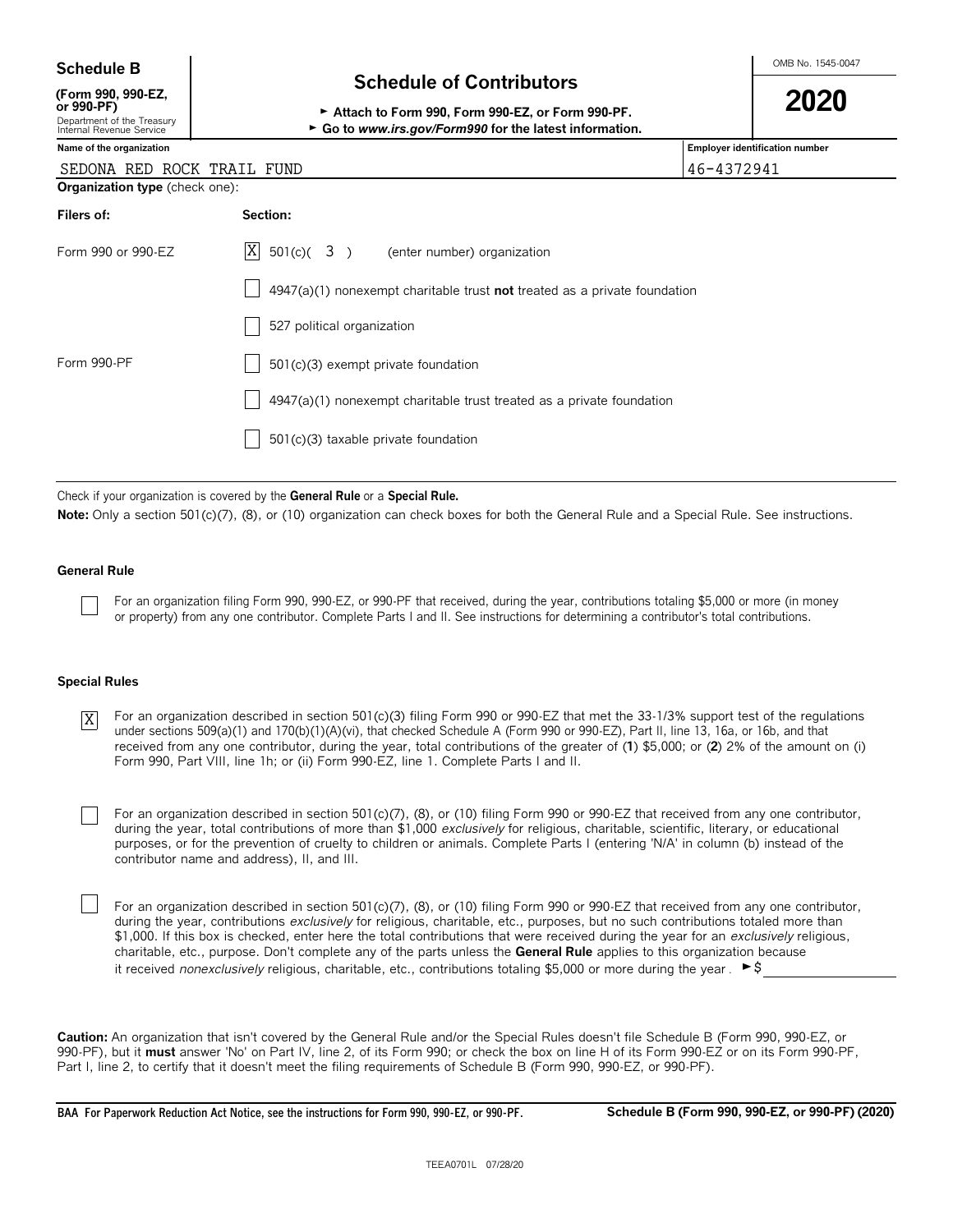| <b>Schedule B</b> |          | 1545-0047<br>OMB No. |
|-------------------|----------|----------------------|
|                   | . .<br>_ |                      |

**(Form 990, 990-EZ,**

## **Schedule of Contributors**

| (Form 990, 990-EZ,                                     |                                                                        | 2020 |
|--------------------------------------------------------|------------------------------------------------------------------------|------|
| or 990-PF)                                             | Attach to Form 990. Form 990-EZ, or Form 990-PF.                       |      |
| Department of the Treasury<br>Internal Revenue Service | $\triangleright$ Go to www.irs.gov/Form990 for the latest information. |      |

| <b>INTERNATIONAL INC.</b>             | as to mmmmorgonic ormood for the ratest imprimation.                        |                                       |
|---------------------------------------|-----------------------------------------------------------------------------|---------------------------------------|
| Name of the organization              |                                                                             | <b>Employer identification number</b> |
| SEDONA RED ROCK TRAIL FUND            |                                                                             | 46-4372941                            |
| <b>Organization type</b> (check one): |                                                                             |                                       |
| Filers of:                            | Section:                                                                    |                                       |
| Form 990 or 990-EZ                    | $ X $ 501(c)( 3) (enter number) organization                                |                                       |
|                                       | $4947(a)(1)$ nonexempt charitable trust not treated as a private foundation |                                       |
|                                       | 527 political organization                                                  |                                       |
| Form 990-PF                           | 501(c)(3) exempt private foundation                                         |                                       |
|                                       | 4947(a)(1) nonexempt charitable trust treated as a private foundation       |                                       |
|                                       | 501(c)(3) taxable private foundation                                        |                                       |

Check if your organization is covered by the **General Rule** or a **Special Rule.**

Note: Only a section 501(c)(7), (8), or (10) organization can check boxes for both the General Rule and a Special Rule. See instructions.

#### **General Rule**

For an organization filing Form 990, 990-EZ, or 990-PF that received, during the year, contributions totaling \$5,000 or more (in money or property) from any one contributor. Complete Parts I and II. See instructions for determining a contributor's total contributions.

#### **Special Rules**

For an organization described in section 501(c)(3) filing Form 990 or 990-EZ that met the 33-1/3% support test of the regulations under sections 509(a)(1) and 170(b)(1)(A)(vi), that checked Schedule A (Form 990 or 990-EZ), Part II, line 13, 16a, or 16b, and that received from any one contributor, during the year, total contributions of the greater of (**1**) \$5,000; or (**2**) 2% of the amount on (i) Form 990, Part VIII, line 1h; or (ii) Form 990-EZ, line 1. Complete Parts I and II. X

For an organization described in section 501(c)(7), (8), or (10) filing Form 990 or 990-EZ that received from any one contributor, during the year, total contributions of more than \$1,000 *exclusively* for religious, charitable, scientific, literary, or educational purposes, or for the prevention of cruelty to children or animals. Complete Parts I (entering 'N/A' in column (b) instead of the contributor name and address), II, and III.

For an organization described in section 501(c)(7), (8), or (10) filing Form 990 or 990-EZ that received from any one contributor, during the year, contributions *exclusively* for religious, charitable, etc., purposes, but no such contributions totaled more than \$1,000. If this box is checked, enter here the total contributions that were received during the year for an *exclusively* religious, charitable, etc., purpose. Don't complete any of the parts unless the **General Rule** applies to this organization because it received *nonexclusively* religious, charitable, etc., contributions totaling \$5,000 or more during the year .  $\blacktriangleright$ \$

**Caution:** An organization that isn't covered by the General Rule and/or the Special Rules doesn't file Schedule B (Form 990, 990-EZ, or 990-PF), but it **must** answer 'No' on Part IV, line 2, of its Form 990; or check the box on line H of its Form 990-EZ or on its Form 990-PF, Part I, line 2, to certify that it doesn't meet the filing requirements of Schedule B (Form 990, 990-EZ, or 990-PF).

**BAA For Paperwork Reduction Act Notice, see the instructions for Form 990, 990-EZ, or 990-PF. Schedule B (Form 990, 990-EZ, or 990-PF) (2020)**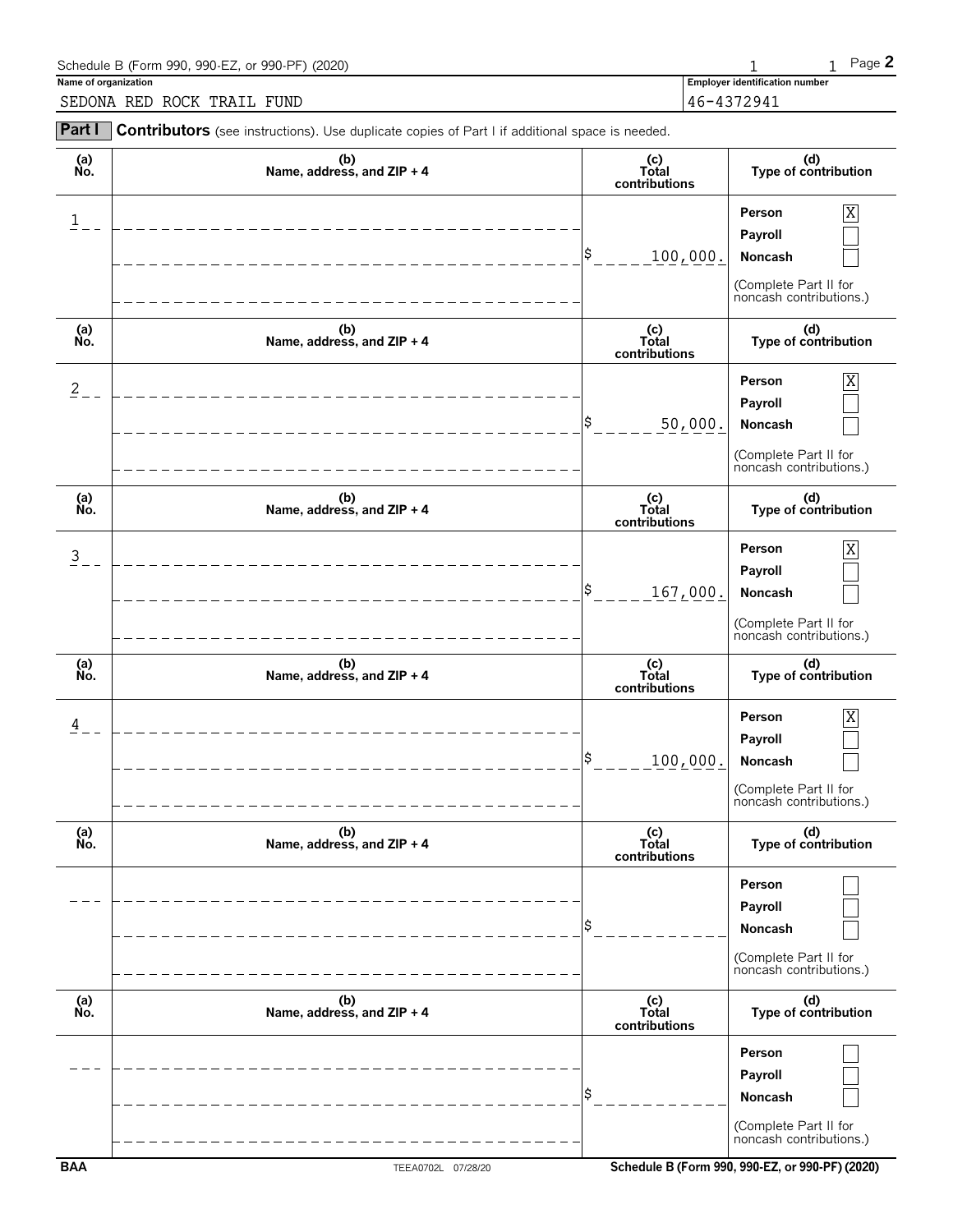| Schedule B (Form 990, 990-EZ, or 990-PF) (2020) |                                       | Page 2 |
|-------------------------------------------------|---------------------------------------|--------|
| Name of organization                            | <b>Employer identification number</b> |        |
| SEDONA RED ROCK TRAIL FUND                      | 46-4372941                            |        |
|                                                 |                                       |        |

| Part I             | Contributors (see instructions). Use duplicate copies of Part I if additional space is needed. |                               |                                                                                                           |
|--------------------|------------------------------------------------------------------------------------------------|-------------------------------|-----------------------------------------------------------------------------------------------------------|
| (a)<br>No.         | (b)<br>Name, address, and ZIP + 4                                                              | (c)<br>Total<br>contributions | (d)<br>Type of contribution                                                                               |
| $\overline{\perp}$ |                                                                                                | Ş.<br>100,000.                | X<br>Person<br>Payroll<br>Noncash<br>(Complete Part II for<br>noncash contributions.)                     |
| (a)<br>No.         | (b)<br>Name, address, and ZIP + 4                                                              | (c)<br>Total<br>contributions | (d)<br>Type of contribution                                                                               |
| $\overline{2}$     |                                                                                                | \$.<br>50,000.                | $\overline{\text{X}}$<br>Person<br>Payroll<br>Noncash<br>(Complete Part II for<br>noncash contributions.) |
| (a)<br>No.         | (b)<br>Name, address, and ZIP + 4                                                              | (c)<br>Total<br>contributions | (d)<br>Type of contribution                                                                               |
| $\overline{3}$     |                                                                                                | \$.<br>167,000.               | Person<br>Χ<br>Payroll<br>Noncash<br>(Complete Part II for<br>noncash contributions.)                     |
| (a)<br>No.         | (b)<br>Name, address, and ZIP + 4                                                              | (c)<br>Total<br>contributions | (d)<br>Type of contribution                                                                               |
| 4                  |                                                                                                | \$.<br>100,000.               | $\overline{\text{X}}$<br>Person<br>Payroll<br>Noncash<br>(Complete Part II for<br>noncash contributions.) |
| (a)<br>No.         | (b)<br>Name, address, and ZIP + 4                                                              | (c)<br>Total<br>contributions | (d)<br>Type of contribution                                                                               |
|                    |                                                                                                |                               | Person<br>Payroll<br>Noncash<br>(Complete Part II for<br>noncash contributions.)                          |
| (a)<br>No.         | (b)<br>Name, address, and ZIP + 4                                                              | (c)<br>Total<br>contributions | (d)<br>Type of contribution                                                                               |
|                    |                                                                                                |                               | Person<br>Payroll<br>Noncash<br>(Complete Part II for<br>noncash contributions.)                          |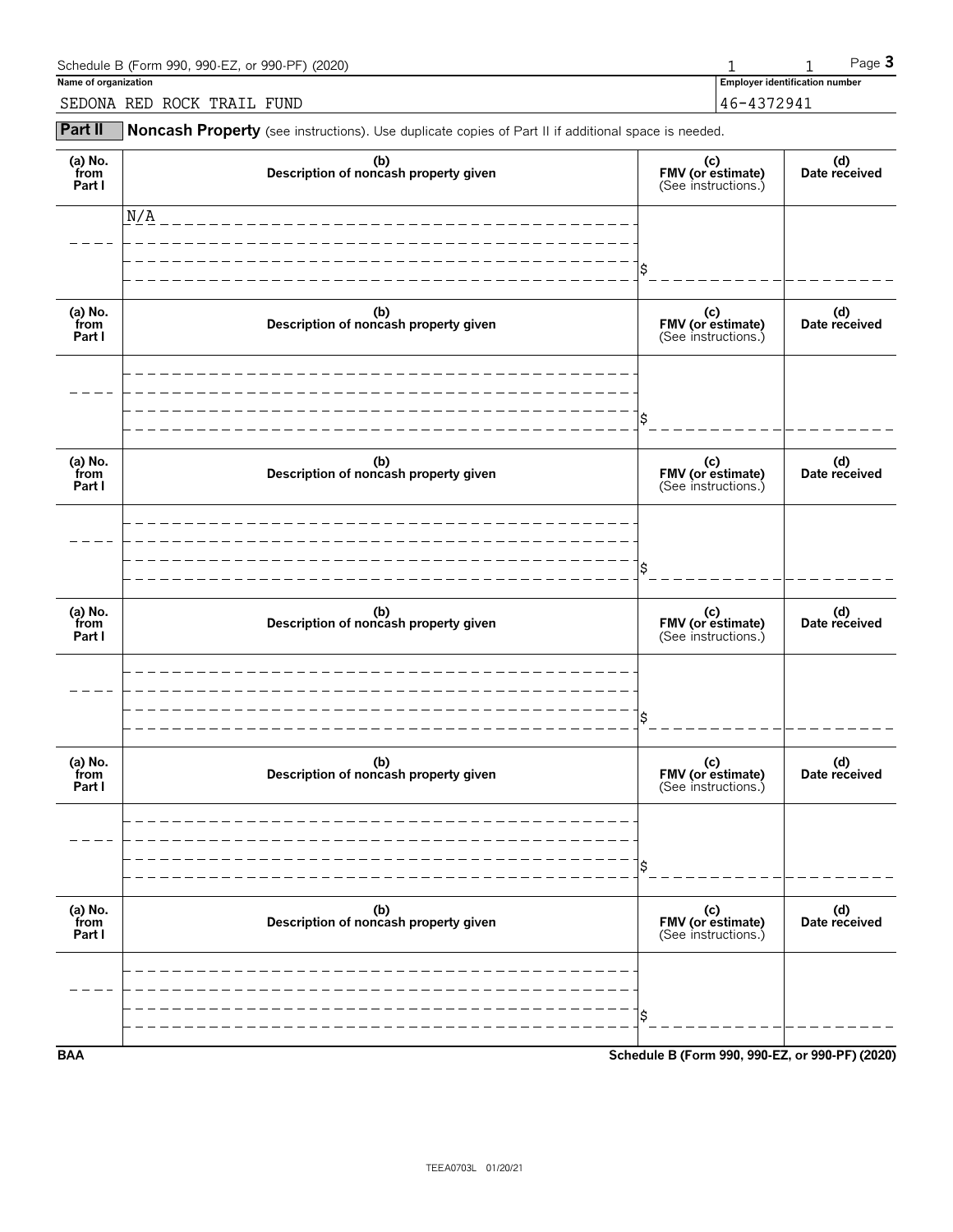| Schedule B (Form 990, 990-EZ, or 990-PF) (2020) |                                | $P$ aqe $\bullet$ |
|-------------------------------------------------|--------------------------------|-------------------|
| Name of organization                            | Employer identification number |                   |
| . RED ROCK TRAIL FUND<br>SEDONA                 | 46-4372941                     |                   |

**Part II** Noncash Property (see instructions). Use duplicate copies of Part II if additional space is needed.

| (a) No.<br>from<br>Part I | (b)<br>Description of noncash property given | (c)<br>FMV (or estimate)<br>(See instructions.) | (d)<br>Date received |
|---------------------------|----------------------------------------------|-------------------------------------------------|----------------------|
|                           | N/A                                          |                                                 |                      |
|                           |                                              |                                                 |                      |
|                           |                                              |                                                 |                      |
| (a) No.<br>from<br>Part I | (b)<br>Description of noncash property given | (c)<br>FMV (or estimate)<br>(See instructions.) | (d)<br>Date received |
|                           |                                              |                                                 |                      |
|                           |                                              |                                                 |                      |
| (a) No.<br>from<br>Part I | (b)<br>Description of noncash property given | (c)<br>FMV (or estimate)<br>(See instructions.) | (d)<br>Date received |
|                           |                                              |                                                 |                      |
|                           |                                              |                                                 |                      |
|                           |                                              |                                                 |                      |
| (a) No.<br>from<br>Part I | (b)<br>Description of noncash property given | (c)<br>FMV (or estimate)<br>(See instructions.) | (d)<br>Date received |
|                           |                                              |                                                 |                      |
|                           |                                              | \$                                              |                      |
|                           |                                              |                                                 |                      |
| (a) No.<br>from<br>Part I | (b)<br>Description of noncash property given | (c)<br>FMV (or estimate)<br>(See instructions.) | (d)<br>Date received |
|                           |                                              |                                                 |                      |
|                           |                                              | \$                                              |                      |
|                           |                                              |                                                 |                      |
| (a) No.<br>from<br>Part I | (b)<br>Description of noncash property given | (c)<br>FMV (or estimate)<br>(See instructions.) | (d)<br>Date received |
|                           |                                              |                                                 |                      |
|                           |                                              |                                                 |                      |
| <b>BAA</b>                |                                              | Schedule B (Form 990, 990-EZ, or 990-PF) (2020) |                      |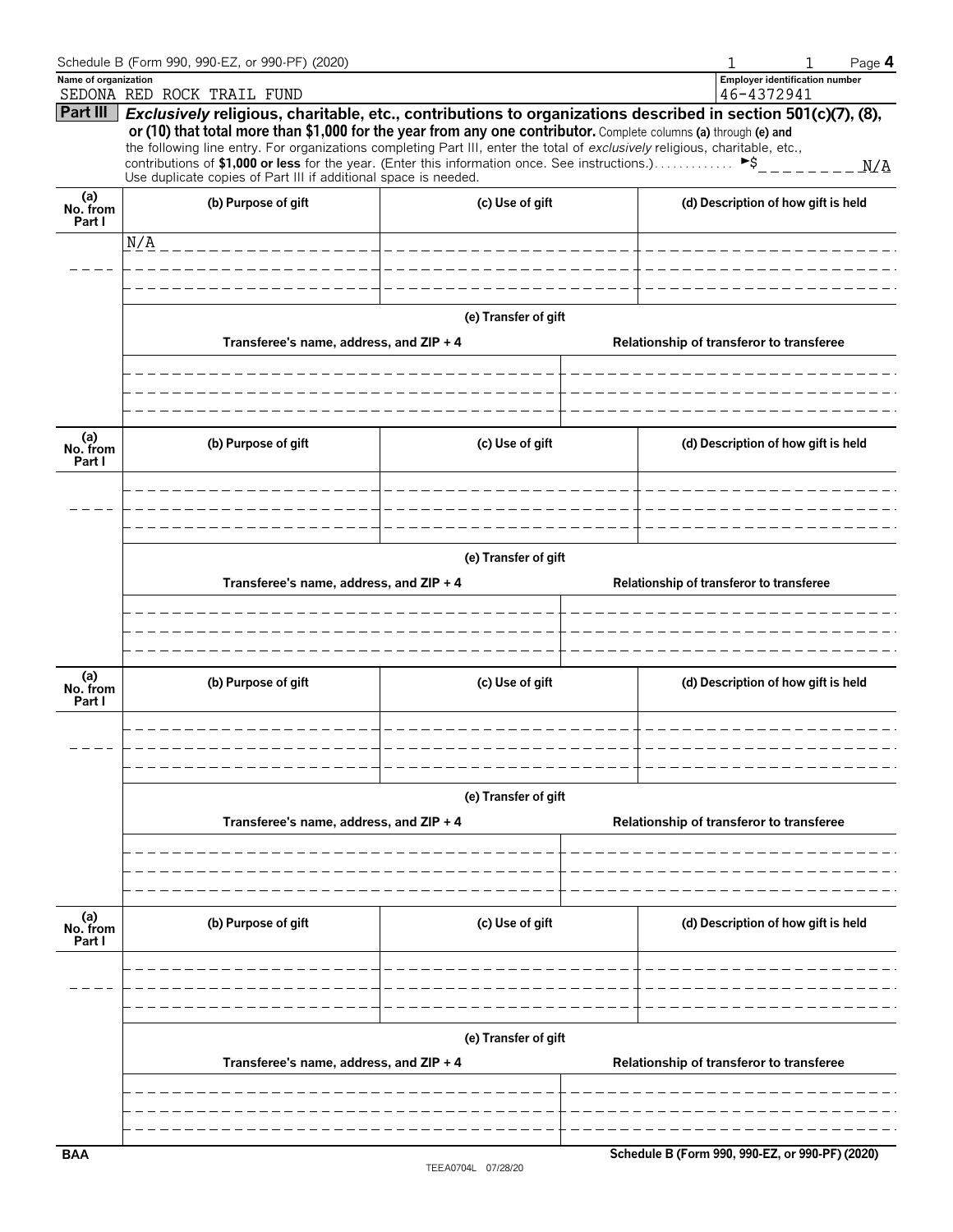|                           | Schedule B (Form 990, 990-EZ, or 990-PF) (2020)                                                                                                                                                                                                                                                                                                                                                                                                                                                                                        |                        |  | Page 4<br>1                                         |  |
|---------------------------|----------------------------------------------------------------------------------------------------------------------------------------------------------------------------------------------------------------------------------------------------------------------------------------------------------------------------------------------------------------------------------------------------------------------------------------------------------------------------------------------------------------------------------------|------------------------|--|-----------------------------------------------------|--|
| Name of organization      | SEDONA RED ROCK TRAIL FUND                                                                                                                                                                                                                                                                                                                                                                                                                                                                                                             |                        |  | <b>Employer identification number</b><br>46-4372941 |  |
| Part III                  | Exclusively religious, charitable, etc., contributions to organizations described in section 501(c)(7), (8),<br>or (10) that total more than \$1,000 for the year from any one contributor. Complete columns (a) through (e) and<br>the following line entry. For organizations completing Part III, enter the total of exclusively religious, charitable, etc.,<br>contributions of \$1,000 or less for the year. (Enter this information once. See instructions.)<br>Use duplicate copies of Part III if additional space is needed. |                        |  | ►\$<br>. N/A                                        |  |
| (a)<br>No. from<br>Part I | (b) Purpose of gift                                                                                                                                                                                                                                                                                                                                                                                                                                                                                                                    | (c) Use of gift        |  | (d) Description of how gift is held                 |  |
|                           |                                                                                                                                                                                                                                                                                                                                                                                                                                                                                                                                        | ______________________ |  |                                                     |  |
|                           |                                                                                                                                                                                                                                                                                                                                                                                                                                                                                                                                        |                        |  |                                                     |  |
|                           |                                                                                                                                                                                                                                                                                                                                                                                                                                                                                                                                        | (e) Transfer of gift   |  |                                                     |  |
|                           | Transferee's name, address, and ZIP + 4                                                                                                                                                                                                                                                                                                                                                                                                                                                                                                |                        |  | Relationship of transferor to transferee            |  |
|                           |                                                                                                                                                                                                                                                                                                                                                                                                                                                                                                                                        |                        |  |                                                     |  |
|                           |                                                                                                                                                                                                                                                                                                                                                                                                                                                                                                                                        |                        |  |                                                     |  |
| (a)<br>No. from<br>Part I | (b) Purpose of gift                                                                                                                                                                                                                                                                                                                                                                                                                                                                                                                    | (c) Use of gift        |  | (d) Description of how gift is held                 |  |
|                           |                                                                                                                                                                                                                                                                                                                                                                                                                                                                                                                                        |                        |  |                                                     |  |
|                           |                                                                                                                                                                                                                                                                                                                                                                                                                                                                                                                                        |                        |  |                                                     |  |
|                           | (e) Transfer of gift                                                                                                                                                                                                                                                                                                                                                                                                                                                                                                                   |                        |  |                                                     |  |
|                           | Transferee's name, address, and ZIP + 4                                                                                                                                                                                                                                                                                                                                                                                                                                                                                                |                        |  | Relationship of transferor to transferee            |  |
|                           |                                                                                                                                                                                                                                                                                                                                                                                                                                                                                                                                        |                        |  |                                                     |  |
|                           |                                                                                                                                                                                                                                                                                                                                                                                                                                                                                                                                        |                        |  |                                                     |  |
| (a)<br>No. from<br>Part I | (b) Purpose of gift                                                                                                                                                                                                                                                                                                                                                                                                                                                                                                                    | (c) Use of gift        |  | (d) Description of how gift is held                 |  |
|                           |                                                                                                                                                                                                                                                                                                                                                                                                                                                                                                                                        |                        |  |                                                     |  |
|                           |                                                                                                                                                                                                                                                                                                                                                                                                                                                                                                                                        |                        |  |                                                     |  |
|                           |                                                                                                                                                                                                                                                                                                                                                                                                                                                                                                                                        | (e) Transfer of gift   |  |                                                     |  |
|                           | Transferee's name, address, and ZIP + 4                                                                                                                                                                                                                                                                                                                                                                                                                                                                                                |                        |  | Relationship of transferor to transferee            |  |
|                           |                                                                                                                                                                                                                                                                                                                                                                                                                                                                                                                                        |                        |  |                                                     |  |
|                           |                                                                                                                                                                                                                                                                                                                                                                                                                                                                                                                                        |                        |  |                                                     |  |
| (a)<br>No. from<br>Part I | (b) Purpose of gift                                                                                                                                                                                                                                                                                                                                                                                                                                                                                                                    | (c) Use of gift        |  | (d) Description of how gift is held                 |  |
|                           |                                                                                                                                                                                                                                                                                                                                                                                                                                                                                                                                        |                        |  |                                                     |  |
|                           |                                                                                                                                                                                                                                                                                                                                                                                                                                                                                                                                        |                        |  |                                                     |  |
|                           |                                                                                                                                                                                                                                                                                                                                                                                                                                                                                                                                        | (e) Transfer of gift   |  |                                                     |  |
|                           | Transferee's name, address, and ZIP + 4                                                                                                                                                                                                                                                                                                                                                                                                                                                                                                |                        |  | Relationship of transferor to transferee            |  |
|                           |                                                                                                                                                                                                                                                                                                                                                                                                                                                                                                                                        |                        |  |                                                     |  |
| <b>BAA</b>                |                                                                                                                                                                                                                                                                                                                                                                                                                                                                                                                                        |                        |  | Schedule B (Form 990, 990-EZ, or 990-PF) (2020)     |  |
|                           |                                                                                                                                                                                                                                                                                                                                                                                                                                                                                                                                        |                        |  |                                                     |  |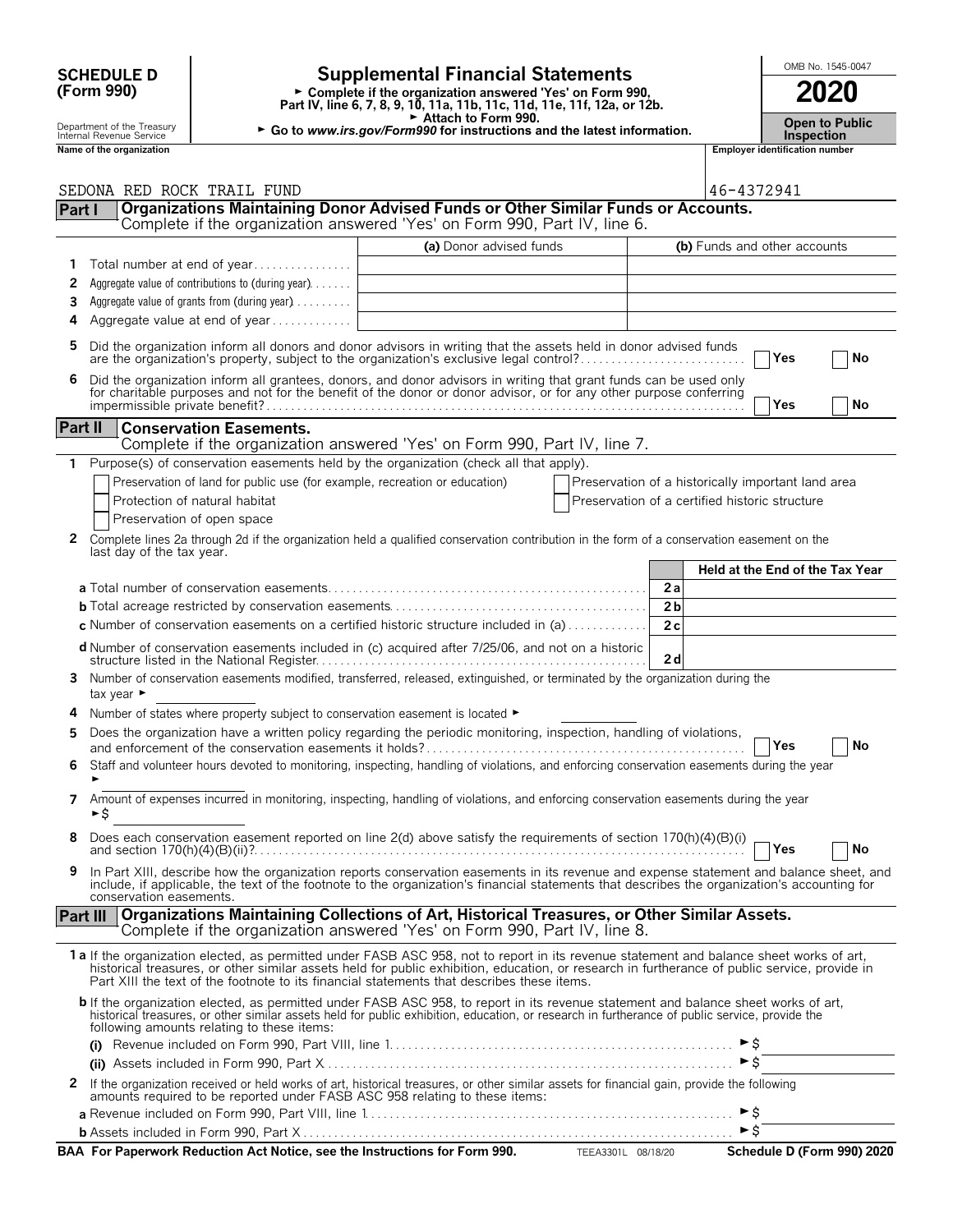| <b>SCHEDULE D</b> |  |
|-------------------|--|
| (Form 990)        |  |

## OMB No. 1545-0047 **SCHEDULE D Supplemental Financial Statements (Form 990)**

**Part IV, line 6, 7, 8, 9, 10, 11a, 11b, 11c, 11d, 11e, 11f, 12a, or 12b.** <sup>G</sup> **Complete if the organization answered 'Yes' on Form 990, 2020**

Attach to Form 990.

► Go to *www.irs.gov/Form990* for instructions and the latest information. Depen to Public<br>Inspection Department of the Treasury **internal Revenue Service**<br>Internal Revenue Service **Employer identification**<br>**Name of the organization**<br>**Name of the organization** 

| <b>Employer identification nur</b> |  |
|------------------------------------|--|
|                                    |  |

|         | SEDONA RED ROCK TRAIL FUND                                                                                                                                                                                                                                                                                                                                                             | 46-4372941                                         |
|---------|----------------------------------------------------------------------------------------------------------------------------------------------------------------------------------------------------------------------------------------------------------------------------------------------------------------------------------------------------------------------------------------|----------------------------------------------------|
| Part I  | Organizations Maintaining Donor Advised Funds or Other Similar Funds or Accounts.                                                                                                                                                                                                                                                                                                      |                                                    |
|         | Complete if the organization answered 'Yes' on Form 990, Part IV, line 6.                                                                                                                                                                                                                                                                                                              |                                                    |
|         | (a) Donor advised funds                                                                                                                                                                                                                                                                                                                                                                | (b) Funds and other accounts                       |
| 1       | Total number at end of year                                                                                                                                                                                                                                                                                                                                                            |                                                    |
| 2       | Aggregate value of contributions to (during year).                                                                                                                                                                                                                                                                                                                                     |                                                    |
| 3       | Aggregate value of grants from (during year)                                                                                                                                                                                                                                                                                                                                           |                                                    |
| 4       | Aggregate value at end of year                                                                                                                                                                                                                                                                                                                                                         |                                                    |
|         |                                                                                                                                                                                                                                                                                                                                                                                        |                                                    |
| 5       | Did the organization inform all donors and donor advisors in writing that the assets held in donor advised funds<br>are the organization's property, subject to the organization's exclusive legal control?                                                                                                                                                                            | Yes<br>No                                          |
| 6       | Did the organization inform all grantees, donors, and donor advisors in writing that grant funds can be used only for charitable purposes and not for the benefit of the donor or donor advisor, or for any other purpose conf                                                                                                                                                         | Yes<br>No                                          |
| Part II | <b>Conservation Easements.</b><br>Complete if the organization answered 'Yes' on Form 990, Part IV, line 7.                                                                                                                                                                                                                                                                            |                                                    |
|         | 1 Purpose(s) of conservation easements held by the organization (check all that apply).                                                                                                                                                                                                                                                                                                |                                                    |
|         | Preservation of land for public use (for example, recreation or education)                                                                                                                                                                                                                                                                                                             | Preservation of a historically important land area |
|         | Protection of natural habitat                                                                                                                                                                                                                                                                                                                                                          | Preservation of a certified historic structure     |
|         | Preservation of open space                                                                                                                                                                                                                                                                                                                                                             |                                                    |
| 2       | Complete lines 2a through 2d if the organization held a qualified conservation contribution in the form of a conservation easement on the                                                                                                                                                                                                                                              |                                                    |
|         | last day of the tax year.                                                                                                                                                                                                                                                                                                                                                              |                                                    |
|         |                                                                                                                                                                                                                                                                                                                                                                                        | Held at the End of the Tax Year                    |
|         | 2a                                                                                                                                                                                                                                                                                                                                                                                     |                                                    |
|         | 2 <sub>b</sub>                                                                                                                                                                                                                                                                                                                                                                         |                                                    |
|         | 2c<br><b>c</b> Number of conservation easements on a certified historic structure included in (a) $\dots \dots \dots$                                                                                                                                                                                                                                                                  |                                                    |
|         | d Number of conservation easements included in (c) acquired after 7/25/06, and not on a historic<br>2d                                                                                                                                                                                                                                                                                 |                                                    |
| 3.      | Number of conservation easements modified, transferred, released, extinguished, or terminated by the organization during the<br>tax year $\blacktriangleright$                                                                                                                                                                                                                         |                                                    |
|         | Number of states where property subject to conservation easement is located $\blacktriangleright$                                                                                                                                                                                                                                                                                      |                                                    |
| 5       | Does the organization have a written policy regarding the periodic monitoring, inspection, handling of violations,                                                                                                                                                                                                                                                                     | Yes<br>No                                          |
| 6       | Staff and volunteer hours devoted to monitoring, inspecting, handling of violations, and enforcing conservation easements during the year                                                                                                                                                                                                                                              |                                                    |
|         |                                                                                                                                                                                                                                                                                                                                                                                        |                                                    |
| 7       | Amount of expenses incurred in monitoring, inspecting, handling of violations, and enforcing conservation easements during the year<br>►Ŝ                                                                                                                                                                                                                                              |                                                    |
|         | Does each conservation easement reported on line 2(d) above satisfy the requirements of section 170(h)(4)(B)(i)                                                                                                                                                                                                                                                                        | Yes<br>No                                          |
|         | In Part XIII, describe how the organization reports conservation easements in its revenue and expense statement and balance sheet, and<br>include, if applicable, the text of the footnote to the organization's financial statements that describes the organization's accounting for<br>conservation easements.                                                                      |                                                    |
|         | Part III   Organizations Maintaining Collections of Art, Historical Treasures, or Other Similar Assets.<br>Complete if the organization answered 'Yes' on Form 990, Part IV, line 8.                                                                                                                                                                                                   |                                                    |
|         | 1a If the organization elected, as permitted under FASB ASC 958, not to report in its revenue statement and balance sheet works of art,<br>historical treasures, or other similar assets held for public exhibition, education, or research in furtherance of public service, provide in<br>Part XIII the text of the footnote to its financial statements that describes these items. |                                                    |
|         | <b>b</b> If the organization elected, as permitted under FASB ASC 958, to report in its revenue statement and balance sheet works of art,<br>historical treasures, or other similar assets held for public exhibition, education, or research in furtherance of public service, provide the<br>following amounts relating to these items:                                              |                                                    |
|         |                                                                                                                                                                                                                                                                                                                                                                                        |                                                    |
|         |                                                                                                                                                                                                                                                                                                                                                                                        | ► \$                                               |
| 2       | If the organization received or held works of art, historical treasures, or other similar assets for financial gain, provide the following amounts required to be reported under FASB ASC 958 relating to these items:                                                                                                                                                                 |                                                    |
|         |                                                                                                                                                                                                                                                                                                                                                                                        | ►\$                                                |
|         |                                                                                                                                                                                                                                                                                                                                                                                        | ►Ŝ                                                 |
|         | BAA For Paperwork Reduction Act Notice, see the Instructions for Form 990. TEEA3301L 08/18/20                                                                                                                                                                                                                                                                                          | Schedule D (Form 990) 2020                         |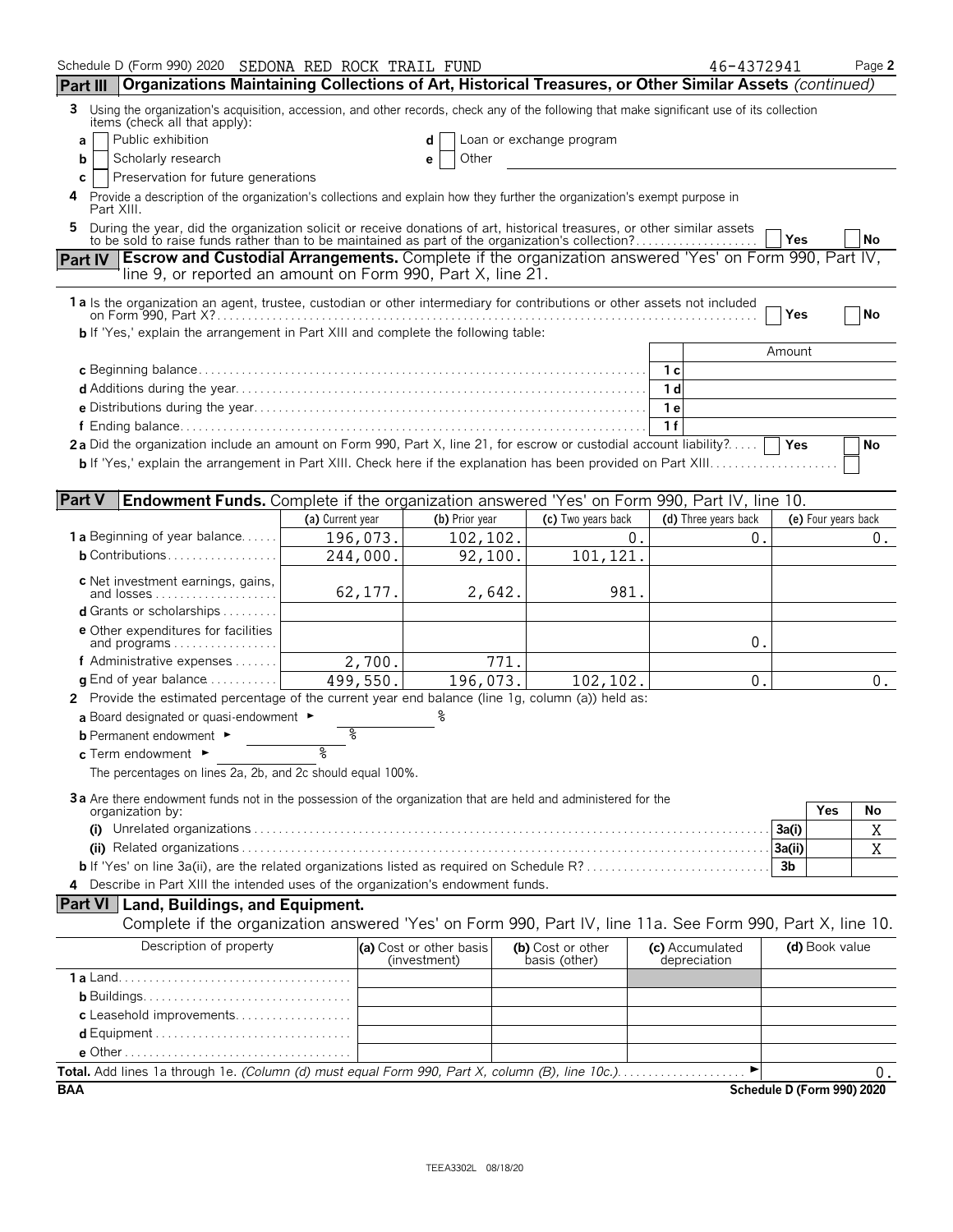| Schedule D (Form 990) 2020 SEDONA RED ROCK TRAIL FUND                                                                                                                                                                             |                  |         |                                         |      |                                    |     | 46-4372941                      |                            |                     | Page 2 |
|-----------------------------------------------------------------------------------------------------------------------------------------------------------------------------------------------------------------------------------|------------------|---------|-----------------------------------------|------|------------------------------------|-----|---------------------------------|----------------------------|---------------------|--------|
| Organizations Maintaining Collections of Art, Historical Treasures, or Other Similar Assets (continued)<br><b>Part III</b>                                                                                                        |                  |         |                                         |      |                                    |     |                                 |                            |                     |        |
| Using the organization's acquisition, accession, and other records, check any of the following that make significant use of its collection<br>3<br>items (check all that apply):                                                  |                  |         |                                         |      |                                    |     |                                 |                            |                     |        |
| Public exhibition<br>a                                                                                                                                                                                                            |                  |         | d                                       |      | Loan or exchange program           |     |                                 |                            |                     |        |
| Scholarly research<br>b                                                                                                                                                                                                           |                  |         | Other<br>е                              |      |                                    |     |                                 |                            |                     |        |
| Preservation for future generations<br>с                                                                                                                                                                                          |                  |         |                                         |      |                                    |     |                                 |                            |                     |        |
| Provide a description of the organization's collections and explain how they further the organization's exempt purpose in<br>4<br>Part XIII.                                                                                      |                  |         |                                         |      |                                    |     |                                 |                            |                     |        |
| During the year, did the organization solicit or receive donations of art, historical treasures, or other similar assets<br>5<br>to be sold to raise funds rather than to be maintained as part of the organization's collection? |                  |         |                                         |      |                                    |     |                                 | Yes                        |                     | No     |
| <b>Escrow and Custodial Arrangements.</b> Complete if the organization answered 'Yes' on Form 990, Part IV,<br><b>Part IV</b>                                                                                                     |                  |         |                                         |      |                                    |     |                                 |                            |                     |        |
| line 9, or reported an amount on Form 990, Part X, line 21.                                                                                                                                                                       |                  |         |                                         |      |                                    |     |                                 |                            |                     |        |
| 1a Is the organization an agent, trustee, custodian or other intermediary for contributions or other assets not included                                                                                                          |                  |         |                                         |      |                                    |     |                                 |                            |                     |        |
|                                                                                                                                                                                                                                   |                  |         |                                         |      |                                    |     |                                 | Yes                        |                     | No     |
| <b>b</b> If 'Yes,' explain the arrangement in Part XIII and complete the following table:                                                                                                                                         |                  |         |                                         |      |                                    |     |                                 | Amount                     |                     |        |
|                                                                                                                                                                                                                                   |                  |         |                                         |      |                                    | 1 с |                                 |                            |                     |        |
|                                                                                                                                                                                                                                   |                  |         |                                         |      |                                    | 1 d |                                 |                            |                     |        |
|                                                                                                                                                                                                                                   |                  |         |                                         |      |                                    | 1 e |                                 |                            |                     |        |
|                                                                                                                                                                                                                                   |                  |         |                                         |      |                                    | 1f  |                                 |                            |                     |        |
| 2a Did the organization include an amount on Form 990, Part X, line 21, for escrow or custodial account liability?                                                                                                                |                  |         |                                         |      |                                    |     |                                 | Yes                        |                     | No     |
|                                                                                                                                                                                                                                   |                  |         |                                         |      |                                    |     |                                 |                            |                     |        |
|                                                                                                                                                                                                                                   |                  |         |                                         |      |                                    |     |                                 |                            |                     |        |
| <b>Part V</b><br><b>Endowment Funds.</b> Complete if the organization answered 'Yes' on Form 990, Part IV, line 10.                                                                                                               |                  |         |                                         |      |                                    |     |                                 |                            |                     |        |
|                                                                                                                                                                                                                                   | (a) Current year |         | (b) Prior year                          |      | (c) Two years back                 |     | (d) Three years back            |                            | (e) Four years back |        |
| <b>1 a</b> Beginning of year balance                                                                                                                                                                                              | 196,073.         |         | 102,102.                                |      | 0.                                 |     | 0.                              |                            |                     | $0$ .  |
| $b$ Contributions                                                                                                                                                                                                                 | 244,000.         |         | 92,100.                                 |      | 101,121.                           |     |                                 |                            |                     |        |
| c Net investment earnings, gains,                                                                                                                                                                                                 |                  | 62,177. | 2,642.                                  |      | 981.                               |     |                                 |                            |                     |        |
| d Grants or scholarships                                                                                                                                                                                                          |                  |         |                                         |      |                                    |     |                                 |                            |                     |        |
| <b>e</b> Other expenditures for facilities<br>and programs                                                                                                                                                                        |                  |         |                                         |      |                                    |     | 0.                              |                            |                     |        |
| <b>f</b> Administrative expenses $\dots \dots$                                                                                                                                                                                    |                  | 2,700.  |                                         | 771. |                                    |     |                                 |                            |                     |        |
| $\alpha$ End of year balance $\ldots \ldots \ldots$                                                                                                                                                                               | 499,550.         |         | 196,073.                                |      | 102,102.                           |     | 0.                              |                            |                     | 0.     |
| 2 Provide the estimated percentage of the current year end balance (line 1g, column (a)) held as:                                                                                                                                 |                  |         |                                         |      |                                    |     |                                 |                            |                     |        |
| a Board designated or quasi-endowment $\blacktriangleright$                                                                                                                                                                       |                  |         |                                         |      |                                    |     |                                 |                            |                     |        |
| <b>b</b> Permanent endowment ►                                                                                                                                                                                                    | ిం<br>ত্         |         |                                         |      |                                    |     |                                 |                            |                     |        |
| c Term endowment $\blacktriangleright$                                                                                                                                                                                            |                  |         |                                         |      |                                    |     |                                 |                            |                     |        |
| The percentages on lines 2a, 2b, and 2c should equal 100%.                                                                                                                                                                        |                  |         |                                         |      |                                    |     |                                 |                            |                     |        |
| 3a Are there endowment funds not in the possession of the organization that are held and administered for the                                                                                                                     |                  |         |                                         |      |                                    |     |                                 |                            |                     |        |
| organization by:                                                                                                                                                                                                                  |                  |         |                                         |      |                                    |     |                                 |                            | Yes                 | No     |
|                                                                                                                                                                                                                                   |                  |         |                                         |      |                                    |     |                                 | 3a(i)<br>3a(ii)            |                     | Χ<br>X |
|                                                                                                                                                                                                                                   |                  |         |                                         |      |                                    |     |                                 | 3 <sub>b</sub>             |                     |        |
| Describe in Part XIII the intended uses of the organization's endowment funds.<br>4                                                                                                                                               |                  |         |                                         |      |                                    |     |                                 |                            |                     |        |
| Part VI   Land, Buildings, and Equipment.                                                                                                                                                                                         |                  |         |                                         |      |                                    |     |                                 |                            |                     |        |
| Complete if the organization answered 'Yes' on Form 990, Part IV, line 11a. See Form 990, Part X, line 10.                                                                                                                        |                  |         |                                         |      |                                    |     |                                 |                            |                     |        |
|                                                                                                                                                                                                                                   |                  |         |                                         |      |                                    |     |                                 |                            |                     |        |
| Description of property                                                                                                                                                                                                           |                  |         | (a) Cost or other basis<br>(investment) |      | (b) Cost or other<br>basis (other) |     | (c) Accumulated<br>depreciation |                            | (d) Book value      |        |
|                                                                                                                                                                                                                                   |                  |         |                                         |      |                                    |     |                                 |                            |                     |        |
|                                                                                                                                                                                                                                   |                  |         |                                         |      |                                    |     |                                 |                            |                     |        |
| c Leasehold improvements                                                                                                                                                                                                          |                  |         |                                         |      |                                    |     |                                 |                            |                     |        |
|                                                                                                                                                                                                                                   |                  |         |                                         |      |                                    |     |                                 |                            |                     |        |
|                                                                                                                                                                                                                                   |                  |         |                                         |      |                                    |     |                                 |                            |                     |        |
|                                                                                                                                                                                                                                   |                  |         |                                         |      |                                    |     |                                 |                            |                     | 0.     |
| <b>BAA</b>                                                                                                                                                                                                                        |                  |         |                                         |      |                                    |     |                                 | Schedule D (Form 990) 2020 |                     |        |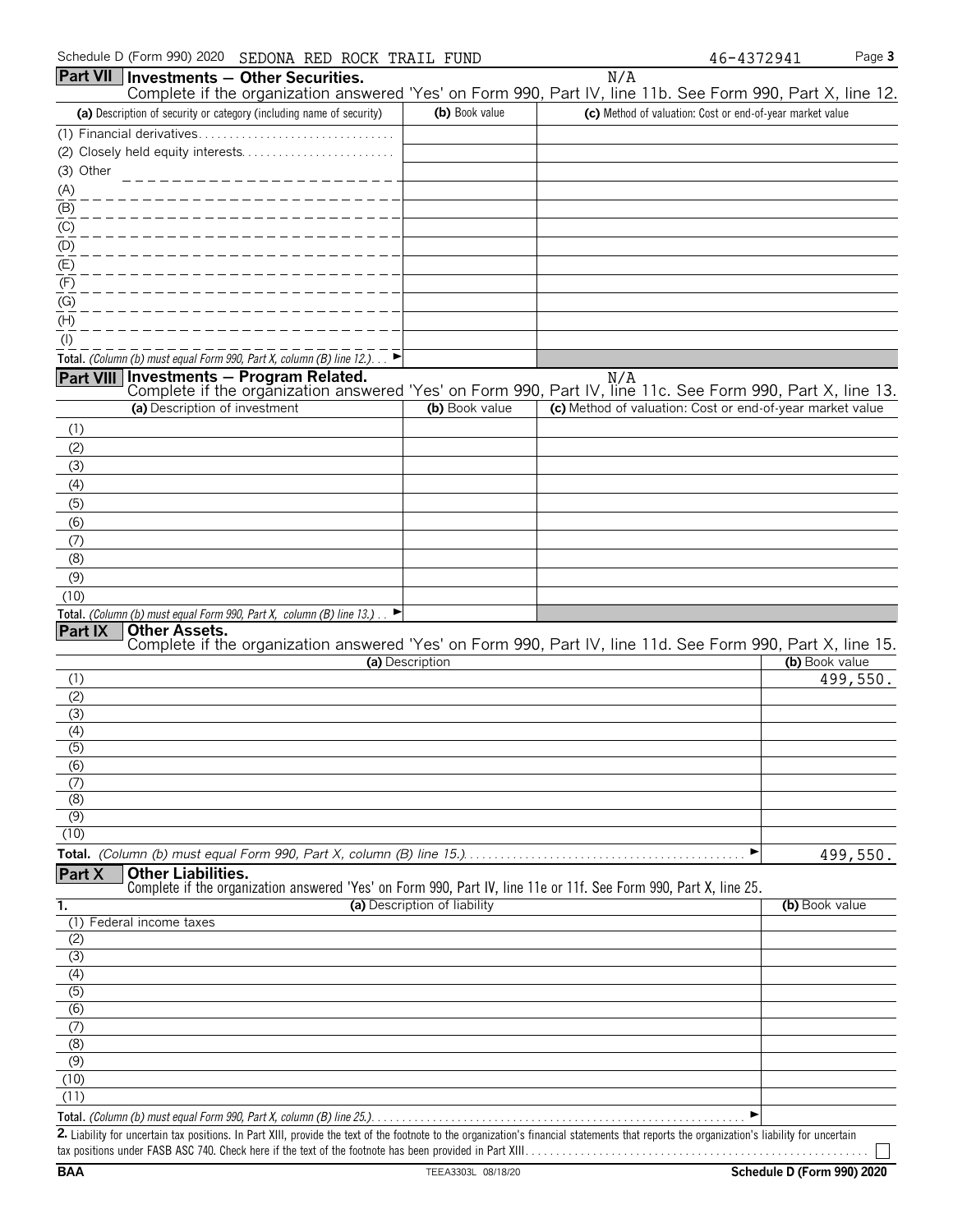|                           | Part VII Investments - Other Securities.<br>Complete if the organization answered 'Yes' on Form 990, Part IV, line 11b. See Form 990, Part X, line 12. |                              | N/A                                                       |                |
|---------------------------|--------------------------------------------------------------------------------------------------------------------------------------------------------|------------------------------|-----------------------------------------------------------|----------------|
|                           | (a) Description of security or category (including name of security)                                                                                   | (b) Book value               | (c) Method of valuation: Cost or end-of-year market value |                |
|                           |                                                                                                                                                        |                              |                                                           |                |
|                           |                                                                                                                                                        |                              |                                                           |                |
| (3) Other                 |                                                                                                                                                        |                              |                                                           |                |
|                           |                                                                                                                                                        |                              |                                                           |                |
| $\frac{(A)}{(B)}$         |                                                                                                                                                        |                              |                                                           |                |
| $\overline{(\mathsf{C})}$ |                                                                                                                                                        |                              |                                                           |                |
|                           |                                                                                                                                                        |                              |                                                           |                |
| $\frac{(D)}{(E)}$         |                                                                                                                                                        |                              |                                                           |                |
| (F)                       |                                                                                                                                                        |                              |                                                           |                |
| (G)                       |                                                                                                                                                        |                              |                                                           |                |
| (H)                       |                                                                                                                                                        |                              |                                                           |                |
| (1)                       |                                                                                                                                                        |                              |                                                           |                |
|                           | Total. (Column (b) must equal Form 990, Part X, column (B) line 12.)                                                                                   |                              |                                                           |                |
| <b>Part VIII</b>          | Investments - Program Related.<br>Complete if the organization answered 'Yes' on Form 990, Part IV, line 11c. See Form 990, Part X, line 13.           |                              |                                                           |                |
|                           | (a) Description of investment                                                                                                                          | (b) Book value               | (c) Method of valuation: Cost or end-of-year market value |                |
| (1)                       |                                                                                                                                                        |                              |                                                           |                |
| (2)                       |                                                                                                                                                        |                              |                                                           |                |
| (3)                       |                                                                                                                                                        |                              |                                                           |                |
| (4)                       |                                                                                                                                                        |                              |                                                           |                |
| (5)                       |                                                                                                                                                        |                              |                                                           |                |
| (6)                       |                                                                                                                                                        |                              |                                                           |                |
| (7)                       |                                                                                                                                                        |                              |                                                           |                |
| (8)                       |                                                                                                                                                        |                              |                                                           |                |
| (9)                       |                                                                                                                                                        |                              |                                                           |                |
| (10)                      |                                                                                                                                                        |                              |                                                           |                |
| <b>Part IX</b>            | Total. (Column (b) must equal Form 990, Part X, column (B) line 13.).<br><b>Other Assets.</b>                                                          |                              |                                                           |                |
|                           | Complete if the organization answered 'Yes' on Form 990, Part IV, line 11d. See Form 990, Part X, line 15.                                             |                              |                                                           |                |
|                           |                                                                                                                                                        | (a) Description              |                                                           | (b) Book value |
| (1)                       |                                                                                                                                                        |                              |                                                           | 499,550.       |
| (2)<br>(3)                |                                                                                                                                                        |                              |                                                           |                |
| (4)                       |                                                                                                                                                        |                              |                                                           |                |
| $\overline{(5)}$          |                                                                                                                                                        |                              |                                                           |                |
| (6)                       |                                                                                                                                                        |                              |                                                           |                |
| $\overline{(7)}$          |                                                                                                                                                        |                              |                                                           |                |
| (8)                       |                                                                                                                                                        |                              |                                                           |                |
| (9)<br>(10)               |                                                                                                                                                        |                              |                                                           |                |
|                           |                                                                                                                                                        |                              | ▶                                                         |                |
| Part X                    | <b>Other Liabilities.</b>                                                                                                                              |                              |                                                           | 499,550.       |
|                           | Complete if the organization answered 'Yes' on Form 990, Part IV, line 11e or 11f. See Form 990, Part X, line 25.                                      |                              |                                                           |                |
| 1.                        |                                                                                                                                                        | (a) Description of liability |                                                           | (b) Book value |
| (1)                       | Federal income taxes                                                                                                                                   |                              |                                                           |                |
| (2)                       |                                                                                                                                                        |                              |                                                           |                |
| (3)                       |                                                                                                                                                        |                              |                                                           |                |
| (4)<br>(5)                |                                                                                                                                                        |                              |                                                           |                |
| (6)                       |                                                                                                                                                        |                              |                                                           |                |
| (7)                       |                                                                                                                                                        |                              |                                                           |                |
| (8)                       |                                                                                                                                                        |                              |                                                           |                |
| (9)                       |                                                                                                                                                        |                              |                                                           |                |
| (10)                      |                                                                                                                                                        |                              |                                                           |                |
| (11)                      |                                                                                                                                                        |                              |                                                           |                |
|                           |                                                                                                                                                        |                              | ▶                                                         |                |

2. Liability for uncertain tax positions. In Part XIII, provide the text of the footnote to the organization's financial statements that reports the organization's liability for uncertain tax positions under FASB ASC 740. Check here if the text of the footnote has been provided in Part XIII. . . . . . . . . . . . . . . . . . . . . . . . . . . . . . . . . . . . . . . . . . . . . . . . . . . . . . . .

 $\Box$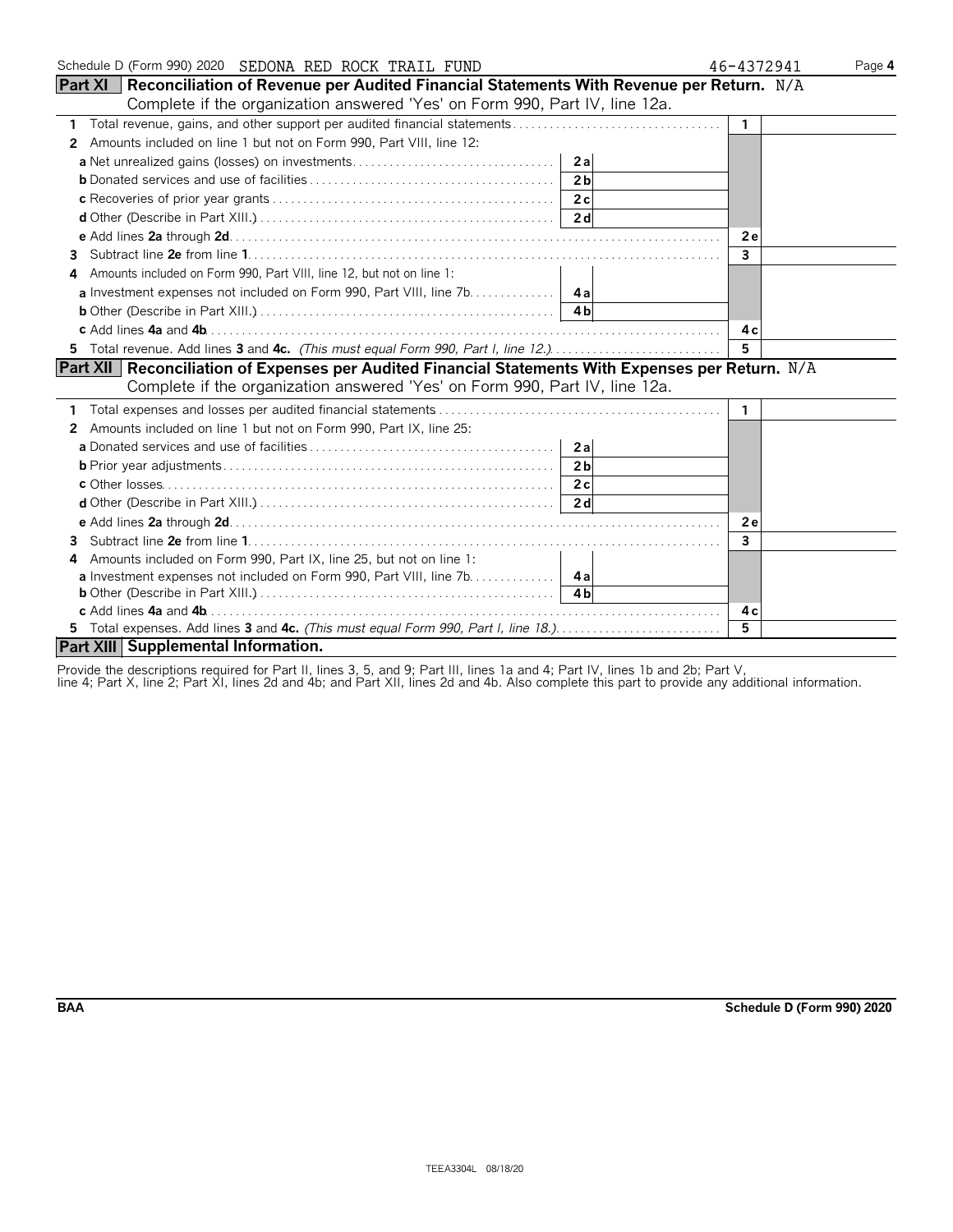| Schedule D (Form 990) 2020 SEDONA RED ROCK TRAIL FUND                                                    | 46-4372941<br>Page 4 |
|----------------------------------------------------------------------------------------------------------|----------------------|
| <b>Part XI</b> Reconciliation of Revenue per Audited Financial Statements With Revenue per Return. $N/A$ |                      |
| Complete if the organization answered 'Yes' on Form 990, Part IV, line 12a.                              |                      |
| 1                                                                                                        | $\mathbf{1}$         |
| Amounts included on line 1 but not on Form 990, Part VIII, line 12:<br>2                                 |                      |
| 2al                                                                                                      |                      |
| 2 <sub>h</sub>                                                                                           |                      |
|                                                                                                          |                      |
|                                                                                                          |                      |
|                                                                                                          | 2 e                  |
| 3.                                                                                                       | 3                    |
| Amounts included on Form 990, Part VIII, line 12, but not on line 1:<br>4                                |                      |
| a Investment expenses not included on Form 990, Part VIII, line 7b. 4a                                   |                      |
|                                                                                                          |                      |
|                                                                                                          | 4c                   |
|                                                                                                          | 5                    |
| Part XII   Reconciliation of Expenses per Audited Financial Statements With Expenses per Return. N/A     |                      |
| Complete if the organization answered 'Yes' on Form 990, Part IV, line 12a.                              |                      |
|                                                                                                          |                      |
| Amounts included on line 1 but not on Form 990, Part IX, line 25:<br>2                                   |                      |
| 2a                                                                                                       |                      |
|                                                                                                          |                      |
|                                                                                                          |                      |
|                                                                                                          |                      |
|                                                                                                          | <b>2e</b>            |
| 3                                                                                                        | 3                    |
| Amounts included on Form 990, Part IX, line 25, but not on line 1:<br>4                                  |                      |
| <b>a</b> Investment expenses not included on Form 990, Part VIII, line 7b. 4a                            |                      |
|                                                                                                          |                      |
|                                                                                                          | 4 c                  |
|                                                                                                          | 5                    |
| Part XIII Supplemental Information.                                                                      |                      |

Provide the descriptions required for Part II, lines 3, 5, and 9; Part III, lines 1a and 4; Part IV, lines 1b and 2b; Part V,

line 4; Part X, line 2; Part XI, lines 2d and 4b; and Part XII, lines 2d and 4b. Also complete this part to provide any additional information.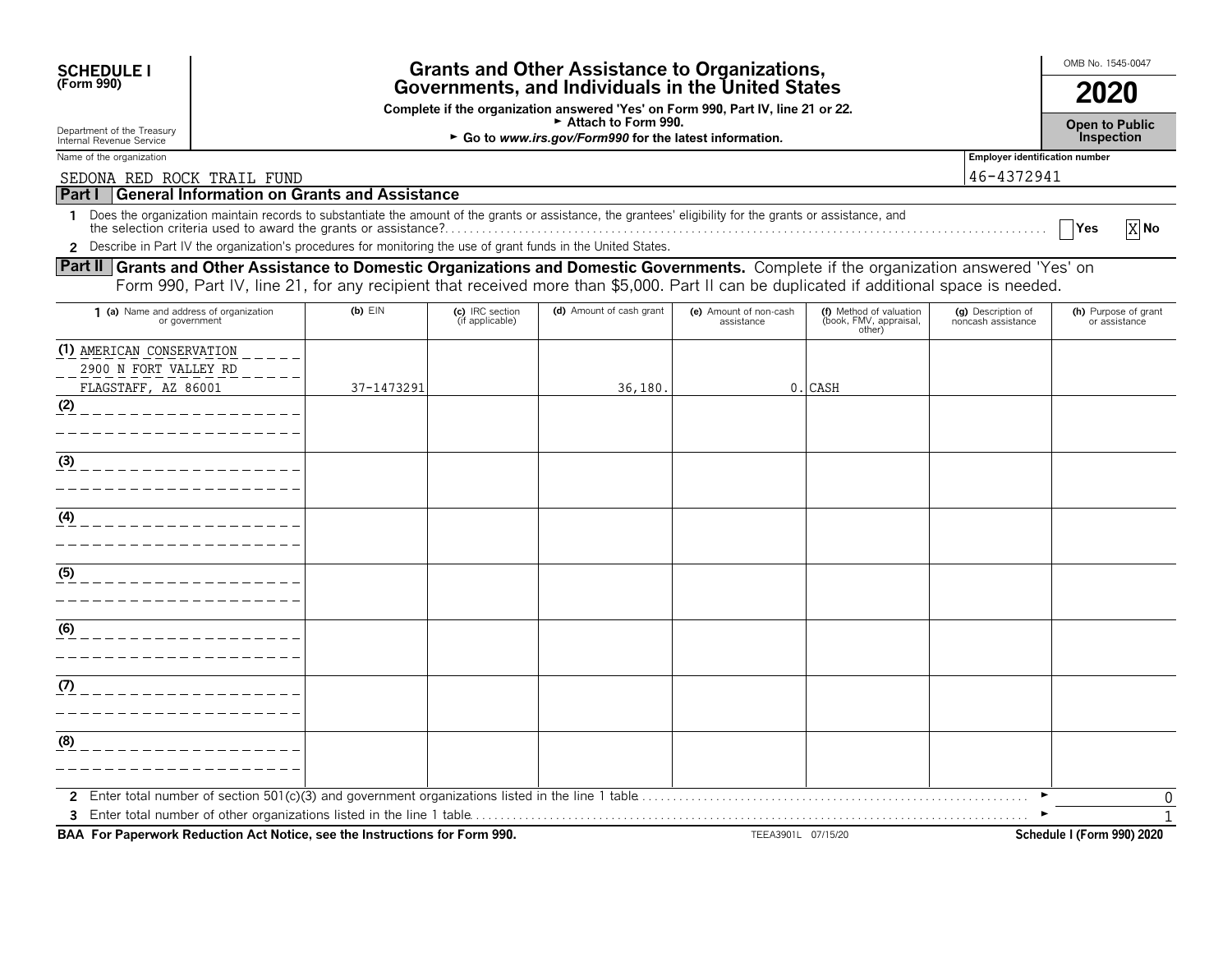| <b>SCHEDULE I</b>                                                                                                                                         | <b>Grants and Other Assistance to Organizations,</b>                             |                                       |                                            |  |
|-----------------------------------------------------------------------------------------------------------------------------------------------------------|----------------------------------------------------------------------------------|---------------------------------------|--------------------------------------------|--|
| (Form 990)                                                                                                                                                | Governments, and Individuals in the United States                                |                                       | 2020                                       |  |
|                                                                                                                                                           | Complete if the organization answered 'Yes' on Form 990, Part IV, line 21 or 22. |                                       |                                            |  |
| $\triangleright$ Attach to Form 990.<br>Department of the Treasury<br>► Go to www.irs.gov/Form990 for the latest information.<br>Internal Revenue Service |                                                                                  |                                       | <b>Open to Public</b><br><b>Inspection</b> |  |
| Name of the organization                                                                                                                                  |                                                                                  | <b>Employer identification number</b> |                                            |  |
| SEDONA RED ROCK TRAIL FUND                                                                                                                                |                                                                                  | 46-4372941                            |                                            |  |
|                                                                                                                                                           | Part I General Information on Grants and Assistance                              |                                       |                                            |  |
|                                                                                                                                                           |                                                                                  |                                       |                                            |  |

1 Does the organization maintain records to substantiate the amount of the grants or assistance, the grantees' eligibility for the grants or assistance, and<br>the selection criteria used to award the grants or assistance?.

**2** Describe in Part IV the organization's procedures for monitoring the use of grant funds in the United States.

**Part II** Grants and Other Assistance to Domestic Organizations and Domestic Governments. Complete if the organization answered 'Yes' on Form 990, Part IV, line 21, for any recipient that received more than \$5,000. Part II can be duplicated if additional space is needed.

X No

| 1 (a) Name and address of organization<br>or government                    | $(b)$ $E$ IN | (c) IRC section<br>(if applicable) | (d) Amount of cash grant | (e) Amount of non-cash<br>assistance | (f) Method of valuation<br>(book, FMV, appraisal,<br>other) | (g) Description of<br>noncash assistance | (h) Purpose of grant<br>or assistance |
|----------------------------------------------------------------------------|--------------|------------------------------------|--------------------------|--------------------------------------|-------------------------------------------------------------|------------------------------------------|---------------------------------------|
| (1) AMERICAN CONSERVATION                                                  |              |                                    |                          |                                      |                                                             |                                          |                                       |
| 2900 N FORT VALLEY RD                                                      |              |                                    |                          |                                      |                                                             |                                          |                                       |
| FLAGSTAFF, AZ 86001                                                        | 37-1473291   |                                    | 36,180.                  |                                      | 0. CASH                                                     |                                          |                                       |
| (2)                                                                        |              |                                    |                          |                                      |                                                             |                                          |                                       |
|                                                                            |              |                                    |                          |                                      |                                                             |                                          |                                       |
|                                                                            |              |                                    |                          |                                      |                                                             |                                          |                                       |
| (3)                                                                        |              |                                    |                          |                                      |                                                             |                                          |                                       |
|                                                                            |              |                                    |                          |                                      |                                                             |                                          |                                       |
|                                                                            |              |                                    |                          |                                      |                                                             |                                          |                                       |
| (4)                                                                        |              |                                    |                          |                                      |                                                             |                                          |                                       |
|                                                                            |              |                                    |                          |                                      |                                                             |                                          |                                       |
|                                                                            |              |                                    |                          |                                      |                                                             |                                          |                                       |
| (5)                                                                        |              |                                    |                          |                                      |                                                             |                                          |                                       |
|                                                                            |              |                                    |                          |                                      |                                                             |                                          |                                       |
|                                                                            |              |                                    |                          |                                      |                                                             |                                          |                                       |
| (6)                                                                        |              |                                    |                          |                                      |                                                             |                                          |                                       |
|                                                                            |              |                                    |                          |                                      |                                                             |                                          |                                       |
| (7)                                                                        |              |                                    |                          |                                      |                                                             |                                          |                                       |
|                                                                            |              |                                    |                          |                                      |                                                             |                                          |                                       |
|                                                                            |              |                                    |                          |                                      |                                                             |                                          |                                       |
| (8)                                                                        |              |                                    |                          |                                      |                                                             |                                          |                                       |
|                                                                            |              |                                    |                          |                                      |                                                             |                                          |                                       |
|                                                                            |              |                                    |                          |                                      |                                                             |                                          |                                       |
|                                                                            |              |                                    |                          |                                      |                                                             |                                          | $\mathbf{0}$                          |
| Enter total number of other organizations listed in the line 1 table<br>3  |              |                                    |                          |                                      |                                                             |                                          |                                       |
| BAA For Paperwork Reduction Act Notice, see the Instructions for Form 990. |              |                                    |                          | TEEA3901L 07/15/20                   |                                                             |                                          | Schedule I (Form 990) 2020            |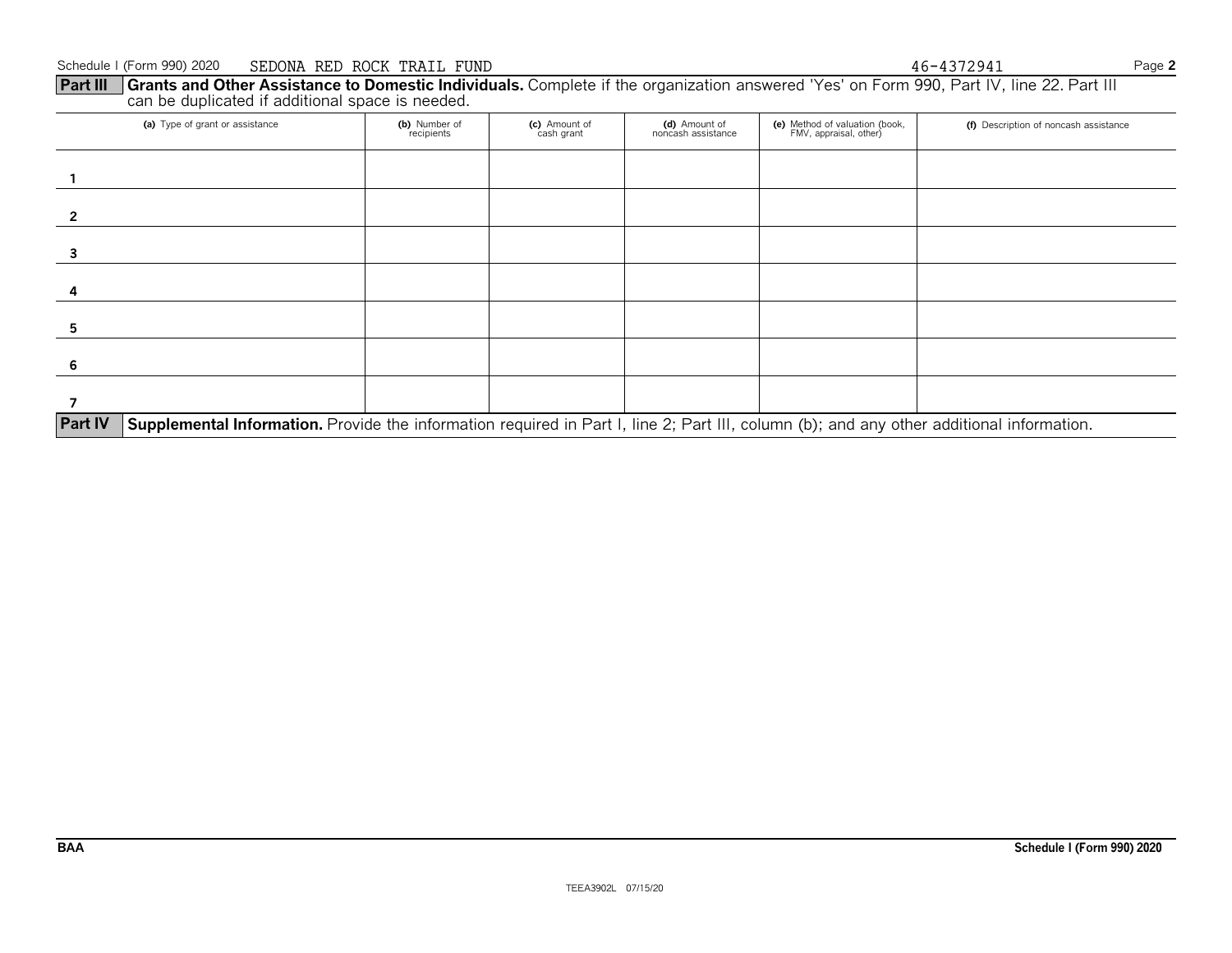**Part III Grants and Other Assistance to Domestic Individuals.** Complete if the organization answered 'Yes' on Form 990, Part IV, line 22. Part III can be duplicated if additional space is needed.

| (a) Type of grant or assistance                                                                                                                             | (b) Number of<br>recipients | (c) Amount of<br>cash grant | (d) Amount of<br>noncash assistance | (e) Method of valuation (book,<br>FMV, appraisal, other) | (f) Description of noncash assistance |
|-------------------------------------------------------------------------------------------------------------------------------------------------------------|-----------------------------|-----------------------------|-------------------------------------|----------------------------------------------------------|---------------------------------------|
|                                                                                                                                                             |                             |                             |                                     |                                                          |                                       |
|                                                                                                                                                             |                             |                             |                                     |                                                          |                                       |
|                                                                                                                                                             |                             |                             |                                     |                                                          |                                       |
|                                                                                                                                                             |                             |                             |                                     |                                                          |                                       |
|                                                                                                                                                             |                             |                             |                                     |                                                          |                                       |
| 6                                                                                                                                                           |                             |                             |                                     |                                                          |                                       |
|                                                                                                                                                             |                             |                             |                                     |                                                          |                                       |
| <b>Part IV</b><br>Supplemental Information. Provide the information required in Part I, line 2; Part III, column (b); and any other additional information. |                             |                             |                                     |                                                          |                                       |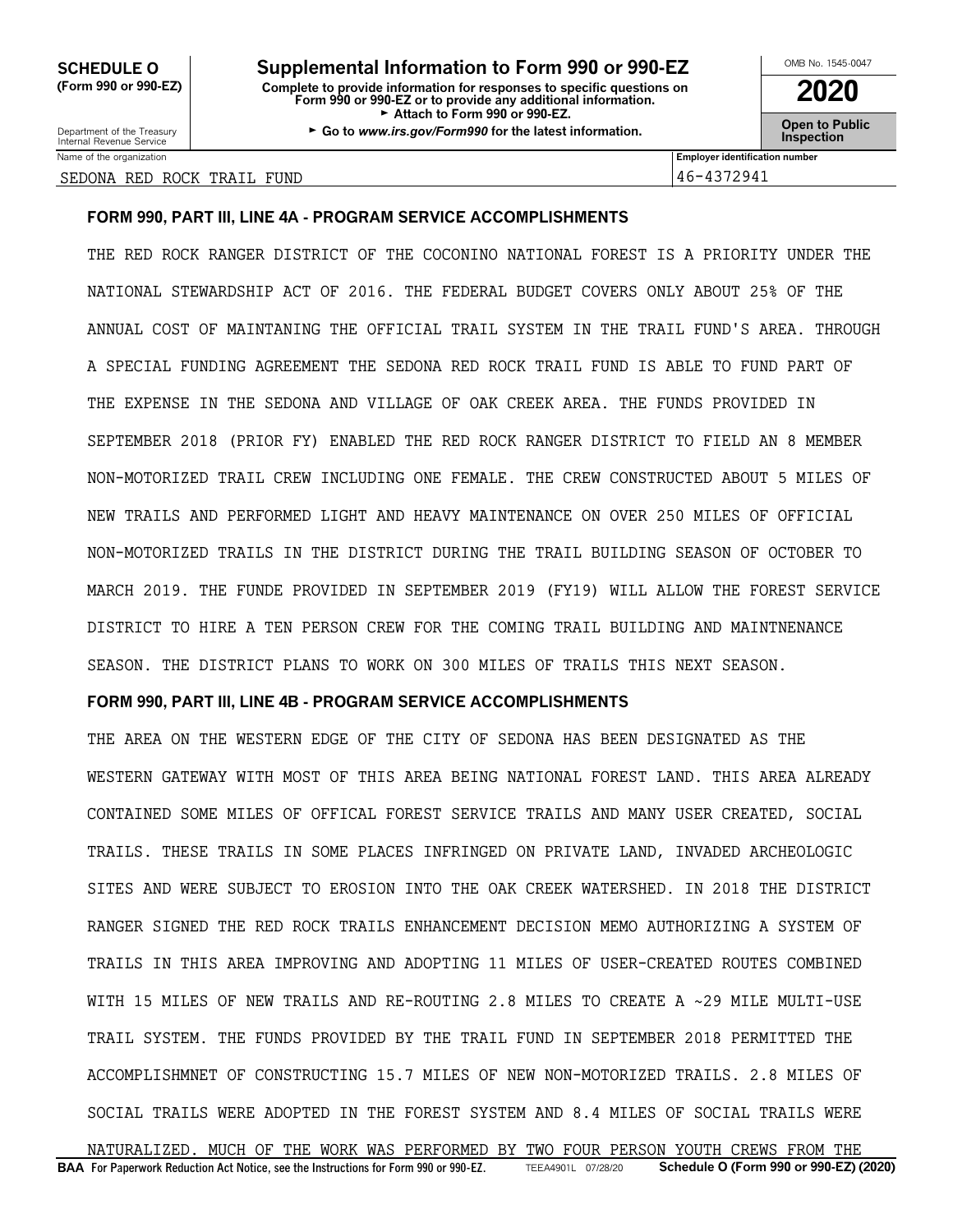Department of the Treasury **Constant Comment of the Collaboration Constant Constant Comment Constant Constant Constant Constant Constant Constant Constant Constant Constant Constant Constant Constant Constant Constant C** 

SEDONA RED ROCK TRAIL FUND 46-4372941

Name of the organization **Employer identification number Employer identification number** 

#### **FORM 990, PART III, LINE 4A - PROGRAM SERVICE ACCOMPLISHMENTS**

THE RED ROCK RANGER DISTRICT OF THE COCONINO NATIONAL FOREST IS A PRIORITY UNDER THE NATIONAL STEWARDSHIP ACT OF 2016. THE FEDERAL BUDGET COVERS ONLY ABOUT 25% OF THE ANNUAL COST OF MAINTANING THE OFFICIAL TRAIL SYSTEM IN THE TRAIL FUND'S AREA. THROUGH A SPECIAL FUNDING AGREEMENT THE SEDONA RED ROCK TRAIL FUND IS ABLE TO FUND PART OF THE EXPENSE IN THE SEDONA AND VILLAGE OF OAK CREEK AREA. THE FUNDS PROVIDED IN SEPTEMBER 2018 (PRIOR FY) ENABLED THE RED ROCK RANGER DISTRICT TO FIELD AN 8 MEMBER NON-MOTORIZED TRAIL CREW INCLUDING ONE FEMALE. THE CREW CONSTRUCTED ABOUT 5 MILES OF NEW TRAILS AND PERFORMED LIGHT AND HEAVY MAINTENANCE ON OVER 250 MILES OF OFFICIAL NON-MOTORIZED TRAILS IN THE DISTRICT DURING THE TRAIL BUILDING SEASON OF OCTOBER TO MARCH 2019. THE FUNDE PROVIDED IN SEPTEMBER 2019 (FY19) WILL ALLOW THE FOREST SERVICE DISTRICT TO HIRE A TEN PERSON CREW FOR THE COMING TRAIL BUILDING AND MAINTNENANCE SEASON. THE DISTRICT PLANS TO WORK ON 300 MILES OF TRAILS THIS NEXT SEASON.

#### **FORM 990, PART III, LINE 4B - PROGRAM SERVICE ACCOMPLISHMENTS**

THE AREA ON THE WESTERN EDGE OF THE CITY OF SEDONA HAS BEEN DESIGNATED AS THE WESTERN GATEWAY WITH MOST OF THIS AREA BEING NATIONAL FOREST LAND. THIS AREA ALREADY CONTAINED SOME MILES OF OFFICAL FOREST SERVICE TRAILS AND MANY USER CREATED, SOCIAL TRAILS. THESE TRAILS IN SOME PLACES INFRINGED ON PRIVATE LAND, INVADED ARCHEOLOGIC SITES AND WERE SUBJECT TO EROSION INTO THE OAK CREEK WATERSHED. IN 2018 THE DISTRICT RANGER SIGNED THE RED ROCK TRAILS ENHANCEMENT DECISION MEMO AUTHORIZING A SYSTEM OF TRAILS IN THIS AREA IMPROVING AND ADOPTING 11 MILES OF USER-CREATED ROUTES COMBINED WITH 15 MILES OF NEW TRAILS AND RE-ROUTING 2.8 MILES TO CREATE A ~29 MILE MULTI-USE TRAIL SYSTEM. THE FUNDS PROVIDED BY THE TRAIL FUND IN SEPTEMBER 2018 PERMITTED THE ACCOMPLISHMNET OF CONSTRUCTING 15.7 MILES OF NEW NON-MOTORIZED TRAILS. 2.8 MILES OF SOCIAL TRAILS WERE ADOPTED IN THE FOREST SYSTEM AND 8.4 MILES OF SOCIAL TRAILS WERE